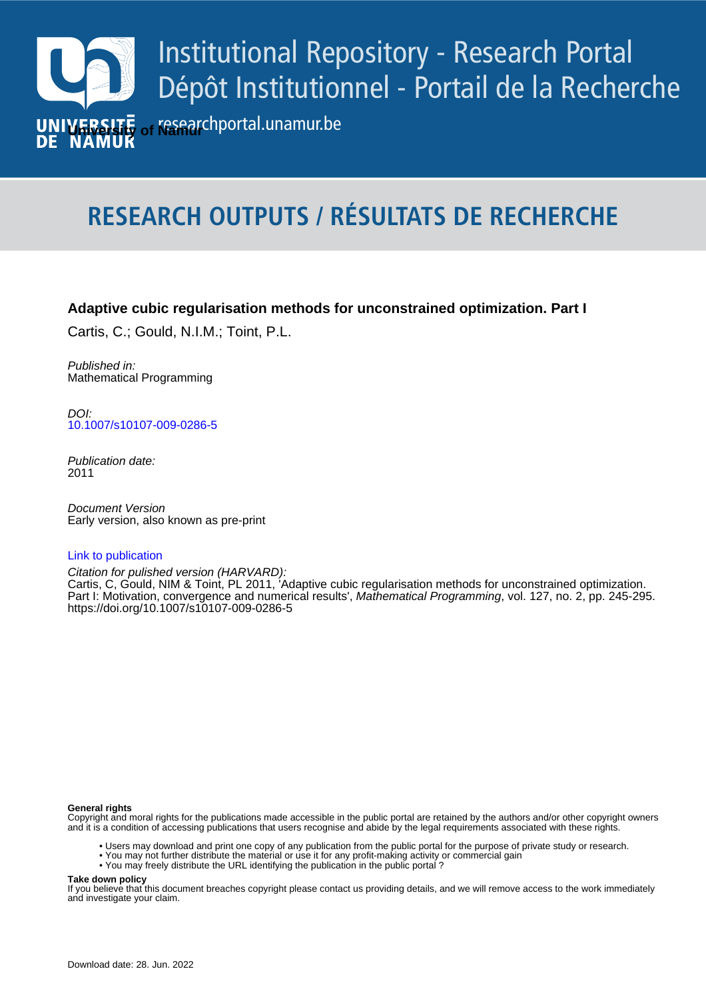

# **RESEARCH OUTPUTS / RÉSULTATS DE RECHERCHE**

## **Adaptive cubic regularisation methods for unconstrained optimization. Part I**

Cartis, C.; Gould, N.I.M.; Toint, P.L.

Published in: Mathematical Programming

**Author(s) - Auteur(s) :** [10.1007/s10107-009-0286-5](https://doi.org/10.1007/s10107-009-0286-5) DOI:

> Publication date: 2011

*Pocument version*<br>Early version, also known as pre-print Document Version

#### [Link to publication](https://researchportal.unamur.be/en/publications/1a53ec53-549d-46db-a914-7ae303f4b974)

Citation for pulished version (HARVARD):

Part I: Motivation, convergence and numerical results', Mathematical Programming, vol. 127, no. 2, pp. 245-295. Cartis, C, Gould, NIM & Toint, PL 2011, 'Adaptive cubic regularisation methods for unconstrained optimization. <https://doi.org/10.1007/s10107-009-0286-5>

#### **General rights**

Copyright and moral rights for the publications made accessible in the public portal are retained by the authors and/or other copyright owners and it is a condition of accessing publications that users recognise and abide by the legal requirements associated with these rights.

- Users may download and print one copy of any publication from the public portal for the purpose of private study or research.
- You may not further distribute the material or use it for any profit-making activity or commercial gain
- You may freely distribute the URL identifying the publication in the public portal ?

#### **Take down policy**

If you believe that this document breaches copyright please contact us providing details, and we will remove access to the work immediately and investigate your claim.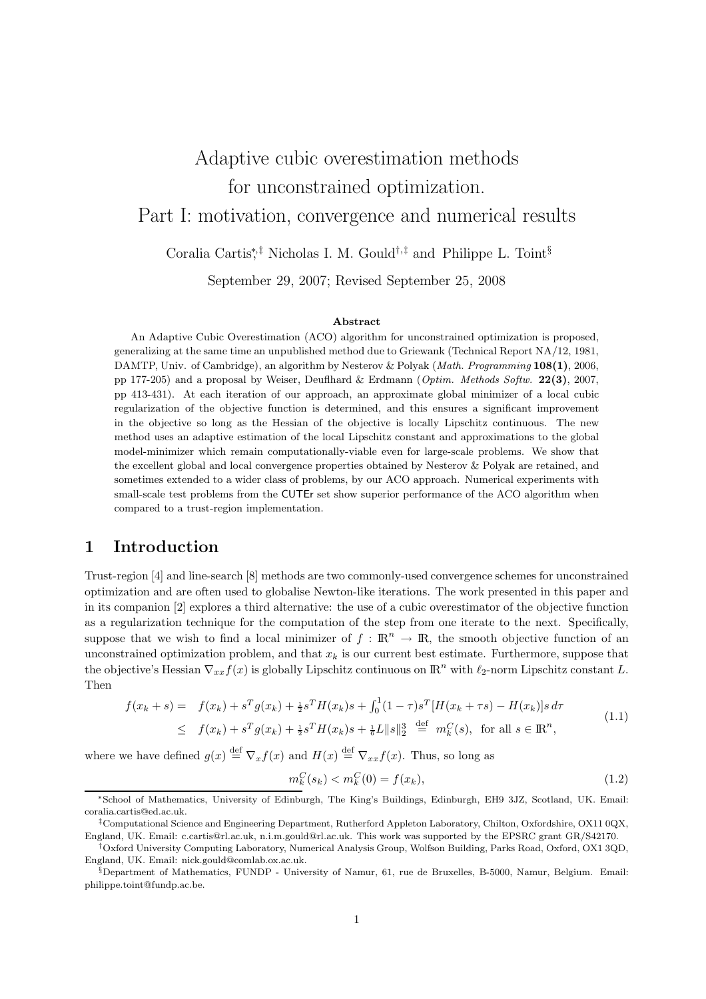# Adaptive cubic overestimation methods for unconstrained optimization. Part I: motivation, convergence and numerical results

Coralia Cartis<sup>\*</sup>,<sup>‡</sup> Nicholas I. M. Gould<sup>†,‡</sup> and Philippe L. Toint<sup>§</sup>

September 29, 2007; Revised September 25, 2008

#### Abstract

An Adaptive Cubic Overestimation (ACO) algorithm for unconstrained optimization is proposed, generalizing at the same time an unpublished method due to Griewank (Technical Report NA/12, 1981, DAMTP, Univ. of Cambridge), an algorithm by Nesterov & Polyak (Math. Programming 108(1), 2006, pp 177-205) and a proposal by Weiser, Deufthard & Erdmann (Optim. Methods Softw. 22(3), 2007, pp 413-431). At each iteration of our approach, an approximate global minimizer of a local cubic regularization of the objective function is determined, and this ensures a significant improvement in the objective so long as the Hessian of the objective is locally Lipschitz continuous. The new method uses an adaptive estimation of the local Lipschitz constant and approximations to the global model-minimizer which remain computationally-viable even for large-scale problems. We show that the excellent global and local convergence properties obtained by Nesterov & Polyak are retained, and sometimes extended to a wider class of problems, by our ACO approach. Numerical experiments with small-scale test problems from the CUTEr set show superior performance of the ACO algorithm when compared to a trust-region implementation.

## 1 Introduction

Trust-region [4] and line-search [8] methods are two commonly-used convergence schemes for unconstrained optimization and are often used to globalise Newton-like iterations. The work presented in this paper and in its companion [2] explores a third alternative: the use of a cubic overestimator of the objective function as a regularization technique for the computation of the step from one iterate to the next. Specifically, suppose that we wish to find a local minimizer of  $f : \mathbb{R}^n \to \mathbb{R}$ , the smooth objective function of an unconstrained optimization problem, and that  $x_k$  is our current best estimate. Furthermore, suppose that the objective's Hessian  $\nabla_{xx} f(x)$  is globally Lipschitz continuous on  $\mathbb{R}^n$  with  $\ell_2$ -norm Lipschitz constant L. Then

$$
f(x_k + s) = f(x_k) + s^T g(x_k) + \frac{1}{2} s^T H(x_k) s + \int_0^1 (1 - \tau) s^T [H(x_k + \tau s) - H(x_k)] s \, d\tau
$$
  
\n
$$
\leq f(x_k) + s^T g(x_k) + \frac{1}{2} s^T H(x_k) s + \frac{1}{6} L \|s\|_2^3 \stackrel{\text{def}}{=} m_k^C(s), \text{ for all } s \in \mathbb{R}^n,
$$
\n(1.1)

where we have defined  $g(x) \stackrel{\text{def}}{=} \nabla_x f(x)$  and  $H(x) \stackrel{\text{def}}{=} \nabla_{xx} f(x)$ . Thus, so long as

$$
m_k^C(s_k) < m_k^C(0) = f(x_k),\tag{1.2}
$$

<sup>∗</sup>School of Mathematics, University of Edinburgh, The King's Buildings, Edinburgh, EH9 3JZ, Scotland, UK. Email: coralia.cartis@ed.ac.uk.

<sup>‡</sup>Computational Science and Engineering Department, Rutherford Appleton Laboratory, Chilton, Oxfordshire, OX11 0QX, England, UK. Email: c.cartis@rl.ac.uk, n.i.m.gould@rl.ac.uk. This work was supported by the EPSRC grant GR/S42170.

<sup>†</sup>Oxford University Computing Laboratory, Numerical Analysis Group, Wolfson Building, Parks Road, Oxford, OX1 3QD, England, UK. Email: nick.gould@comlab.ox.ac.uk.

 $\S$ Department of Mathematics, FUNDP - University of Namur, 61, rue de Bruxelles, B-5000, Namur, Belgium. Email: philippe.toint@fundp.ac.be.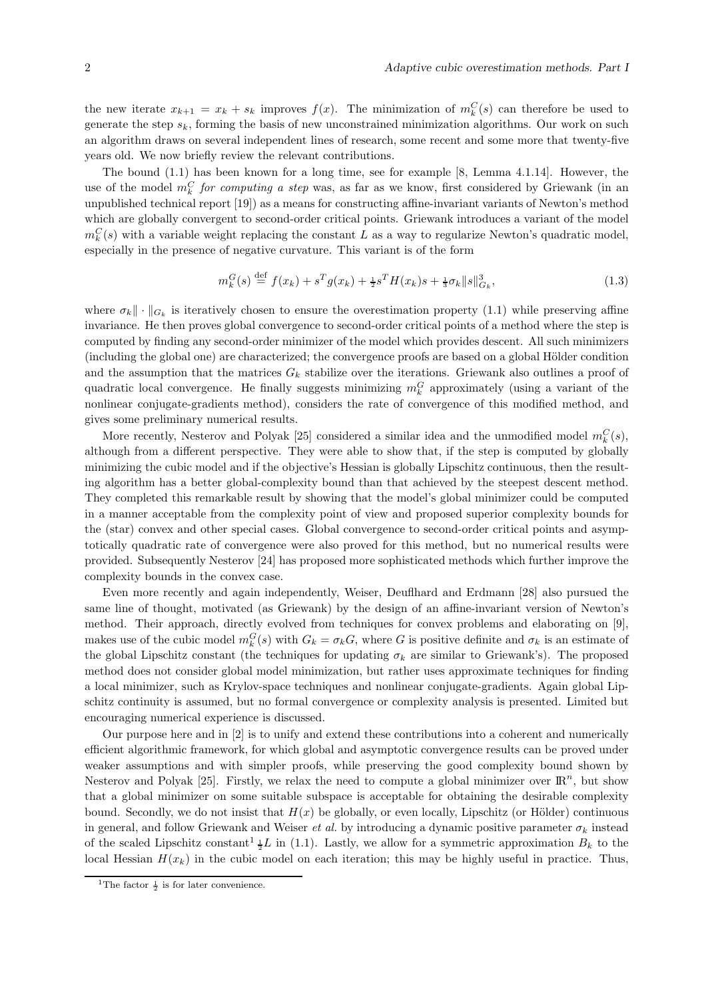the new iterate  $x_{k+1} = x_k + s_k$  improves  $f(x)$ . The minimization of  $m_k^C(s)$  can therefore be used to generate the step  $s_k$ , forming the basis of new unconstrained minimization algorithms. Our work on such an algorithm draws on several independent lines of research, some recent and some more that twenty-five years old. We now briefly review the relevant contributions.

The bound (1.1) has been known for a long time, see for example [8, Lemma 4.1.14]. However, the use of the model  $m_k^C$  for computing a step was, as far as we know, first considered by Griewank (in an unpublished technical report [19]) as a means for constructing affine-invariant variants of Newton's method which are globally convergent to second-order critical points. Griewank introduces a variant of the model  $m_k^C(s)$  with a variable weight replacing the constant L as a way to regularize Newton's quadratic model, especially in the presence of negative curvature. This variant is of the form

$$
m_k^G(s) \stackrel{\text{def}}{=} f(x_k) + s^T g(x_k) + \frac{1}{2} s^T H(x_k) s + \frac{1}{3} \sigma_k \|s\|_{G_k}^3, \tag{1.3}
$$

where  $\sigma_k \|\cdot\|_{G_k}$  is iteratively chosen to ensure the overestimation property (1.1) while preserving affine invariance. He then proves global convergence to second-order critical points of a method where the step is computed by finding any second-order minimizer of the model which provides descent. All such minimizers (including the global one) are characterized; the convergence proofs are based on a global Hölder condition and the assumption that the matrices  $G_k$  stabilize over the iterations. Griewank also outlines a proof of quadratic local convergence. He finally suggests minimizing  $m_k^G$  approximately (using a variant of the nonlinear conjugate-gradients method), considers the rate of convergence of this modified method, and gives some preliminary numerical results.

More recently, Nesterov and Polyak [25] considered a similar idea and the unmodified model  $m_k^C(s)$ , although from a different perspective. They were able to show that, if the step is computed by globally minimizing the cubic model and if the objective's Hessian is globally Lipschitz continuous, then the resulting algorithm has a better global-complexity bound than that achieved by the steepest descent method. They completed this remarkable result by showing that the model's global minimizer could be computed in a manner acceptable from the complexity point of view and proposed superior complexity bounds for the (star) convex and other special cases. Global convergence to second-order critical points and asymptotically quadratic rate of convergence were also proved for this method, but no numerical results were provided. Subsequently Nesterov [24] has proposed more sophisticated methods which further improve the complexity bounds in the convex case.

Even more recently and again independently, Weiser, Deuflhard and Erdmann [28] also pursued the same line of thought, motivated (as Griewank) by the design of an affine-invariant version of Newton's method. Their approach, directly evolved from techniques for convex problems and elaborating on [9], makes use of the cubic model  $m_k^G(s)$  with  $G_k = \sigma_k G$ , where G is positive definite and  $\sigma_k$  is an estimate of the global Lipschitz constant (the techniques for updating  $\sigma_k$  are similar to Griewank's). The proposed method does not consider global model minimization, but rather uses approximate techniques for finding a local minimizer, such as Krylov-space techniques and nonlinear conjugate-gradients. Again global Lipschitz continuity is assumed, but no formal convergence or complexity analysis is presented. Limited but encouraging numerical experience is discussed.

Our purpose here and in [2] is to unify and extend these contributions into a coherent and numerically efficient algorithmic framework, for which global and asymptotic convergence results can be proved under weaker assumptions and with simpler proofs, while preserving the good complexity bound shown by Nesterov and Polyak [25]. Firstly, we relax the need to compute a global minimizer over  $\mathbb{R}^n$ , but show that a global minimizer on some suitable subspace is acceptable for obtaining the desirable complexity bound. Secondly, we do not insist that  $H(x)$  be globally, or even locally, Lipschitz (or Hölder) continuous in general, and follow Griewank and Weiser *et al.* by introducing a dynamic positive parameter  $\sigma_k$  instead of the scaled Lipschitz constant<sup>1</sup>  $\frac{1}{2}L$  in (1.1). Lastly, we allow for a symmetric approximation  $B_k$  to the local Hessian  $H(x_k)$  in the cubic model on each iteration; this may be highly useful in practice. Thus,

<sup>&</sup>lt;sup>1</sup>The factor  $\frac{1}{2}$  is for later convenience.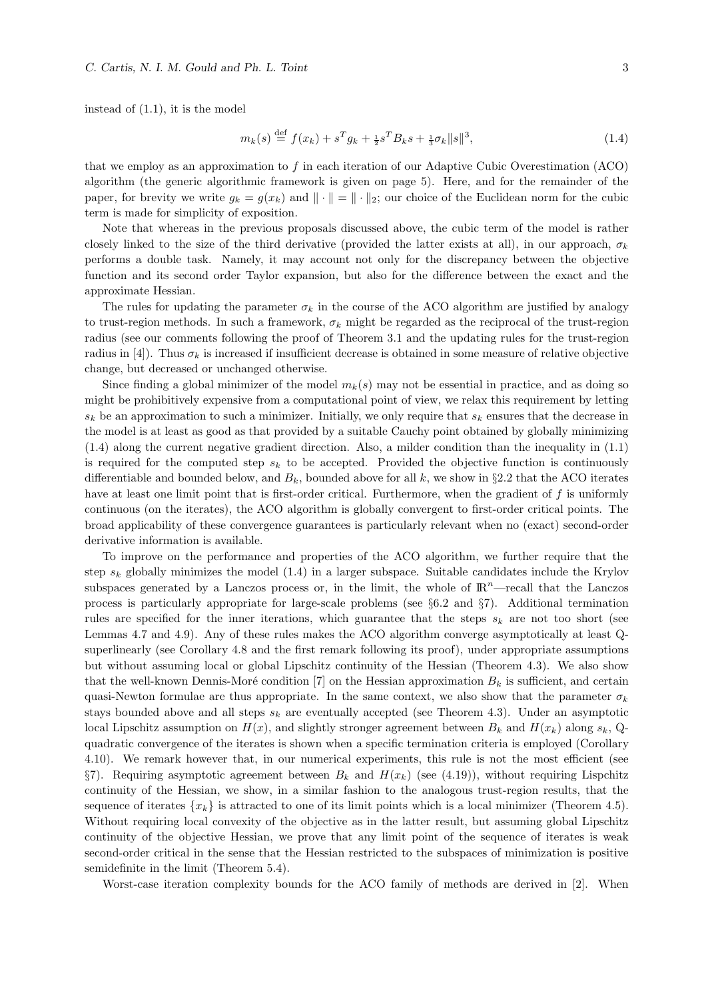instead of (1.1), it is the model

$$
m_k(s) \stackrel{\text{def}}{=} f(x_k) + s^T g_k + \frac{1}{2} s^T B_k s + \frac{1}{3} \sigma_k \|s\|^3,
$$
\n(1.4)

that we employ as an approximation to f in each iteration of our Adaptive Cubic Overestimation  $(ACO)$ algorithm (the generic algorithmic framework is given on page 5). Here, and for the remainder of the paper, for brevity we write  $g_k = g(x_k)$  and  $\|\cdot\| = \|\cdot\|_2$ ; our choice of the Euclidean norm for the cubic term is made for simplicity of exposition.

Note that whereas in the previous proposals discussed above, the cubic term of the model is rather closely linked to the size of the third derivative (provided the latter exists at all), in our approach,  $\sigma_k$ performs a double task. Namely, it may account not only for the discrepancy between the objective function and its second order Taylor expansion, but also for the difference between the exact and the approximate Hessian.

The rules for updating the parameter  $\sigma_k$  in the course of the ACO algorithm are justified by analogy to trust-region methods. In such a framework,  $\sigma_k$  might be regarded as the reciprocal of the trust-region radius (see our comments following the proof of Theorem 3.1 and the updating rules for the trust-region radius in [4]). Thus  $\sigma_k$  is increased if insufficient decrease is obtained in some measure of relative objective change, but decreased or unchanged otherwise.

Since finding a global minimizer of the model  $m_k(s)$  may not be essential in practice, and as doing so might be prohibitively expensive from a computational point of view, we relax this requirement by letting  $s_k$  be an approximation to such a minimizer. Initially, we only require that  $s_k$  ensures that the decrease in the model is at least as good as that provided by a suitable Cauchy point obtained by globally minimizing (1.4) along the current negative gradient direction. Also, a milder condition than the inequality in (1.1) is required for the computed step  $s_k$  to be accepted. Provided the objective function is continuously differentiable and bounded below, and  $B_k$ , bounded above for all k, we show in §2.2 that the ACO iterates have at least one limit point that is first-order critical. Furthermore, when the gradient of  $f$  is uniformly continuous (on the iterates), the ACO algorithm is globally convergent to first-order critical points. The broad applicability of these convergence guarantees is particularly relevant when no (exact) second-order derivative information is available.

To improve on the performance and properties of the ACO algorithm, we further require that the step  $s_k$  globally minimizes the model (1.4) in a larger subspace. Suitable candidates include the Krylov subspaces generated by a Lanczos process or, in the limit, the whole of  $\mathbb{R}^n$ —recall that the Lanczos process is particularly appropriate for large-scale problems (see §6.2 and §7). Additional termination rules are specified for the inner iterations, which guarantee that the steps  $s_k$  are not too short (see Lemmas 4.7 and 4.9). Any of these rules makes the ACO algorithm converge asymptotically at least Qsuperlinearly (see Corollary 4.8 and the first remark following its proof), under appropriate assumptions but without assuming local or global Lipschitz continuity of the Hessian (Theorem 4.3). We also show that the well-known Dennis-Moré condition [7] on the Hessian approximation  $B_k$  is sufficient, and certain quasi-Newton formulae are thus appropriate. In the same context, we also show that the parameter  $\sigma_k$ stays bounded above and all steps  $s_k$  are eventually accepted (see Theorem 4.3). Under an asymptotic local Lipschitz assumption on  $H(x)$ , and slightly stronger agreement between  $B_k$  and  $H(x_k)$  along  $s_k$ , Qquadratic convergence of the iterates is shown when a specific termination criteria is employed (Corollary 4.10). We remark however that, in our numerical experiments, this rule is not the most efficient (see §7). Requiring asymptotic agreement between  $B_k$  and  $H(x_k)$  (see (4.19)), without requiring Lispchitz continuity of the Hessian, we show, in a similar fashion to the analogous trust-region results, that the sequence of iterates  $\{x_k\}$  is attracted to one of its limit points which is a local minimizer (Theorem 4.5). Without requiring local convexity of the objective as in the latter result, but assuming global Lipschitz continuity of the objective Hessian, we prove that any limit point of the sequence of iterates is weak second-order critical in the sense that the Hessian restricted to the subspaces of minimization is positive semidefinite in the limit (Theorem 5.4).

Worst-case iteration complexity bounds for the ACO family of methods are derived in [2]. When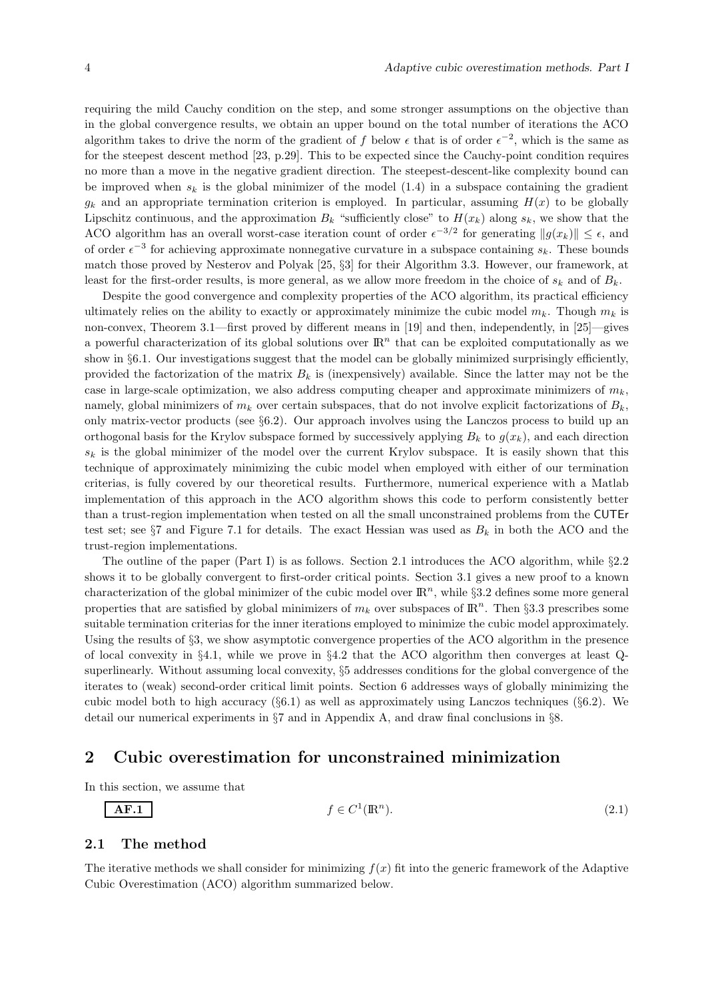requiring the mild Cauchy condition on the step, and some stronger assumptions on the objective than in the global convergence results, we obtain an upper bound on the total number of iterations the ACO algorithm takes to drive the norm of the gradient of f below  $\epsilon$  that is of order  $\epsilon^{-2}$ , which is the same as for the steepest descent method [23, p.29]. This to be expected since the Cauchy-point condition requires no more than a move in the negative gradient direction. The steepest-descent-like complexity bound can be improved when  $s_k$  is the global minimizer of the model (1.4) in a subspace containing the gradient  $g_k$  and an appropriate termination criterion is employed. In particular, assuming  $H(x)$  to be globally Lipschitz continuous, and the approximation  $B_k$  "sufficiently close" to  $H(x_k)$  along  $s_k$ , we show that the ACO algorithm has an overall worst-case iteration count of order  $\epsilon^{-3/2}$  for generating  $||g(x_k)|| \leq \epsilon$ , and of order  $\epsilon^{-3}$  for achieving approximate nonnegative curvature in a subspace containing  $s_k$ . These bounds match those proved by Nesterov and Polyak [25, §3] for their Algorithm 3.3. However, our framework, at least for the first-order results, is more general, as we allow more freedom in the choice of  $s_k$  and of  $B_k$ .

Despite the good convergence and complexity properties of the ACO algorithm, its practical efficiency ultimately relies on the ability to exactly or approximately minimize the cubic model  $m_k$ . Though  $m_k$  is non-convex, Theorem 3.1—first proved by different means in [19] and then, independently, in [25]—gives a powerful characterization of its global solutions over  $\mathbb{R}^n$  that can be exploited computationally as we show in  $\S6.1$ . Our investigations suggest that the model can be globally minimized surprisingly efficiently, provided the factorization of the matrix  $B_k$  is (inexpensively) available. Since the latter may not be the case in large-scale optimization, we also address computing cheaper and approximate minimizers of  $m_k$ , namely, global minimizers of  $m_k$  over certain subspaces, that do not involve explicit factorizations of  $B_k$ , only matrix-vector products (see §6.2). Our approach involves using the Lanczos process to build up an orthogonal basis for the Krylov subspace formed by successively applying  $B_k$  to  $g(x_k)$ , and each direction  $s_k$  is the global minimizer of the model over the current Krylov subspace. It is easily shown that this technique of approximately minimizing the cubic model when employed with either of our termination criterias, is fully covered by our theoretical results. Furthermore, numerical experience with a Matlab implementation of this approach in the ACO algorithm shows this code to perform consistently better than a trust-region implementation when tested on all the small unconstrained problems from the CUTEr test set; see  $\S 7$  and Figure 7.1 for details. The exact Hessian was used as  $B_k$  in both the ACO and the trust-region implementations.

The outline of the paper (Part I) is as follows. Section 2.1 introduces the ACO algorithm, while §2.2 shows it to be globally convergent to first-order critical points. Section 3.1 gives a new proof to a known characterization of the global minimizer of the cubic model over  $\mathbb{R}^n$ , while §3.2 defines some more general properties that are satisfied by global minimizers of  $m_k$  over subspaces of  $\mathbb{R}^n$ . Then §3.3 prescribes some suitable termination criterias for the inner iterations employed to minimize the cubic model approximately. Using the results of §3, we show asymptotic convergence properties of the ACO algorithm in the presence of local convexity in §4.1, while we prove in §4.2 that the ACO algorithm then converges at least  $Q$ superlinearly. Without assuming local convexity, §5 addresses conditions for the global convergence of the iterates to (weak) second-order critical limit points. Section 6 addresses ways of globally minimizing the cubic model both to high accuracy  $(\S6.1)$  as well as approximately using Lanczos techniques  $(\S6.2)$ . We detail our numerical experiments in §7 and in Appendix A, and draw final conclusions in §8.

## 2 Cubic overestimation for unconstrained minimization

In this section, we assume that

$$
f \in C^1(\mathbb{R}^n). \tag{2.1}
$$

#### 2.1 The method

 $AF.1$ 

The iterative methods we shall consider for minimizing  $f(x)$  fit into the generic framework of the Adaptive Cubic Overestimation (ACO) algorithm summarized below.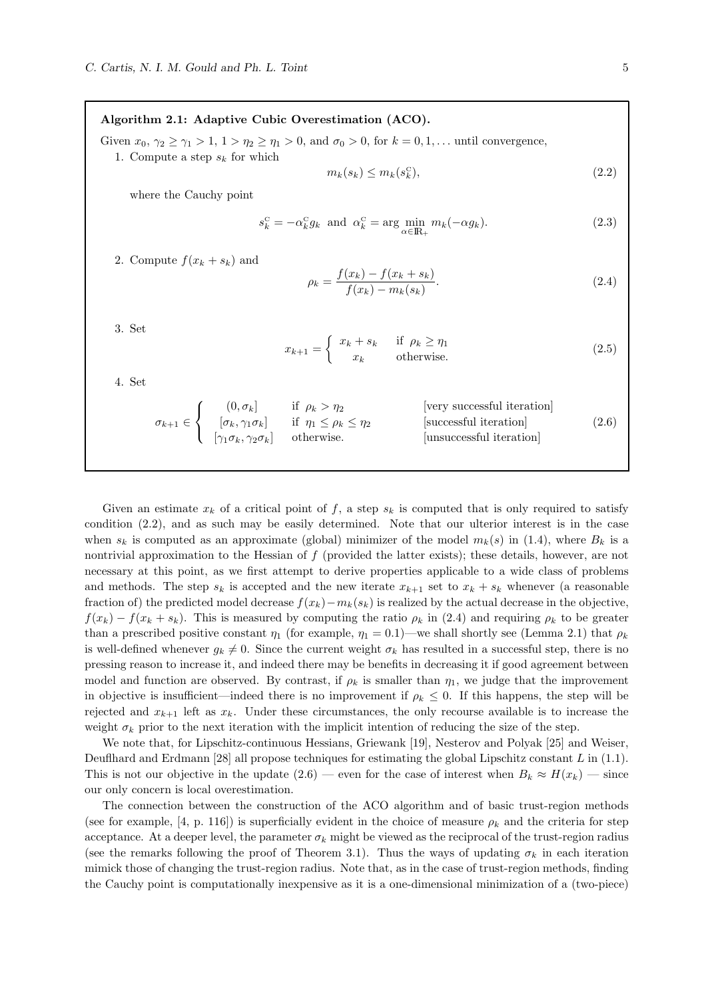Algorithm 2.1: Adaptive Cubic Overestimation (ACO). Given  $x_0, \gamma_2 \geq \gamma_1 > 1$ ,  $1 > \eta_2 \geq \eta_1 > 0$ , and  $\sigma_0 > 0$ , for  $k = 0, 1, \ldots$  until convergence, 1. Compute a step  $s_k$  for which  $m_k(s_k) \leq m_k(s_k^{\mathrm{C}})$  $(2.2)$ where the Cauchy point  $s_k^{\mathcal{C}} = -\alpha_k^{\mathcal{C}} g_k$  and  $\alpha_k^{\mathcal{C}} = \arg \min_{\alpha \in \mathbb{R}_+} m_k(-\alpha g_k).$  (2.3) 2. Compute  $f(x_k + s_k)$  and  $\rho_k = \frac{f(x_k) - f(x_k + s_k)}{f(x_k) - x_k(x_k)}$  $f(x_k) - m_k(s_k)$  $(2.4)$ 

3. Set

$$
x_{k+1} = \begin{cases} x_k + s_k & \text{if } \rho_k \ge \eta_1 \\ x_k & \text{otherwise.} \end{cases}
$$
 (2.5)

4. Set

$$
\sigma_{k+1} \in \begin{cases}\n(0, \sigma_k) & \text{if } \rho_k > \eta_2 \\
[\sigma_k, \gamma_1 \sigma_k] & \text{if } \eta_1 \le \rho_k \le \eta_2 \\
[\gamma_1 \sigma_k, \gamma_2 \sigma_k] & \text{otherwise.} \n\end{cases}\n\text{ [very successful iteration]} \n\qquad (2.6)
$$

Given an estimate  $x_k$  of a critical point of f, a step  $s_k$  is computed that is only required to satisfy condition (2.2), and as such may be easily determined. Note that our ulterior interest is in the case when  $s_k$  is computed as an approximate (global) minimizer of the model  $m_k(s)$  in (1.4), where  $B_k$  is a nontrivial approximation to the Hessian of f (provided the latter exists); these details, however, are not necessary at this point, as we first attempt to derive properties applicable to a wide class of problems and methods. The step  $s_k$  is accepted and the new iterate  $x_{k+1}$  set to  $x_k + s_k$  whenever (a reasonable fraction of) the predicted model decrease  $f(x_k)-m_k(s_k)$  is realized by the actual decrease in the objective,  $f(x_k) - f(x_k + s_k)$ . This is measured by computing the ratio  $\rho_k$  in (2.4) and requiring  $\rho_k$  to be greater than a prescribed positive constant  $\eta_1$  (for example,  $\eta_1 = 0.1$ )—we shall shortly see (Lemma 2.1) that  $\rho_k$ is well-defined whenever  $g_k \neq 0$ . Since the current weight  $\sigma_k$  has resulted in a successful step, there is no pressing reason to increase it, and indeed there may be benefits in decreasing it if good agreement between model and function are observed. By contrast, if  $\rho_k$  is smaller than  $\eta_1$ , we judge that the improvement in objective is insufficient—indeed there is no improvement if  $\rho_k \leq 0$ . If this happens, the step will be rejected and  $x_{k+1}$  left as  $x_k$ . Under these circumstances, the only recourse available is to increase the weight  $\sigma_k$  prior to the next iteration with the implicit intention of reducing the size of the step.

We note that, for Lipschitz-continuous Hessians, Griewank [19], Nesterov and Polyak [25] and Weiser, Deuflhard and Erdmann  $[28]$  all propose techniques for estimating the global Lipschitz constant L in  $(1.1)$ . This is not our objective in the update  $(2.6)$  — even for the case of interest when  $B_k \approx H(x_k)$  — since our only concern is local overestimation.

The connection between the construction of the ACO algorithm and of basic trust-region methods (see for example, [4, p. 116]) is superficially evident in the choice of measure  $\rho_k$  and the criteria for step acceptance. At a deeper level, the parameter  $\sigma_k$  might be viewed as the reciprocal of the trust-region radius (see the remarks following the proof of Theorem 3.1). Thus the ways of updating  $\sigma_k$  in each iteration mimick those of changing the trust-region radius. Note that, as in the case of trust-region methods, finding the Cauchy point is computationally inexpensive as it is a one-dimensional minimization of a (two-piece)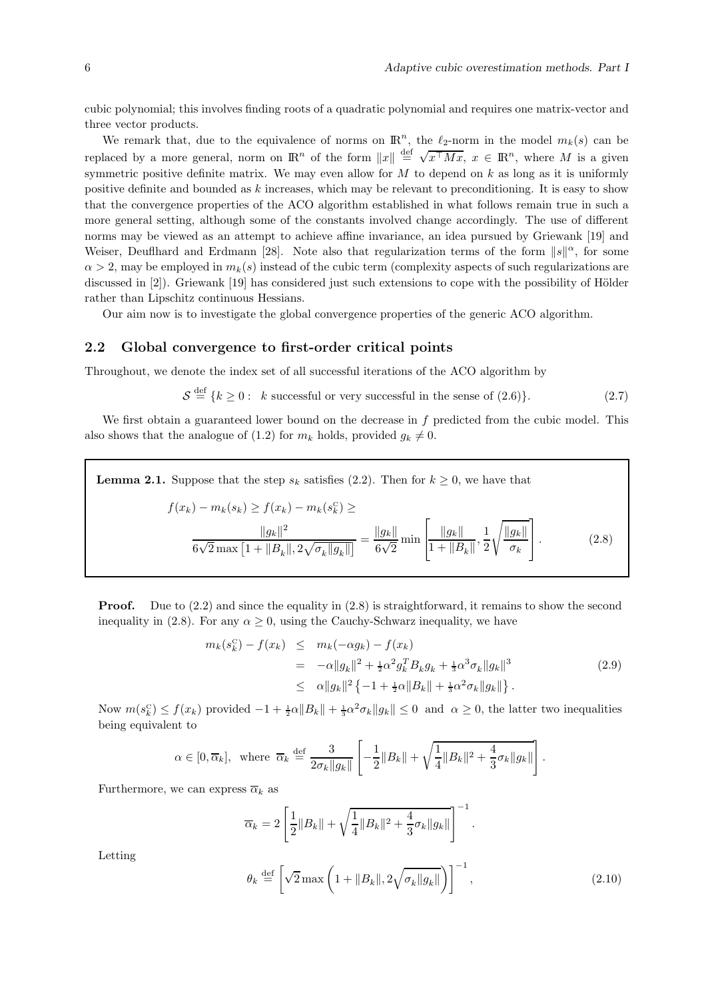cubic polynomial; this involves finding roots of a quadratic polynomial and requires one matrix-vector and three vector products.

We remark that, due to the equivalence of norms on  $\mathbb{R}^n$ , the  $\ell_2$ -norm in the model  $m_k(s)$  can be replaced by a more general, norm on  $\mathbb{R}^n$  of the form  $||x|| \stackrel{\text{def}}{=} \sqrt{x^{\top}Mx}$ ,  $x \in \mathbb{R}^n$ , where M is a given symmetric positive definite matrix. We may even allow for  $M$  to depend on  $k$  as long as it is uniformly positive definite and bounded as k increases, which may be relevant to preconditioning. It is easy to show that the convergence properties of the ACO algorithm established in what follows remain true in such a more general setting, although some of the constants involved change accordingly. The use of different norms may be viewed as an attempt to achieve affine invariance, an idea pursued by Griewank [19] and Weiser, Deufthard and Erdmann [28]. Note also that regularization terms of the form  $||s||^{\alpha}$ , for some  $\alpha > 2$ , may be employed in  $m_k(s)$  instead of the cubic term (complexity aspects of such regularizations are discussed in  $[2]$ ). Griewank  $[19]$  has considered just such extensions to cope with the possibility of Hölder rather than Lipschitz continuous Hessians.

Our aim now is to investigate the global convergence properties of the generic ACO algorithm.

### 2.2 Global convergence to first-order critical points

Throughout, we denote the index set of all successful iterations of the ACO algorithm by

 $S \stackrel{\text{def}}{=} \{k \ge 0: k \text{ successful or very successful in the sense of (2.6)}\}.$  (2.7)

We first obtain a guaranteed lower bound on the decrease in f predicted from the cubic model. This also shows that the analogue of (1.2) for  $m_k$  holds, provided  $q_k \neq 0$ .

**Lemma 2.1.** Suppose that the step  $s_k$  satisfies (2.2). Then for  $k \geq 0$ , we have that

$$
f(x_k) - m_k(s_k) \ge f(x_k) - m_k(s_k^c) \ge
$$
  

$$
\frac{\|g_k\|^2}{6\sqrt{2} \max\left[1 + \|B_k\|, 2\sqrt{\sigma_k} \|g_k\|\right]} = \frac{\|g_k\|}{6\sqrt{2}} \min\left[\frac{\|g_k\|}{1 + \|B_k\|}, \frac{1}{2} \sqrt{\frac{\|g_k\|}{\sigma_k}}\right].
$$
 (2.8)

**Proof.** Due to  $(2.2)$  and since the equality in  $(2.8)$  is straightforward, it remains to show the second inequality in (2.8). For any  $\alpha \geq 0$ , using the Cauchy-Schwarz inequality, we have

$$
m_k(s_k^C) - f(x_k) \leq m_k(-\alpha g_k) - f(x_k)
$$
  
=  $-\alpha ||g_k||^2 + \frac{1}{2}\alpha^2 g_k^T B_k g_k + \frac{1}{3}\alpha^3 \sigma_k ||g_k||^3$   
 $\leq \alpha ||g_k||^2 \{-1 + \frac{1}{2}\alpha ||B_k|| + \frac{1}{3}\alpha^2 \sigma_k ||g_k||\}.$  (2.9)

Now  $m(s_k^c) \le f(x_k)$  provided  $-1 + \frac{1}{2}\alpha \|B_k\| + \frac{1}{3}\alpha^2 \sigma_k \|g_k\| \le 0$  and  $\alpha \ge 0$ , the latter two inequalities being equivalent to

$$
\alpha \in [0, \overline{\alpha}_k],
$$
 where  $\overline{\alpha}_k \stackrel{\text{def}}{=} \frac{3}{2\sigma_k \|g_k\|} \left[ -\frac{1}{2} \|B_k\| + \sqrt{\frac{1}{4} \|B_k\|^2 + \frac{4}{3} \sigma_k \|g_k\|} \right].$ 

Furthermore, we can express  $\overline{\alpha}_k$  as

$$
\overline{\alpha}_k = 2 \left[ \frac{1}{2} \|B_k\| + \sqrt{\frac{1}{4} \|B_k\|^2 + \frac{4}{3} \sigma_k \|g_k\|} \right]^{-1}.
$$

Letting

$$
\theta_k \stackrel{\text{def}}{=} \left[ \sqrt{2} \max \left( 1 + \|B_k\|, 2\sqrt{\sigma_k \|g_k\|} \right) \right]^{-1},\tag{2.10}
$$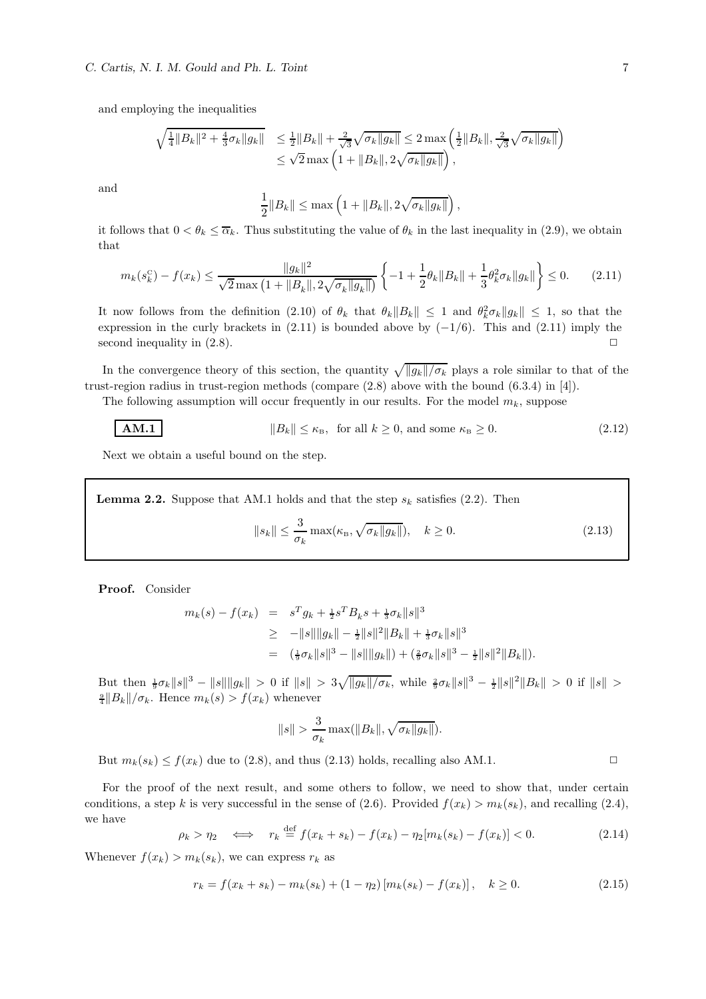and employing the inequalities

$$
\sqrt{\frac{1}{4}||B_k||^2 + \frac{4}{3}\sigma_k||g_k||} \le \frac{1}{2}||B_k|| + \frac{2}{\sqrt{3}}\sqrt{\sigma_k||g_k||} \le 2 \max\left(\frac{1}{2}||B_k||, \frac{2}{\sqrt{3}}\sqrt{\sigma_k||g_k||}\right) \le \sqrt{2} \max\left(1 + ||B_k||, 2\sqrt{\sigma_k||g_k||}\right),
$$

and

$$
\frac{1}{2}||B_k|| \le \max\left(1 + ||B_k||, 2\sqrt{\sigma_k ||g_k||}\right),\,
$$

it follows that  $0 < \theta_k \leq \overline{\alpha}_k$ . Thus substituting the value of  $\theta_k$  in the last inequality in (2.9), we obtain that

$$
m_k(s_k^{\mathcal{C}}) - f(x_k) \le \frac{\|g_k\|^2}{\sqrt{2}\max\left(1 + \|B_k\|, 2\sqrt{\sigma_k \|g_k\|}\right)} \left\{-1 + \frac{1}{2}\theta_k \|B_k\| + \frac{1}{3}\theta_k^2 \sigma_k \|g_k\|\right\} \le 0. \tag{2.11}
$$

It now follows from the definition (2.10) of  $\theta_k$  that  $\theta_k ||B_k|| \leq 1$  and  $\theta_k^2 \sigma_k ||g_k|| \leq 1$ , so that the expression in the curly brackets in (2.11) is bounded above by  $(-1/6)$ . This and (2.11) imply the second inequality in (2.8). second inequality in  $(2.8)$ .

In the convergence theory of this section, the quantity  $\sqrt{||g_k||/\sigma_k}$  plays a role similar to that of the trust-region radius in trust-region methods (compare (2.8) above with the bound (6.3.4) in [4]).

The following assumption will occur frequently in our results. For the model  $m_k$ , suppose

$$
||B_k|| \le \kappa_{\rm B}, \text{ for all } k \ge 0, \text{ and some } \kappa_{\rm B} \ge 0. \tag{2.12}
$$

Next we obtain a useful bound on the step.

**Lemma 2.2.** Suppose that AM.1 holds and that the step  $s_k$  satisfies (2.2). Then

$$
||s_k|| \le \frac{3}{\sigma_k} \max(\kappa_{\rm B}, \sqrt{\sigma_k ||g_k||}), \quad k \ge 0. \tag{2.13}
$$

Proof. Consider

$$
m_k(s) - f(x_k) = s^T g_k + \frac{1}{2} s^T B_k s + \frac{1}{3} \sigma_k \|s\|^3
$$
  
\n
$$
\geq -\|s\| \|g_k\| - \frac{1}{2} \|s\|^2 \|B_k\| + \frac{1}{3} \sigma_k \|s\|^3
$$
  
\n
$$
= (\frac{1}{9} \sigma_k \|s\|^3 - \|s\| \|g_k\|) + (\frac{2}{9} \sigma_k \|s\|^3 - \frac{1}{2} \|s\|^2 \|B_k\|).
$$

But then  $\frac{1}{9}\sigma_k \|s\|^3 - \|s\| \|g_k\| > 0$  if  $\|s\| > 3\sqrt{\|g_k\|/\sigma_k}$ , while  $\frac{2}{9}\sigma_k \|s\|^3 - \frac{1}{2} \|s\|^2 \|B_k\| > 0$  if  $\|s\| >$  $\frac{9}{4}||B_k||/\sigma_k$ . Hence  $m_k(s) > f(x_k)$  whenever

$$
||s|| > \frac{3}{\sigma_k} \max(||B_k||, \sqrt{\sigma_k ||g_k||}).
$$

But  $m_k(s_k) \le f(x_k)$  due to (2.8), and thus (2.13) holds, recalling also AM.1.

For the proof of the next result, and some others to follow, we need to show that, under certain conditions, a step k is very successful in the sense of (2.6). Provided  $f(x_k) > m_k(s_k)$ , and recalling (2.4), we have

$$
\rho_k > \eta_2 \quad \Longleftrightarrow \quad r_k \stackrel{\text{def}}{=} f(x_k + s_k) - f(x_k) - \eta_2[m_k(s_k) - f(x_k)] < 0. \tag{2.14}
$$

Whenever  $f(x_k) > m_k(s_k)$ , we can express  $r_k$  as

$$
r_k = f(x_k + s_k) - m_k(s_k) + (1 - \eta_2) [m_k(s_k) - f(x_k)], \quad k \ge 0.
$$
 (2.15)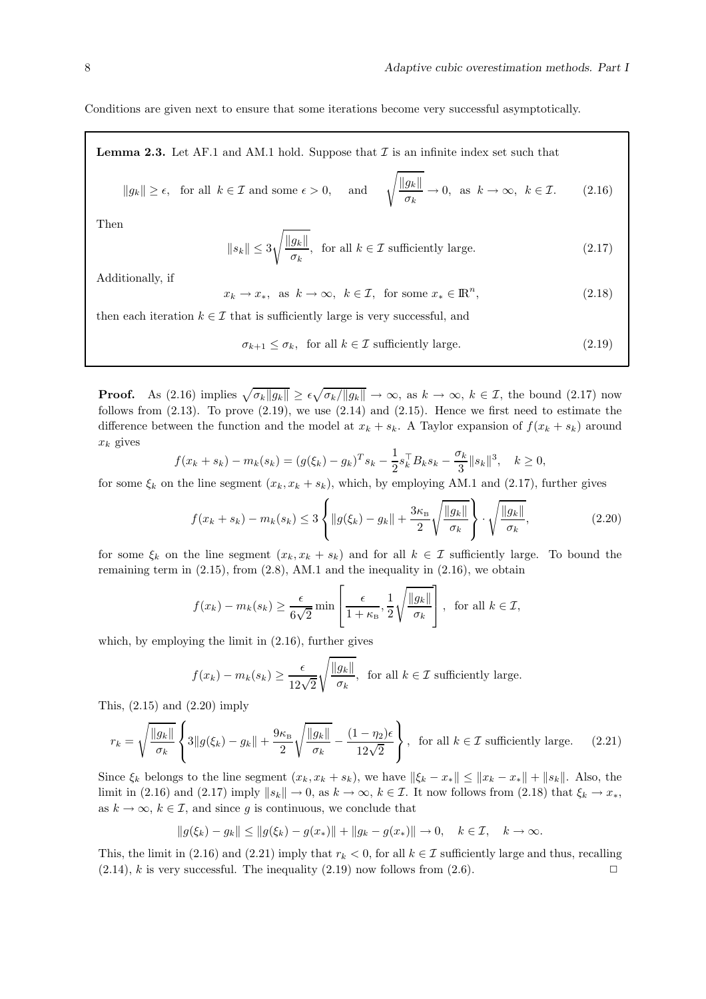Conditions are given next to ensure that some iterations become very successful asymptotically.

**Lemma 2.3.** Let AF.1 and AM.1 hold. Suppose that  $\mathcal I$  is an infinite index set such that

$$
||g_k|| \ge \epsilon
$$
, for all  $k \in \mathcal{I}$  and some  $\epsilon > 0$ , and  $\sqrt{\frac{||g_k||}{\sigma_k}} \to 0$ , as  $k \to \infty$ ,  $k \in \mathcal{I}$ . (2.16)

Then

$$
\|s_k\| \le 3\sqrt{\frac{\|g_k\|}{\sigma_k}}, \text{ for all } k \in \mathcal{I} \text{ sufficiently large.}
$$
 (2.17)

Additionally, if

$$
x_k \to x_*, \text{ as } k \to \infty, \ k \in \mathcal{I}, \text{ for some } x_* \in \mathbb{R}^n,
$$
\n
$$
(2.18)
$$

then each iteration  $k \in \mathcal{I}$  that is sufficiently large is very successful, and

$$
\sigma_{k+1} \le \sigma_k, \text{ for all } k \in \mathcal{I} \text{ sufficiently large.} \tag{2.19}
$$

**Proof.** As (2.16) implies  $\sqrt{\sigma_k ||g_k||} \ge \epsilon \sqrt{\sigma_k / ||g_k||} \to \infty$ , as  $k \to \infty$ ,  $k \in \mathcal{I}$ , the bound (2.17) now follows from  $(2.13)$ . To prove  $(2.19)$ , we use  $(2.14)$  and  $(2.15)$ . Hence we first need to estimate the difference between the function and the model at  $x_k + s_k$ . A Taylor expansion of  $f(x_k + s_k)$  around  $x_k$  gives

$$
f(x_k + s_k) - m_k(s_k) = (g(\xi_k) - g_k)^T s_k - \frac{1}{2} s_k^{\top} B_k s_k - \frac{\sigma_k}{3} ||s_k||^3, \quad k \ge 0,
$$

for some  $\xi_k$  on the line segment  $(x_k, x_k + s_k)$ , which, by employing AM.1 and (2.17), further gives

$$
f(x_k + s_k) - m_k(s_k) \le 3 \left\{ \|g(\xi_k) - g_k\| + \frac{3\kappa_B}{2} \sqrt{\frac{\|g_k\|}{\sigma_k}} \right\} \cdot \sqrt{\frac{\|g_k\|}{\sigma_k}},
$$
\n(2.20)

for some  $\xi_k$  on the line segment  $(x_k, x_k + s_k)$  and for all  $k \in \mathcal{I}$  sufficiently large. To bound the remaining term in  $(2.15)$ , from  $(2.8)$ , AM.1 and the inequality in  $(2.16)$ , we obtain

$$
f(x_k) - m_k(s_k) \ge \frac{\epsilon}{6\sqrt{2}} \min\left[\frac{\epsilon}{1+\kappa_B}, \frac{1}{2}\sqrt{\frac{\|g_k\|}{\sigma_k}}\right],
$$
 for all  $k \in \mathcal{I}$ ,

which, by employing the limit in (2.16), further gives

$$
f(x_k) - m_k(s_k) \ge \frac{\epsilon}{12\sqrt{2}} \sqrt{\frac{\|g_k\|}{\sigma_k}},
$$
 for all  $k \in \mathcal{I}$  sufficiently large.

This, (2.15) and (2.20) imply

$$
r_k = \sqrt{\frac{\|g_k\|}{\sigma_k}} \left\{ 3\|g(\xi_k) - g_k\| + \frac{9\kappa_B}{2} \sqrt{\frac{\|g_k\|}{\sigma_k}} - \frac{(1-\eta_2)\epsilon}{12\sqrt{2}} \right\}, \text{ for all } k \in \mathcal{I} \text{ sufficiently large.} \tag{2.21}
$$

Since  $\xi_k$  belongs to the line segment  $(x_k, x_k + s_k)$ , we have  $\|\xi_k - x_*\| \leq \|x_k - x_*\| + \|s_k\|$ . Also, the limit in (2.16) and (2.17) imply  $\|s_k\| \to 0$ , as  $k \to \infty$ ,  $k \in \mathcal{I}$ . It now follows from (2.18) that  $\xi_k \to x_*,$ as  $k \to \infty$ ,  $k \in \mathcal{I}$ , and since g is continuous, we conclude that

$$
||g(\xi_k) - g_k|| \le ||g(\xi_k) - g(x_*)|| + ||g_k - g(x_*)|| \to 0, \quad k \in \mathcal{I}, \quad k \to \infty.
$$

This, the limit in (2.16) and (2.21) imply that  $r_k < 0$ , for all  $k \in \mathcal{I}$  sufficiently large and thus, recalling (2.14), k is very successful. The inequality (2.19) now follows from (2.6).  $(2.14)$ , k is very successful. The inequality  $(2.19)$  now follows from  $(2.6)$ .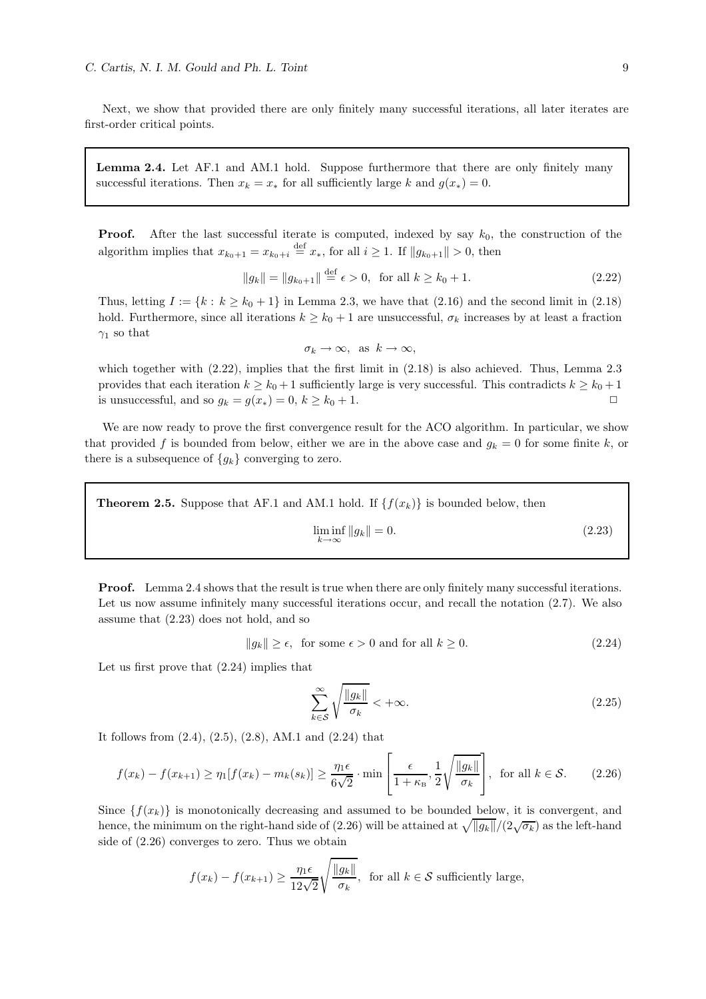Next, we show that provided there are only finitely many successful iterations, all later iterates are first-order critical points.

Lemma 2.4. Let AF.1 and AM.1 hold. Suppose furthermore that there are only finitely many successful iterations. Then  $x_k = x_*$  for all sufficiently large k and  $g(x_*) = 0$ .

**Proof.** After the last successful iterate is computed, indexed by say  $k_0$ , the construction of the algorithm implies that  $x_{k_0+1} = x_{k_0+i} \stackrel{\text{def}}{=} x_*$ , for all  $i \geq 1$ . If  $||g_{k_0+1}|| > 0$ , then

$$
||g_k|| = ||g_{k_0+1}|| \stackrel{\text{def}}{=} \epsilon > 0, \text{ for all } k \ge k_0 + 1.
$$
 (2.22)

Thus, letting  $I := \{k : k \geq k_0 + 1\}$  in Lemma 2.3, we have that  $(2.16)$  and the second limit in  $(2.18)$ hold. Furthermore, since all iterations  $k \geq k_0 + 1$  are unsuccessful,  $\sigma_k$  increases by at least a fraction  $\gamma_1$  so that

$$
\sigma_k \to \infty, \text{ as } k \to \infty,
$$

which together with  $(2.22)$ , implies that the first limit in  $(2.18)$  is also achieved. Thus, Lemma 2.3 provides that each iteration  $k \ge k_0 + 1$  sufficiently large is very successful. This contradicts  $k \ge k_0 + 1$  is unsuccessful, and so  $a_0 = a(x_0) = 0$ ,  $k > k_0 + 1$ is unsuccessful, and so  $g_k = g(x_*) = 0, k \ge k_0 + 1$ .

We are now ready to prove the first convergence result for the ACO algorithm. In particular, we show that provided f is bounded from below, either we are in the above case and  $g_k = 0$  for some finite k, or there is a subsequence of  ${g_k}$  converging to zero.

**Theorem 2.5.** Suppose that AF.1 and AM.1 hold. If  $\{f(x_k)\}\$ is bounded below, then

$$
\liminf_{k \to \infty} \|g_k\| = 0. \tag{2.23}
$$

**Proof.** Lemma 2.4 shows that the result is true when there are only finitely many successful iterations. Let us now assume infinitely many successful iterations occur, and recall the notation  $(2.7)$ . We also assume that (2.23) does not hold, and so

$$
||g_k|| \ge \epsilon, \text{ for some } \epsilon > 0 \text{ and for all } k \ge 0. \tag{2.24}
$$

Let us first prove that (2.24) implies that

$$
\sum_{k \in \mathcal{S}}^{\infty} \sqrt{\frac{\|g_k\|}{\sigma_k}} < +\infty. \tag{2.25}
$$

It follows from (2.4), (2.5), (2.8), AM.1 and (2.24) that

$$
f(x_k) - f(x_{k+1}) \ge \eta_1[f(x_k) - m_k(s_k)] \ge \frac{\eta_1 \epsilon}{6\sqrt{2}} \cdot \min\left[\frac{\epsilon}{1 + \kappa_{\rm B}}, \frac{1}{2} \sqrt{\frac{\|g_k\|}{\sigma_k}}\right], \text{ for all } k \in \mathcal{S}.
$$
 (2.26)

Since  $\{f(x_k)\}\$ is monotonically decreasing and assumed to be bounded below, it is convergent, and hence, the minimum on the right-hand side of (2.26) will be attained at  $\sqrt{||g_k||}/(2\sqrt{\sigma_k})$  as the left-hand side of (2.26) converges to zero. Thus we obtain

$$
f(x_k) - f(x_{k+1}) \ge \frac{\eta_1 \epsilon}{12\sqrt{2}} \sqrt{\frac{\|g_k\|}{\sigma_k}},
$$
 for all  $k \in \mathcal{S}$  sufficiently large,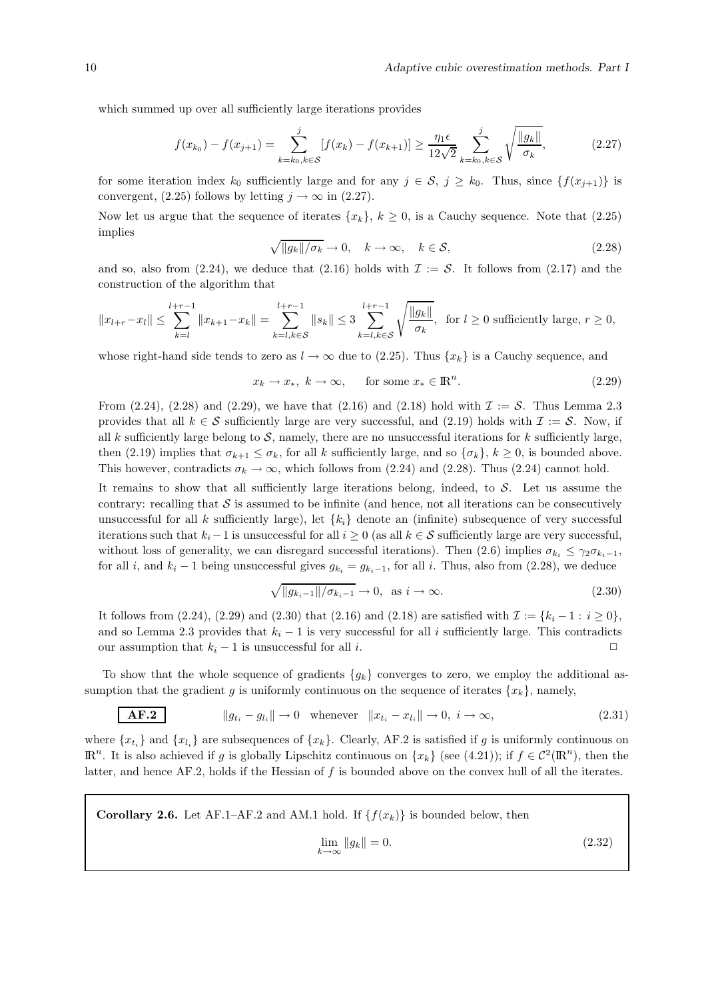which summed up over all sufficiently large iterations provides

$$
f(x_{k_0}) - f(x_{j+1}) = \sum_{k=k_0, k \in S}^{j} [f(x_k) - f(x_{k+1})] \ge \frac{\eta_1 \epsilon}{12\sqrt{2}} \sum_{k=k_0, k \in S}^{j} \sqrt{\frac{\|g_k\|}{\sigma_k}},
$$
(2.27)

for some iteration index  $k_0$  sufficiently large and for any  $j \in \mathcal{S}$ ,  $j \geq k_0$ . Thus, since  $\{f(x_{j+1})\}$  is convergent, (2.25) follows by letting  $j \to \infty$  in (2.27).

Now let us argue that the sequence of iterates  $\{x_k\}, k \geq 0$ , is a Cauchy sequence. Note that (2.25) implies

$$
\sqrt{\|g_k\|/\sigma_k} \to 0, \quad k \to \infty, \quad k \in \mathcal{S}, \tag{2.28}
$$

and so, also from  $(2.24)$ , we deduce that  $(2.16)$  holds with  $\mathcal{I} := \mathcal{S}$ . It follows from  $(2.17)$  and the construction of the algorithm that

$$
||x_{l+r} - x_l|| \le \sum_{k=l}^{l+r-1} ||x_{k+1} - x_k|| = \sum_{k=l, k \in S}^{l+r-1} ||s_k|| \le 3 \sum_{k=l, k \in S}^{l+r-1} \sqrt{\frac{||g_k||}{\sigma_k}}, \text{ for } l \ge 0 \text{ sufficiently large, } r \ge 0,
$$

whose right-hand side tends to zero as  $l \to \infty$  due to (2.25). Thus  $\{x_k\}$  is a Cauchy sequence, and

$$
x_k \to x_*, \ k \to \infty, \quad \text{for some } x_* \in \mathbb{R}^n. \tag{2.29}
$$

From  $(2.24)$ ,  $(2.28)$  and  $(2.29)$ , we have that  $(2.16)$  and  $(2.18)$  hold with  $\mathcal{I} := \mathcal{S}$ . Thus Lemma 2.3 provides that all  $k \in S$  sufficiently large are very successful, and (2.19) holds with  $\mathcal{I} := S$ . Now, if all k sufficiently large belong to  $S$ , namely, there are no unsuccessful iterations for k sufficiently large, then (2.19) implies that  $\sigma_{k+1} \leq \sigma_k$ , for all k sufficiently large, and so  $\{\sigma_k\}, k \geq 0$ , is bounded above. This however, contradicts  $\sigma_k \to \infty$ , which follows from (2.24) and (2.28). Thus (2.24) cannot hold.

It remains to show that all sufficiently large iterations belong, indeed, to  $\mathcal{S}$ . Let us assume the contrary: recalling that  $S$  is assumed to be infinite (and hence, not all iterations can be consecutively unsuccessful for all k sufficiently large), let  $\{k_i\}$  denote an (infinite) subsequence of very successful iterations such that  $k_i-1$  is unsuccessful for all  $i \geq 0$  (as all  $k \in S$  sufficiently large are very successful, without loss of generality, we can disregard successful iterations). Then (2.6) implies  $\sigma_{k_i} \leq \gamma_2 \sigma_{k_i-1}$ , for all i, and  $k_i - 1$  being unsuccessful gives  $g_{k_i} = g_{k_i-1}$ , for all i. Thus, also from (2.28), we deduce

$$
\sqrt{\|g_{k_i-1}\|/\sigma_{k_i-1}} \to 0, \text{ as } i \to \infty. \tag{2.30}
$$

It follows from (2.24), (2.29) and (2.30) that (2.16) and (2.18) are satisfied with  $\mathcal{I} := \{k_i - 1 : i \ge 0\}$ , and so Lemma 2.3 provides that  $k_i - 1$  is very successful for all i sufficiently large. This contradicts our assumption that  $k_i - 1$  is unsuccessful for all i. our assumption that  $k_i - 1$  is unsuccessful for all *i*.

To show that the whole sequence of gradients  $\{g_k\}$  converges to zero, we employ the additional assumption that the gradient g is uniformly continuous on the sequence of iterates  $\{x_k\}$ , namely,

$$
AF.2
$$

 $||g_{t_i} - g_{l_i}|| \to 0$  whenever  $||x_{t_i} - x_{l_i}|| \to 0$ ,  $i \to \infty$ , (2.31)

where  $\{x_{t_i}\}\$  and  $\{x_{l_i}\}\$ are subsequences of  $\{x_k\}\$ . Clearly, AF.2 is satisfied if g is uniformly continuous on  $\mathbb{R}^n$ . It is also achieved if g is globally Lipschitz continuous on  $\{x_k\}$  (see (4.21)); if  $f \in C^2(\mathbb{R}^n)$ , then the latter, and hence AF.2, holds if the Hessian of  $f$  is bounded above on the convex hull of all the iterates.

**Corollary 2.6.** Let AF.1–AF.2 and AM.1 hold. If  $\{f(x_k)\}\$ is bounded below, then

$$
\lim_{k \to \infty} \|g_k\| = 0. \tag{2.32}
$$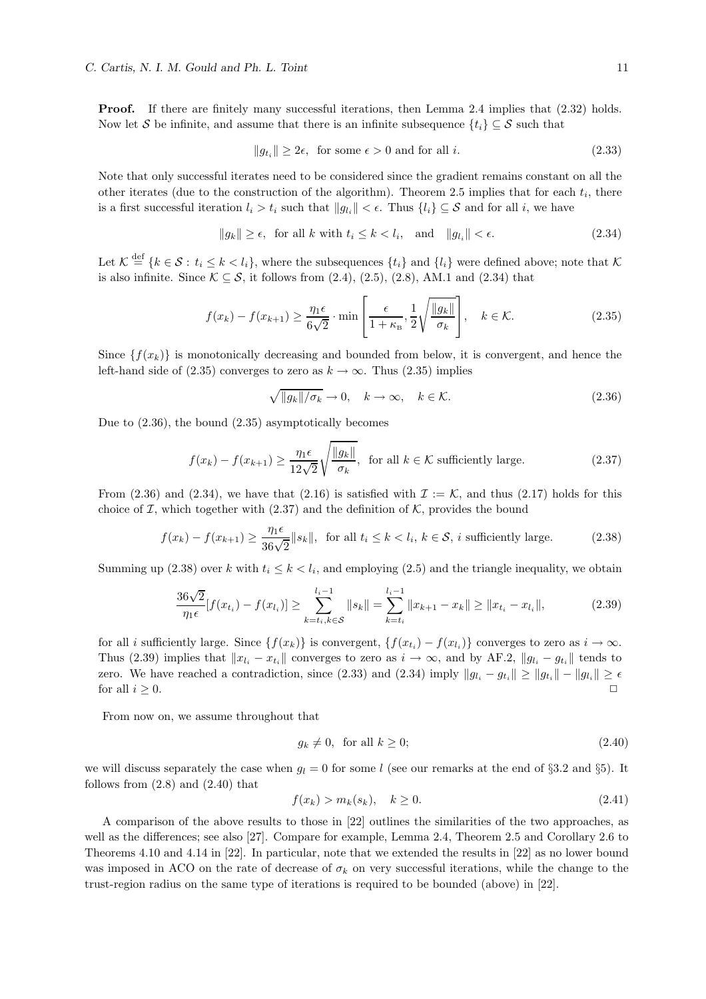**Proof.** If there are finitely many successful iterations, then Lemma 2.4 implies that  $(2.32)$  holds. Now let S be infinite, and assume that there is an infinite subsequence  $\{t_i\} \subseteq S$  such that

$$
||g_{t_i}|| \ge 2\epsilon, \text{ for some } \epsilon > 0 \text{ and for all } i. \tag{2.33}
$$

Note that only successful iterates need to be considered since the gradient remains constant on all the other iterates (due to the construction of the algorithm). Theorem 2.5 implies that for each  $t_i$ , there is a first successful iteration  $l_i > t_i$  such that  $||g_{l_i}|| < \epsilon$ . Thus  $\{l_i\} \subseteq S$  and for all i, we have

$$
||g_k|| \ge \epsilon, \text{ for all } k \text{ with } t_i \le k < l_i, \text{ and } ||g_{l_i}|| < \epsilon. \tag{2.34}
$$

Let  $\mathcal{K} \stackrel{\text{def}}{=} \{k \in \mathcal{S} : t_i \leq k \lt l_i\}$ , where the subsequences  $\{t_i\}$  and  $\{l_i\}$  were defined above; note that  $\mathcal{K}$ is also infinite. Since  $\mathcal{K} \subseteq \mathcal{S}$ , it follows from (2.4), (2.5), (2.8), AM.1 and (2.34) that

$$
f(x_k) - f(x_{k+1}) \ge \frac{\eta_1 \epsilon}{6\sqrt{2}} \cdot \min\left[\frac{\epsilon}{1 + \kappa_{\rm B}}, \frac{1}{2} \sqrt{\frac{\|g_k\|}{\sigma_k}}\right], \quad k \in \mathcal{K}.
$$
 (2.35)

Since  $\{f(x_k)\}\$ is monotonically decreasing and bounded from below, it is convergent, and hence the left-hand side of (2.35) converges to zero as  $k \to \infty$ . Thus (2.35) implies

$$
\sqrt{\|g_k\|/\sigma_k} \to 0, \quad k \to \infty, \quad k \in \mathcal{K}.
$$
\n(2.36)

Due to (2.36), the bound (2.35) asymptotically becomes

$$
f(x_k) - f(x_{k+1}) \ge \frac{\eta_1 \epsilon}{12\sqrt{2}} \sqrt{\frac{\|g_k\|}{\sigma_k}}, \text{ for all } k \in \mathcal{K} \text{ sufficiently large.}
$$
 (2.37)

From (2.36) and (2.34), we have that (2.16) is satisfied with  $\mathcal{I} := \mathcal{K}$ , and thus (2.17) holds for this choice of  $\mathcal I$ , which together with (2.37) and the definition of  $\mathcal K$ , provides the bound

$$
f(x_k) - f(x_{k+1}) \ge \frac{\eta_1 \epsilon}{36\sqrt{2}} \|s_k\|, \text{ for all } t_i \le k < l_i, \, k \in \mathcal{S}, \, i \text{ sufficiently large.} \tag{2.38}
$$

Summing up (2.38) over k with  $t_i \leq k \lt l_i$ , and employing (2.5) and the triangle inequality, we obtain

$$
\frac{36\sqrt{2}}{\eta_1 \epsilon} [f(x_{t_i}) - f(x_{l_i})] \ge \sum_{k=t_i, k \in S}^{l_i - 1} \|s_k\| = \sum_{k=t_i}^{l_i - 1} \|x_{k+1} - x_k\| \ge \|x_{t_i} - x_{l_i}\|,
$$
\n(2.39)

for all *i* sufficiently large. Since  $\{f(x_k)\}\$ is convergent,  $\{f(x_{t_i}) - f(x_{l_i})\}\$ converges to zero as  $i \to \infty$ . Thus (2.39) implies that  $||x_{l_i} - x_{t_i}||$  converges to zero as  $i \to \infty$ , and by AF.2,  $||g_{l_i} - g_{t_i}||$  tends to zero. We have reached a contradiction, since (2.33) and (2.34) imply  $||g_{l_i} - g_{t_i}|| \ge ||g_{t_i} - g_{t_i}|| \ge \epsilon$ for all  $i \geq 0$ .

From now on, we assume throughout that

$$
g_k \neq 0, \text{ for all } k \ge 0; \tag{2.40}
$$

we will discuss separately the case when  $g_l = 0$  for some l (see our remarks at the end of §3.2 and §5). It follows from  $(2.8)$  and  $(2.40)$  that

$$
f(x_k) > m_k(s_k), \quad k \ge 0. \tag{2.41}
$$

A comparison of the above results to those in [22] outlines the similarities of the two approaches, as well as the differences; see also [27]. Compare for example, Lemma 2.4, Theorem 2.5 and Corollary 2.6 to Theorems 4.10 and 4.14 in [22]. In particular, note that we extended the results in [22] as no lower bound was imposed in ACO on the rate of decrease of  $\sigma_k$  on very successful iterations, while the change to the trust-region radius on the same type of iterations is required to be bounded (above) in [22].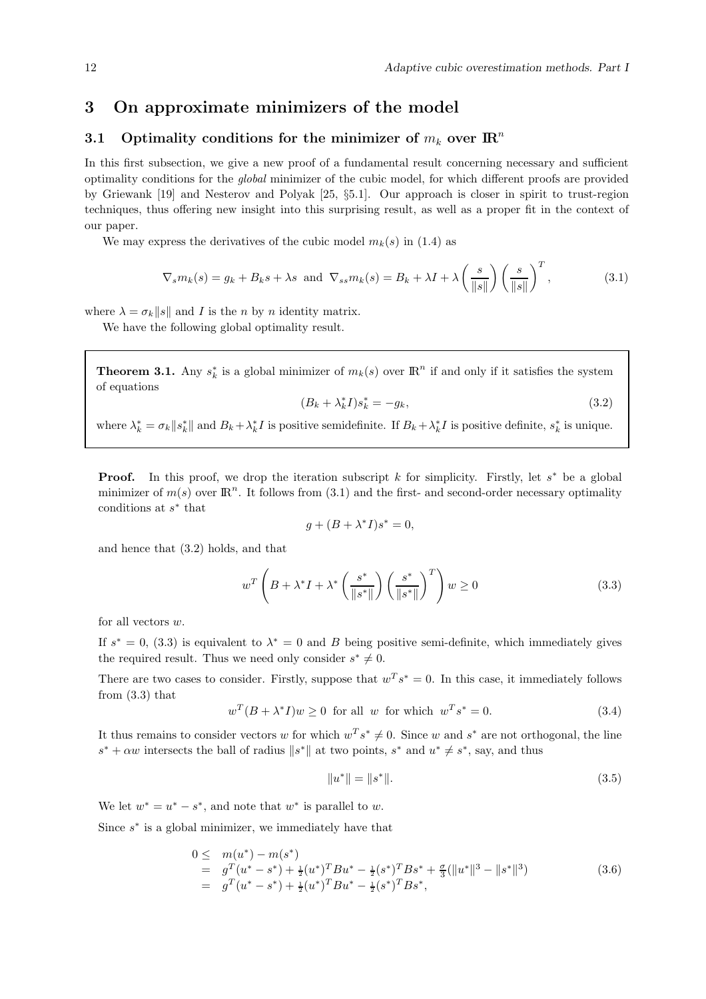## 3 On approximate minimizers of the model

## 3.1 Optimality conditions for the minimizer of  $m_k$  over  $\mathbb{R}^n$

In this first subsection, we give a new proof of a fundamental result concerning necessary and sufficient optimality conditions for the global minimizer of the cubic model, for which different proofs are provided by Griewank [19] and Nesterov and Polyak [25, §5.1]. Our approach is closer in spirit to trust-region techniques, thus offering new insight into this surprising result, as well as a proper fit in the context of our paper.

We may express the derivatives of the cubic model  $m_k(s)$  in (1.4) as

$$
\nabla_s m_k(s) = g_k + B_k s + \lambda s \text{ and } \nabla_{ss} m_k(s) = B_k + \lambda I + \lambda \left(\frac{s}{\|s\|}\right) \left(\frac{s}{\|s\|}\right)^T,\tag{3.1}
$$

where  $\lambda = \sigma_k ||s||$  and I is the n by n identity matrix.

We have the following global optimality result.

**Theorem 3.1.** Any  $s_k^*$  is a global minimizer of  $m_k(s)$  over  $\mathbb{R}^n$  if and only if it satisfies the system of equations

$$
(B_k + \lambda_k^* I)s_k^* = -g_k,\tag{3.2}
$$

where  $\lambda_k^* = \sigma_k ||s_k^*||$  and  $B_k + \lambda_k^* I$  is positive semidefinite. If  $B_k + \lambda_k^* I$  is positive definite,  $s_k^*$  is unique.

**Proof.** In this proof, we drop the iteration subscript k for simplicity. Firstly, let  $s^*$  be a global minimizer of  $m(s)$  over  $\mathbb{R}^n$ . It follows from (3.1) and the first- and second-order necessary optimality conditions at s ∗ that

$$
g + (B + \lambda^* I)s^* = 0,
$$

and hence that (3.2) holds, and that

$$
w^T \left( B + \lambda^* I + \lambda^* \left( \frac{s^*}{\|s^*\|} \right) \left( \frac{s^*}{\|s^*\|} \right)^T \right) w \ge 0
$$
\n(3.3)

for all vectors w.

If  $s^* = 0$ , (3.3) is equivalent to  $\lambda^* = 0$  and B being positive semi-definite, which immediately gives the required result. Thus we need only consider  $s^* \neq 0$ .

There are two cases to consider. Firstly, suppose that  $w^T s^* = 0$ . In this case, it immediately follows from  $(3.3)$  that

$$
w^{T}(B + \lambda^{*} I)w \ge 0 \text{ for all } w \text{ for which } w^{T}s^{*} = 0.
$$
 (3.4)

It thus remains to consider vectors w for which  $w^T s^* \neq 0$ . Since w and  $s^*$  are not orthogonal, the line  $s^* + \alpha w$  intersects the ball of radius  $||s^*||$  at two points,  $s^*$  and  $u^* \neq s^*$ , say, and thus

$$
||u^*|| = ||s^*||. \t\t(3.5)
$$

We let  $w^* = u^* - s^*$ , and note that  $w^*$  is parallel to w.

Since  $s^*$  is a global minimizer, we immediately have that

$$
0 \leq m(u^*) - m(s^*)
$$
  
=  $g^T(u^* - s^*) + \frac{1}{2}(u^*)^T B u^* - \frac{1}{2}(s^*)^T B s^* + \frac{\sigma}{3}(\|u^*\|^3 - \|s^*\|^3)$   
=  $g^T(u^* - s^*) + \frac{1}{2}(u^*)^T B u^* - \frac{1}{2}(s^*)^T B s^*,$  (3.6)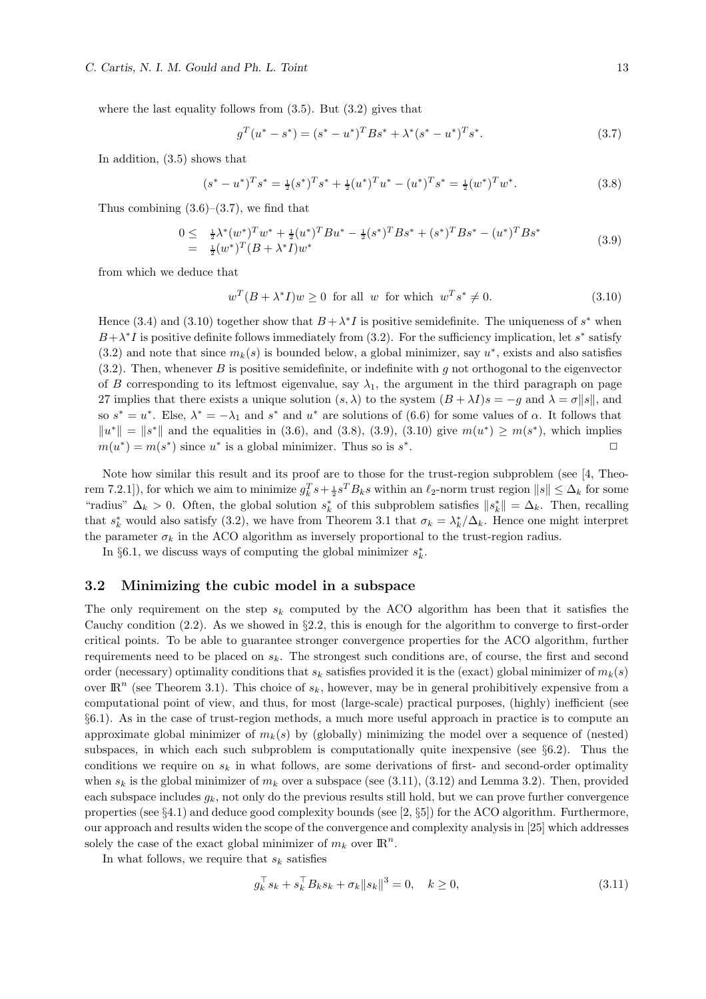where the last equality follows from  $(3.5)$ . But  $(3.2)$  gives that

$$
g^{T}(u^{*}-s^{*}) = (s^{*}-u^{*})^{T}Bs^{*} + \lambda^{*}(s^{*}-u^{*})^{T}s^{*}.
$$
\n(3.7)

In addition, (3.5) shows that

$$
(s^* - u^*)^T s^* = \frac{1}{2}(s^*)^T s^* + \frac{1}{2}(u^*)^T u^* - (u^*)^T s^* = \frac{1}{2}(w^*)^T w^*.
$$
\n(3.8)

Thus combining  $(3.6)$ – $(3.7)$ , we find that

$$
0 \leq \frac{1}{2}\lambda^*(w^*)^T w^* + \frac{1}{2}(u^*)^T B u^* - \frac{1}{2}(s^*)^T B s^* + (s^*)^T B s^* - (u^*)^T B s^* = \frac{1}{2}(w^*)^T (B + \lambda^* I) w^* \tag{3.9}
$$

from which we deduce that

$$
w^{T}(B + \lambda^{*} I)w \ge 0 \text{ for all } w \text{ for which } w^{T}s^{*} \ne 0.
$$
 (3.10)

Hence (3.4) and (3.10) together show that  $B + \lambda^* I$  is positive semidefinite. The uniqueness of  $s^*$  when  $B + \lambda^* I$  is positive definite follows immediately from (3.2). For the sufficiency implication, let s<sup>\*</sup> satisfy  $(3.2)$  and note that since  $m_k(s)$  is bounded below, a global minimizer, say  $u^*$ , exists and also satisfies  $(3.2)$ . Then, whenever B is positive semidefinite, or indefinite with g not orthogonal to the eigenvector of B corresponding to its leftmost eigenvalue, say  $\lambda_1$ , the argument in the third paragraph on page 27 implies that there exists a unique solution  $(s, \lambda)$  to the system  $(B + \lambda I)s = -g$  and  $\lambda = \sigma ||s||$ , and so  $s^* = u^*$ . Else,  $\lambda^* = -\lambda_1$  and  $s^*$  and  $u^*$  are solutions of (6.6) for some values of  $\alpha$ . It follows that  $||u^*|| = ||s^*||$  and the equalities in (3.6), and (3.8), (3.9), (3.10) give  $m(u^*) \ge m(s^*)$ , which implies  $m(u^*) = m(s^*)$  since  $u^*$  is a global minimizer. Thus so is  $s^*$ . The contract of  $\Box$ 

Note how similar this result and its proof are to those for the trust-region subproblem (see [4, Theorem 7.2.1]), for which we aim to minimize  $g_k^T s + \frac{1}{2} s^T B_k s$  within an  $\ell_2$ -norm trust region  $||s|| \leq \Delta_k$  for some "radius"  $\Delta_k > 0$ . Often, the global solution  $s_k^*$  of this subproblem satisfies  $||s_k^*|| = \Delta_k$ . Then, recalling that  $s_k^*$  would also satisfy (3.2), we have from Theorem 3.1 that  $\sigma_k = \lambda_k^* / \Delta_k$ . Hence one might interpret the parameter  $\sigma_k$  in the ACO algorithm as inversely proportional to the trust-region radius.

In §6.1, we discuss ways of computing the global minimizer  $s_k^*$ .

#### 3.2 Minimizing the cubic model in a subspace

The only requirement on the step  $s_k$  computed by the ACO algorithm has been that it satisfies the Cauchy condition  $(2.2)$ . As we showed in §2.2, this is enough for the algorithm to converge to first-order critical points. To be able to guarantee stronger convergence properties for the ACO algorithm, further requirements need to be placed on  $s_k$ . The strongest such conditions are, of course, the first and second order (necessary) optimality conditions that  $s_k$  satisfies provided it is the (exact) global minimizer of  $m_k(s)$ over  $\mathbb{R}^n$  (see Theorem 3.1). This choice of  $s_k$ , however, may be in general prohibitively expensive from a computational point of view, and thus, for most (large-scale) practical purposes, (highly) inefficient (see §6.1). As in the case of trust-region methods, a much more useful approach in practice is to compute an approximate global minimizer of  $m_k(s)$  by (globally) minimizing the model over a sequence of (nested) subspaces, in which each such subproblem is computationally quite inexpensive (see  $\S6.2$ ). Thus the conditions we require on  $s_k$  in what follows, are some derivations of first- and second-order optimality when  $s_k$  is the global minimizer of  $m_k$  over a subspace (see (3.11), (3.12) and Lemma 3.2). Then, provided each subspace includes  $g_k$ , not only do the previous results still hold, but we can prove further convergence properties (see §4.1) and deduce good complexity bounds (see [2, §5]) for the ACO algorithm. Furthermore, our approach and results widen the scope of the convergence and complexity analysis in [25] which addresses solely the case of the exact global minimizer of  $m_k$  over  $\mathbb{R}^n$ .

In what follows, we require that  $s_k$  satisfies

$$
g_k^{\top} s_k + s_k^{\top} B_k s_k + \sigma_k \|s_k\|^3 = 0, \quad k \ge 0,
$$
\n(3.11)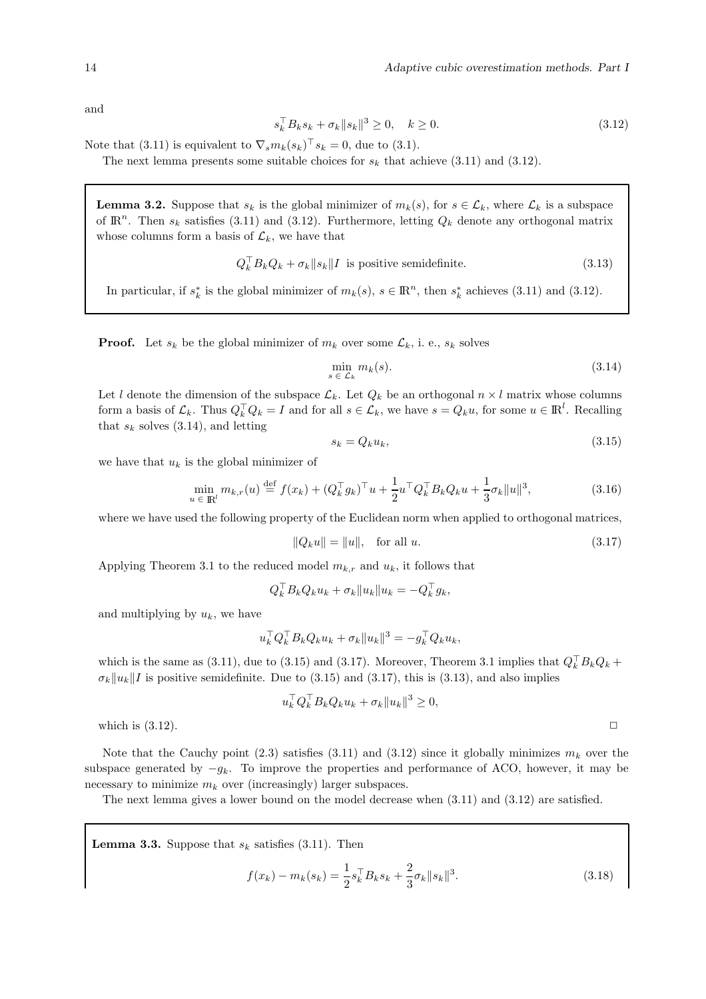and

$$
s_k^{\top} B_k s_k + \sigma_k \|s_k\|^3 \ge 0, \quad k \ge 0. \tag{3.12}
$$

Note that (3.11) is equivalent to  $\nabla_s m_k(s_k)$ <sup> $\, \cdot \, s_k = 0$ , due to (3.1).</sup>

The next lemma presents some suitable choices for  $s_k$  that achieve (3.11) and (3.12).

**Lemma 3.2.** Suppose that  $s_k$  is the global minimizer of  $m_k(s)$ , for  $s \in \mathcal{L}_k$ , where  $\mathcal{L}_k$  is a subspace of  $\mathbb{R}^n$ . Then  $s_k$  satisfies (3.11) and (3.12). Furthermore, letting  $Q_k$  denote any orthogonal matrix whose columns form a basis of  $\mathcal{L}_k$ , we have that

$$
Q_k^{\top} B_k Q_k + \sigma_k \|s_k\| I
$$
 is positive semidefinite. (3.13)

In particular, if  $s_k^*$  is the global minimizer of  $m_k(s)$ ,  $s \in \mathbb{R}^n$ , then  $s_k^*$  achieves (3.11) and (3.12).

**Proof.** Let  $s_k$  be the global minimizer of  $m_k$  over some  $\mathcal{L}_k$ , i. e.,  $s_k$  solves

$$
\min_{s \in \mathcal{L}_k} m_k(s). \tag{3.14}
$$

Let l denote the dimension of the subspace  $\mathcal{L}_k$ . Let  $Q_k$  be an orthogonal  $n \times l$  matrix whose columns form a basis of  $\mathcal{L}_k$ . Thus  $Q_k^{\top} Q_k = I$  and for all  $s \in \mathcal{L}_k$ , we have  $s = Q_k u$ , for some  $u \in \mathbb{R}^l$ . Recalling that  $s_k$  solves (3.14), and letting

$$
s_k = Q_k u_k,\tag{3.15}
$$

we have that  $u_k$  is the global minimizer of

$$
\min_{u \in \mathbb{R}^l} m_{k,r}(u) \stackrel{\text{def}}{=} f(x_k) + (Q_k^{\top} g_k)^{\top} u + \frac{1}{2} u^{\top} Q_k^{\top} B_k Q_k u + \frac{1}{3} \sigma_k \|u\|^3, \tag{3.16}
$$

where we have used the following property of the Euclidean norm when applied to orthogonal matrices,

$$
||Q_k u|| = ||u||, \text{ for all } u.
$$
 (3.17)

Applying Theorem 3.1 to the reduced model  $m_{k,r}$  and  $u_k$ , it follows that

$$
Q_k^\top B_k Q_k u_k + \sigma_k \|u_k\| u_k = -Q_k^\top g_k,
$$

and multiplying by  $u_k$ , we have

$$
u_k^\top Q_k^\top B_k Q_k u_k + \sigma_k \|u_k\|^3 = -g_k^\top Q_k u_k,
$$

which is the same as  $(3.11)$ , due to  $(3.15)$  and  $(3.17)$ . Moreover, Theorem 3.1 implies that  $Q_k^{\dagger} B_k Q_k +$  $\sigma_k ||u_k||$  is positive semidefinite. Due to (3.15) and (3.17), this is (3.13), and also implies

$$
u_k^\top Q_k^\top B_k Q_k u_k + \sigma_k \|u_k\|^3 \ge 0,
$$

which is  $(3.12)$ .

Note that the Cauchy point (2.3) satisfies (3.11) and (3.12) since it globally minimizes  $m_k$  over the subspace generated by  $-g_k$ . To improve the properties and performance of ACO, however, it may be necessary to minimize  $m_k$  over (increasingly) larger subspaces.

The next lemma gives a lower bound on the model decrease when (3.11) and (3.12) are satisfied.

**Lemma 3.3.** Suppose that  $s_k$  satisfies (3.11). Then

$$
f(x_k) - m_k(s_k) = \frac{1}{2} s_k^{\top} B_k s_k + \frac{2}{3} \sigma_k \|s_k\|^3.
$$
 (3.18)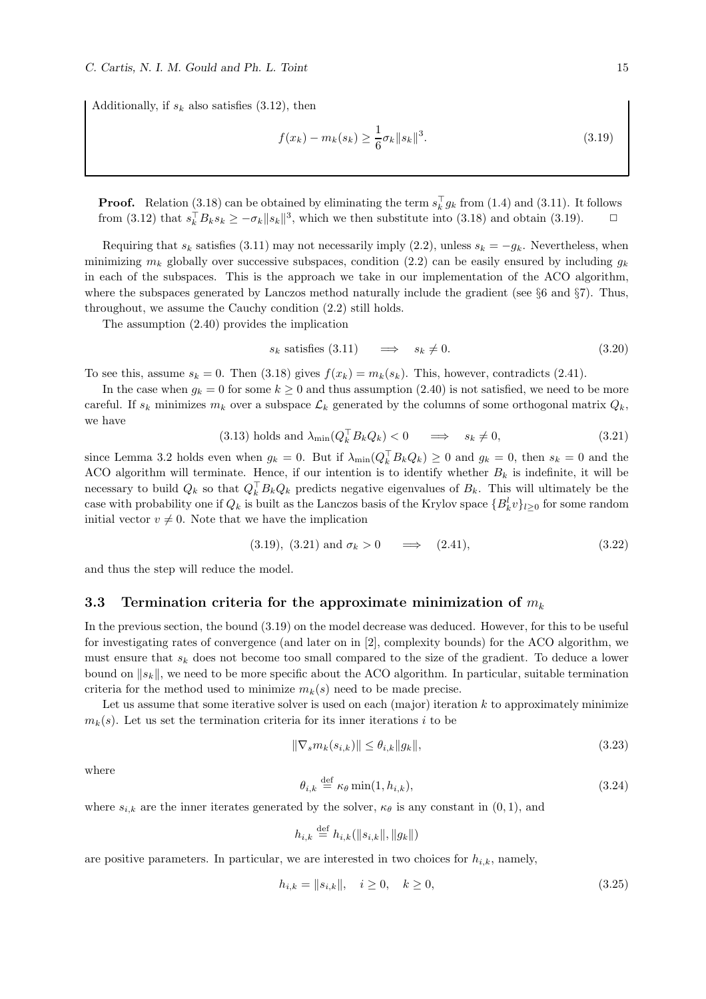Additionally, if  $s_k$  also satisfies (3.12), then

$$
f(x_k) - m_k(s_k) \ge \frac{1}{6}\sigma_k \|s_k\|^3. \tag{3.19}
$$

**Proof.** Relation (3.18) can be obtained by eliminating the term  $s_k^{\dagger} g_k$  from (1.4) and (3.11). It follows from (3.12) that  $s_k^{\top} B_k s_k \geq -\sigma_k \|s_k\|^3$ , which we then substitute into (3.18) and obtain (3.19).  $\Box$ 

Requiring that  $s_k$  satisfies (3.11) may not necessarily imply (2.2), unless  $s_k = -g_k$ . Nevertheless, when minimizing  $m_k$  globally over successive subspaces, condition (2.2) can be easily ensured by including  $q_k$ in each of the subspaces. This is the approach we take in our implementation of the ACO algorithm, where the subspaces generated by Lanczos method naturally include the gradient (see §6 and §7). Thus, throughout, we assume the Cauchy condition (2.2) still holds.

The assumption (2.40) provides the implication

$$
s_k \text{ satisfies (3.11)} \quad \implies \quad s_k \neq 0. \tag{3.20}
$$

To see this, assume  $s_k = 0$ . Then (3.18) gives  $f(x_k) = m_k(s_k)$ . This, however, contradicts (2.41).

In the case when  $g_k = 0$  for some  $k \ge 0$  and thus assumption (2.40) is not satisfied, we need to be more careful. If  $s_k$  minimizes  $m_k$  over a subspace  $\mathcal{L}_k$  generated by the columns of some orthogonal matrix  $Q_k$ , we have

$$
(3.13) holds and \lambda_{\min}(Q_k^{\top} B_k Q_k) < 0 \quad \implies \quad s_k \neq 0,\tag{3.21}
$$

since Lemma 3.2 holds even when  $g_k = 0$ . But if  $\lambda_{\min}(Q_k^{\dagger} B_k Q_k) \geq 0$  and  $g_k = 0$ , then  $s_k = 0$  and the ACO algorithm will terminate. Hence, if our intention is to identify whether  $B_k$  is indefinite, it will be necessary to build  $Q_k$  so that  $Q_k^{\dagger} B_k Q_k$  predicts negative eigenvalues of  $B_k$ . This will ultimately be the case with probability one if  $Q_k$  is built as the Lanczos basis of the Krylov space  ${B_k^l v}_{l \geq 0}$  for some random initial vector  $v \neq 0$ . Note that we have the implication

$$
(3.19), (3.21) \text{ and } \sigma_k > 0 \implies (2.41), \tag{3.22}
$$

and thus the step will reduce the model.

#### 3.3 Termination criteria for the approximate minimization of  $m_k$

In the previous section, the bound (3.19) on the model decrease was deduced. However, for this to be useful for investigating rates of convergence (and later on in [2], complexity bounds) for the ACO algorithm, we must ensure that  $s_k$  does not become too small compared to the size of the gradient. To deduce a lower bound on  $||s_k||$ , we need to be more specific about the ACO algorithm. In particular, suitable termination criteria for the method used to minimize  $m_k(s)$  need to be made precise.

Let us assume that some iterative solver is used on each (major) iteration  $k$  to approximately minimize  $m_k(s)$ . Let us set the termination criteria for its inner iterations i to be

$$
\|\nabla_s m_k(s_{i,k})\| \le \theta_{i,k} \|g_k\|,\tag{3.23}
$$

where

$$
\theta_{i,k} \stackrel{\text{def}}{=} \kappa_{\theta} \min(1, h_{i,k}), \tag{3.24}
$$

where  $s_{i,k}$  are the inner iterates generated by the solver,  $\kappa_{\theta}$  is any constant in  $(0,1)$ , and

$$
h_{i,k} \stackrel{\text{def}}{=} h_{i,k}(\|s_{i,k}\|, \|g_k\|)
$$

are positive parameters. In particular, we are interested in two choices for  $h_{i,k}$ , namely,

$$
h_{i,k} = \|s_{i,k}\|, \quad i \ge 0, \quad k \ge 0,
$$
\n(3.25)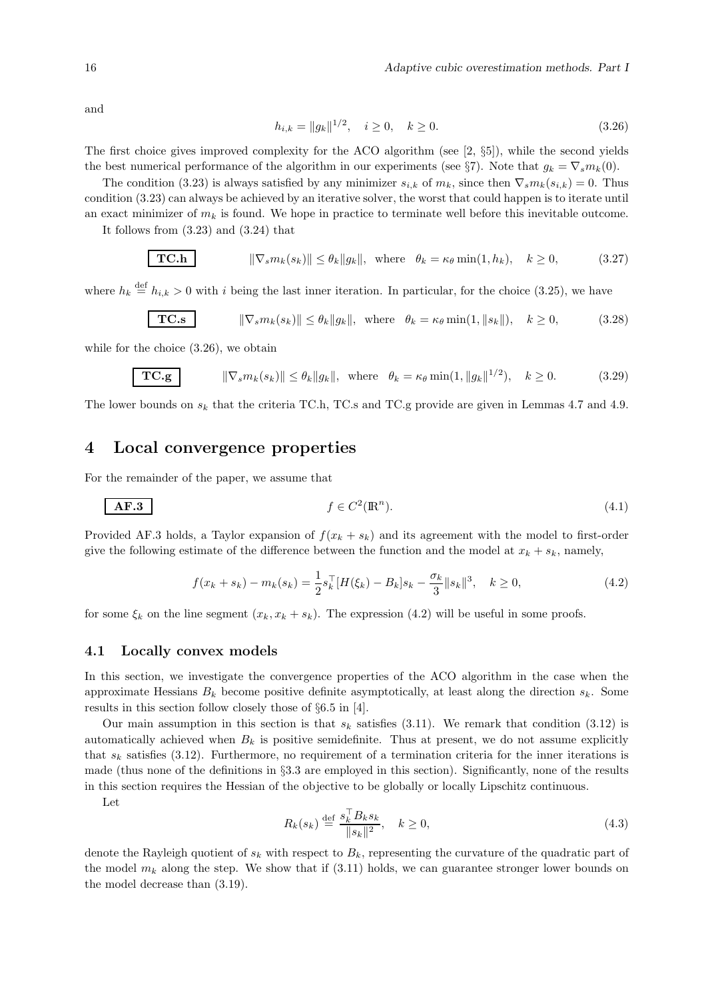and

$$
h_{i,k} = ||g_k||^{1/2}, \quad i \ge 0, \quad k \ge 0.
$$
\n(3.26)

The first choice gives improved complexity for the ACO algorithm (see  $[2, \S_2]$ ), while the second yields the best numerical performance of the algorithm in our experiments (see §7). Note that  $g_k = \nabla_s m_k(0)$ .

The condition (3.23) is always satisfied by any minimizer  $s_{i,k}$  of  $m_k$ , since then  $\nabla_s m_k(s_{i,k}) = 0$ . Thus condition (3.23) can always be achieved by an iterative solver, the worst that could happen is to iterate until an exact minimizer of  $m_k$  is found. We hope in practice to terminate well before this inevitable outcome.

It follows from (3.23) and (3.24) that

$$
\boxed{\textbf{TC.h}} \qquad \qquad \|\nabla_s m_k(s_k)\| \le \theta_k \|g_k\|, \text{ where } \theta_k = \kappa_\theta \min(1, h_k), \quad k \ge 0,
$$
 (3.27)

where  $h_k \stackrel{\text{def}}{=} h_{i,k} > 0$  with i being the last inner iteration. In particular, for the choice (3.25), we have

$$
\boxed{\textbf{TC.s}} \qquad \|\nabla_s m_k(s_k)\| \le \theta_k \|g_k\|, \text{ where } \theta_k = \kappa_\theta \min(1, \|s_k\|), \quad k \ge 0,
$$
 (3.28)

while for the choice (3.26), we obtain

$$
\boxed{\textbf{TC.g}} \qquad \|\nabla_s m_k(s_k)\| \le \theta_k \|g_k\|, \text{ where } \theta_k = \kappa_\theta \min(1, \|g_k\|^{1/2}), \quad k \ge 0. \tag{3.29}
$$

The lower bounds on  $s_k$  that the criteria TC.h, TC.s and TC.g provide are given in Lemmas 4.7 and 4.9.

## 4 Local convergence properties

For the remainder of the paper, we assume that

$$
A \mathbf{F} \mathbf{.3} \qquad \qquad f \in C^2(\mathbb{R}^n). \tag{4.1}
$$

Provided AF.3 holds, a Taylor expansion of  $f(x_k + s_k)$  and its agreement with the model to first-order give the following estimate of the difference between the function and the model at  $x_k + s_k$ , namely,

$$
f(x_k + s_k) - m_k(s_k) = \frac{1}{2} s_k^{\top} [H(\xi_k) - B_k] s_k - \frac{\sigma_k}{3} ||s_k||^3, \quad k \ge 0,
$$
\n(4.2)

for some  $\xi_k$  on the line segment  $(x_k, x_k + s_k)$ . The expression (4.2) will be useful in some proofs.

#### 4.1 Locally convex models

In this section, we investigate the convergence properties of the ACO algorithm in the case when the approximate Hessians  $B_k$  become positive definite asymptotically, at least along the direction  $s_k$ . Some results in this section follow closely those of §6.5 in [4].

Our main assumption in this section is that  $s_k$  satisfies (3.11). We remark that condition (3.12) is automatically achieved when  $B_k$  is positive semidefinite. Thus at present, we do not assume explicitly that  $s_k$  satisfies (3.12). Furthermore, no requirement of a termination criteria for the inner iterations is made (thus none of the definitions in §3.3 are employed in this section). Significantly, none of the results in this section requires the Hessian of the objective to be globally or locally Lipschitz continuous.

Let

$$
R_k(s_k) \stackrel{\text{def}}{=} \frac{s_k^\top B_k s_k}{\|s_k\|^2}, \quad k \ge 0,
$$
\n
$$
(4.3)
$$

denote the Rayleigh quotient of  $s_k$  with respect to  $B_k$ , representing the curvature of the quadratic part of the model  $m_k$  along the step. We show that if (3.11) holds, we can guarantee stronger lower bounds on the model decrease than (3.19).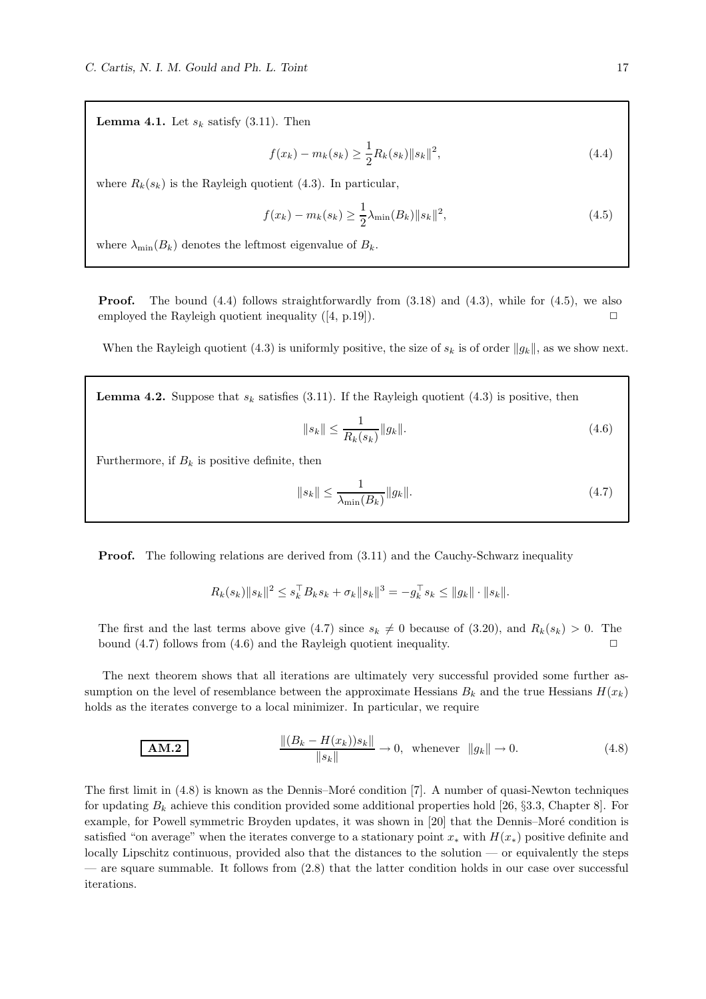**Lemma 4.1.** Let  $s_k$  satisfy (3.11). Then

$$
f(x_k) - m_k(s_k) \ge \frac{1}{2} R_k(s_k) \|s_k\|^2,
$$
\n(4.4)

where  $R_k(s_k)$  is the Rayleigh quotient (4.3). In particular,

$$
f(x_k) - m_k(s_k) \ge \frac{1}{2}\lambda_{\min}(B_k) \|s_k\|^2,
$$
\n(4.5)

where  $\lambda_{\min}(B_k)$  denotes the leftmost eigenvalue of  $B_k$ .

**Proof.** The bound  $(4.4)$  follows straightforwardly from  $(3.18)$  and  $(4.3)$ , while for  $(4.5)$ , we also employed the Rayleigh quotient inequality  $([4, p.19])$ .

When the Rayleigh quotient (4.3) is uniformly positive, the size of  $s_k$  is of order  $||g_k||$ , as we show next.

**Lemma 4.2.** Suppose that  $s_k$  satisfies (3.11). If the Rayleigh quotient (4.3) is positive, then

$$
||s_k|| \le \frac{1}{R_k(s_k)} ||g_k||. \tag{4.6}
$$

Furthermore, if  $B_k$  is positive definite, then

$$
||s_k|| \le \frac{1}{\lambda_{\min}(B_k)} ||g_k||. \tag{4.7}
$$

**Proof.** The following relations are derived from  $(3.11)$  and the Cauchy-Schwarz inequality

$$
R_k(s_k) \|s_k\|^2 \le s_k^\top B_k s_k + \sigma_k \|s_k\|^3 = -g_k^\top s_k \le \|g_k\| \cdot \|s_k\|.
$$

The first and the last terms above give (4.7) since  $s_k \neq 0$  because of (3.20), and  $R_k(s_k) > 0$ . The bound (4.7) follows from (4.6) and the Bayleigh quotient inequality bound  $(4.7)$  follows from  $(4.6)$  and the Rayleigh quotient inequality.

The next theorem shows that all iterations are ultimately very successful provided some further assumption on the level of resemblance between the approximate Hessians  $B_k$  and the true Hessians  $H(x_k)$ holds as the iterates converge to a local minimizer. In particular, we require

**AM.2** 
$$
\frac{\|(B_k - H(x_k))s_k\|}{\|s_k\|} \to 0, \text{ whenever } \|g_k\| \to 0.
$$
 (4.8)

The first limit in  $(4.8)$  is known as the Dennis–Moré condition [7]. A number of quasi-Newton techniques for updating  $B_k$  achieve this condition provided some additional properties hold [26, §3.3, Chapter 8]. For example, for Powell symmetric Broyden updates, it was shown in [20] that the Dennis–Moré condition is satisfied "on average" when the iterates converge to a stationary point  $x_*$  with  $H(x_*)$  positive definite and locally Lipschitz continuous, provided also that the distances to the solution — or equivalently the steps — are square summable. It follows from (2.8) that the latter condition holds in our case over successful iterations.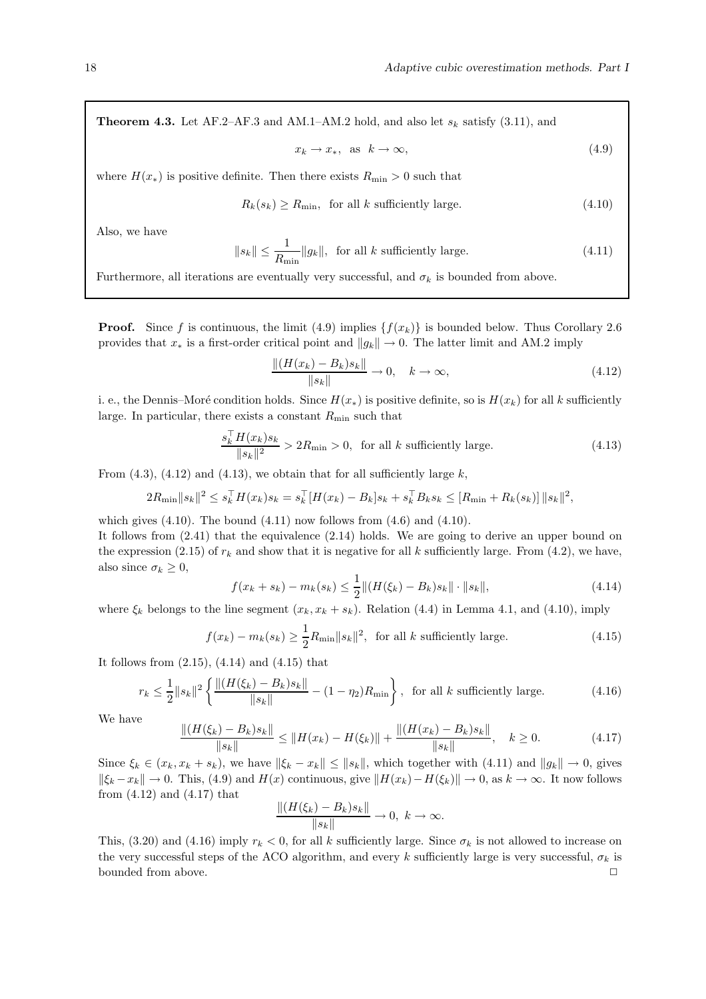**Theorem 4.3.** Let AF.2–AF.3 and AM.1–AM.2 hold, and also let  $s_k$  satisfy (3.11), and

$$
x_k \to x_*, \text{ as } k \to \infty,
$$
\n
$$
(4.9)
$$

where  $H(x_*)$  is positive definite. Then there exists  $R_{\text{min}} > 0$  such that

$$
R_k(s_k) \ge R_{\min}, \text{ for all } k \text{ sufficiently large.} \tag{4.10}
$$

Also, we have

$$
||s_k|| \le \frac{1}{R_{\min}} ||g_k||, \text{ for all } k \text{ sufficiently large.} \tag{4.11}
$$

Furthermore, all iterations are eventually very successful, and  $\sigma_k$  is bounded from above.

**Proof.** Since f is continuous, the limit (4.9) implies  $\{f(x_k)\}\$ is bounded below. Thus Corollary 2.6 provides that  $x_*$  is a first-order critical point and  $||g_k|| \to 0$ . The latter limit and AM.2 imply

$$
\frac{\|(H(x_k) - B_k)s_k\|}{\|s_k\|} \to 0, \quad k \to \infty,
$$
\n(4.12)

i. e., the Dennis–Moré condition holds. Since  $H(x_*)$  is positive definite, so is  $H(x_k)$  for all k sufficiently large. In particular, there exists a constant  $R_{\text{min}}$  such that

$$
\frac{s_k^{\top} H(x_k) s_k}{\|s_k\|^2} > 2R_{\min} > 0, \text{ for all } k \text{ sufficiently large.}
$$
 (4.13)

From  $(4.3)$ ,  $(4.12)$  and  $(4.13)$ , we obtain that for all sufficiently large k,

$$
2R_{\min} \|s_k\|^2 \le s_k^{\top} H(x_k) s_k = s_k^{\top} [H(x_k) - B_k] s_k + s_k^{\top} B_k s_k \le [R_{\min} + R_k(s_k)] \|s_k\|^2,
$$

which gives  $(4.10)$ . The bound  $(4.11)$  now follows from  $(4.6)$  and  $(4.10)$ .

It follows from (2.41) that the equivalence (2.14) holds. We are going to derive an upper bound on the expression (2.15) of  $r_k$  and show that it is negative for all k sufficiently large. From (4.2), we have, also since  $\sigma_k \geq 0$ ,

$$
f(x_k + s_k) - m_k(s_k) \le \frac{1}{2} ||(H(\xi_k) - B_k)s_k|| \cdot ||s_k||,
$$
\n(4.14)

where  $\xi_k$  belongs to the line segment  $(x_k, x_k + s_k)$ . Relation (4.4) in Lemma 4.1, and (4.10), imply

$$
f(x_k) - m_k(s_k) \ge \frac{1}{2} R_{\min} \|s_k\|^2, \text{ for all } k \text{ sufficiently large.}
$$
 (4.15)

It follows from (2.15), (4.14) and (4.15) that

$$
r_k \le \frac{1}{2} \|s_k\|^2 \left\{ \frac{\|(H(\xi_k) - B_k)s_k\|}{\|s_k\|} - (1 - \eta_2) R_{\min} \right\}, \text{ for all } k \text{ sufficiently large.}
$$
 (4.16)

We have

$$
\frac{\|(H(\xi_k) - B_k)s_k\|}{\|s_k\|} \le \|H(x_k) - H(\xi_k)\| + \frac{\|(H(x_k) - B_k)s_k\|}{\|s_k\|}, \quad k \ge 0.
$$
\n(4.17)

Since  $\xi_k \in (x_k, x_k + s_k)$ , we have  $\|\xi_k - x_k\| \leq \|s_k\|$ , which together with  $(4.11)$  and  $\|g_k\| \to 0$ , gives  $\|\xi_k - x_k\| \to 0$ . This, (4.9) and  $H(x)$  continuous, give  $\|H(x_k) - H(\xi_k)\| \to 0$ , as  $k \to \infty$ . It now follows from (4.12) and (4.17) that

$$
\frac{\|(H(\xi_k)-B_k)s_k\|}{\|s_k\|} \to 0, \ k \to \infty.
$$

This,  $(3.20)$  and  $(4.16)$  imply  $r_k < 0$ , for all k sufficiently large. Since  $\sigma_k$  is not allowed to increase on the very successful steps of the ACO algorithm, and every k sufficiently large is very successful,  $\sigma_k$  is bounded from above.  $\Box$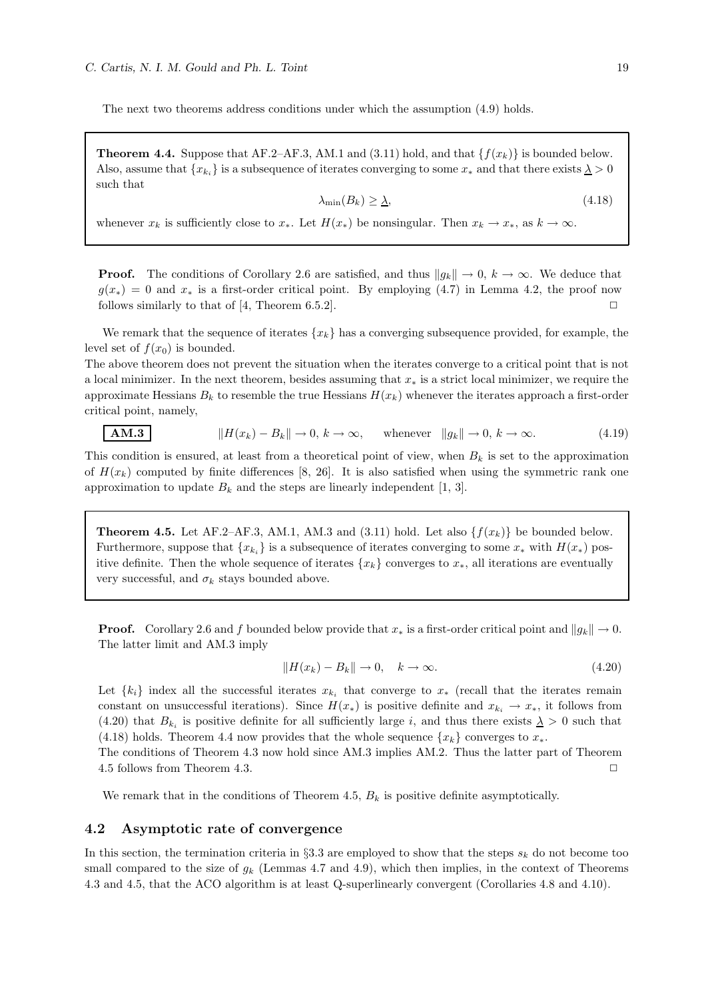The next two theorems address conditions under which the assumption (4.9) holds.

**Theorem 4.4.** Suppose that AF.2–AF.3, AM.1 and (3.11) hold, and that  $\{f(x_k)\}\$ is bounded below. Also, assume that  $\{x_{k_i}\}\$ is a subsequence of iterates converging to some  $x_*$  and that there exists  $\lambda > 0$ such that

$$
\lambda_{\min}(B_k) \ge \underline{\lambda},\tag{4.18}
$$

whenever  $x_k$  is sufficiently close to  $x_*$ . Let  $H(x_*)$  be nonsingular. Then  $x_k \to x_*,$  as  $k \to \infty$ .

**Proof.** The conditions of Corollary 2.6 are satisfied, and thus  $||g_k|| \to 0$ ,  $k \to \infty$ . We deduce that  $g(x_*) = 0$  and  $x_*$  is a first-order critical point. By employing (4.7) in Lemma 4.2, the proof now follows similarly to that of [4. Theorem 6.5.2]. follows similarly to that of  $[4,$  Theorem 6.5.2].

We remark that the sequence of iterates  ${x_k}$  has a converging subsequence provided, for example, the level set of  $f(x_0)$  is bounded.

The above theorem does not prevent the situation when the iterates converge to a critical point that is not a local minimizer. In the next theorem, besides assuming that  $x_*$  is a strict local minimizer, we require the approximate Hessians  $B_k$  to resemble the true Hessians  $H(x_k)$  whenever the iterates approach a first-order critical point, namely,

$$
\mathbf{AM.3} \quad \parallel H(x_k) - B_k \parallel \to 0, \, k \to \infty, \quad \text{whenever} \quad \|g_k\| \to 0, \, k \to \infty. \tag{4.19}
$$

This condition is ensured, at least from a theoretical point of view, when  $B_k$  is set to the approximation of  $H(x_k)$  computed by finite differences [8, 26]. It is also satisfied when using the symmetric rank one approximation to update  $B_k$  and the steps are linearly independent [1, 3].

**Theorem 4.5.** Let AF.2–AF.3, AM.1, AM.3 and  $(3.11)$  hold. Let also  $\{f(x_k)\}\$  be bounded below. Furthermore, suppose that  $\{x_{k_i}\}$  is a subsequence of iterates converging to some  $x_*$  with  $H(x_*)$  positive definite. Then the whole sequence of iterates  $\{x_k\}$  converges to  $x_*$ , all iterations are eventually very successful, and  $\sigma_k$  stays bounded above.

**Proof.** Corollary 2.6 and f bounded below provide that  $x_*$  is a first-order critical point and  $||g_k|| \to 0$ . The latter limit and AM.3 imply

$$
||H(x_k) - B_k|| \to 0, \quad k \to \infty.
$$
\n(4.20)

Let  $\{k_i\}$  index all the successful iterates  $x_{k_i}$  that converge to  $x_*$  (recall that the iterates remain constant on unsuccessful iterations). Since  $H(x_*)$  is positive definite and  $x_{k_i} \to x_*$ , it follows from (4.20) that  $B_{k_i}$  is positive definite for all sufficiently large i, and thus there exists  $\lambda > 0$  such that (4.18) holds. Theorem 4.4 now provides that the whole sequence  $\{x_k\}$  converges to  $x_*$ .

The conditions of Theorem 4.3 now hold since AM.3 implies AM.2. Thus the latter part of Theorem 4.5 follows from Theorem 4.3. ◯

We remark that in the conditions of Theorem 4.5,  $B_k$  is positive definite asymptotically.

## 4.2 Asymptotic rate of convergence

In this section, the termination criteria in §3.3 are employed to show that the steps  $s_k$  do not become too small compared to the size of  $g_k$  (Lemmas 4.7 and 4.9), which then implies, in the context of Theorems 4.3 and 4.5, that the ACO algorithm is at least Q-superlinearly convergent (Corollaries 4.8 and 4.10).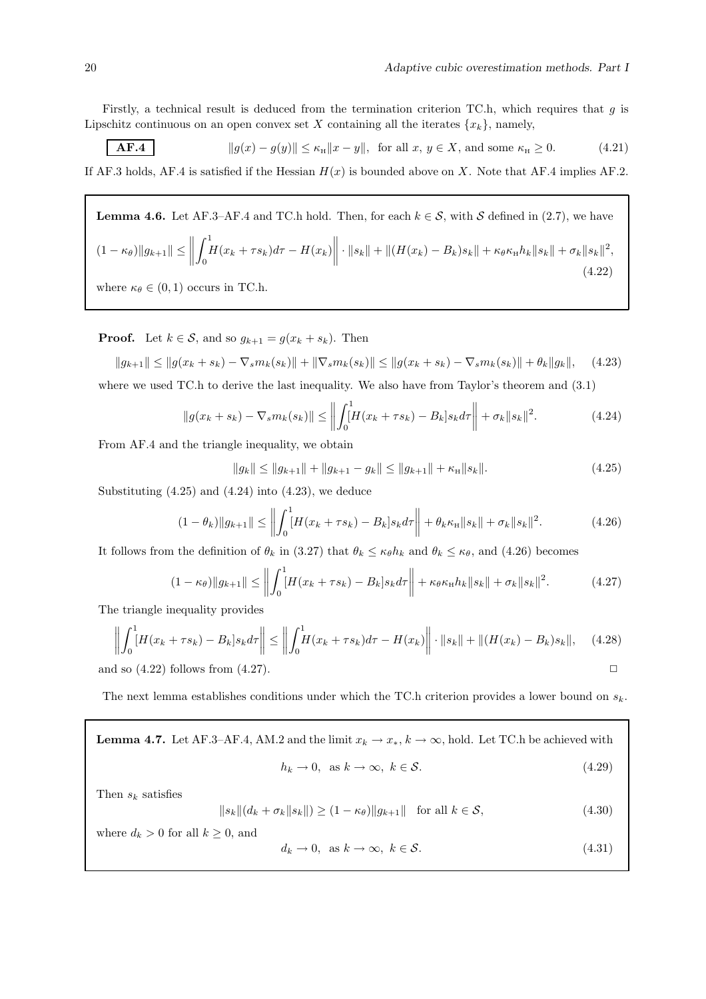Firstly, a technical result is deduced from the termination criterion TC.h, which requires that  $q$  is Lipschitz continuous on an open convex set X containing all the iterates  $\{x_k\}$ , namely,

$$
\mathbf{AF.4} \qquad \qquad \|g(x) - g(y)\| \le \kappa_{\mathcal{H}} \|x - y\|, \text{ for all } x, y \in X, \text{ and some } \kappa_{\mathcal{H}} \ge 0. \tag{4.21}
$$

If AF.3 holds, AF.4 is satisfied if the Hessian  $H(x)$  is bounded above on X. Note that AF.4 implies AF.2.

**Lemma 4.6.** Let AF.3–AF.4 and TC.h hold. Then, for each  $k \in S$ , with S defined in (2.7), we have  $(1 - \kappa_{\theta})\|g_{k+1}\| \le \bigg\|$  $\int_1^1$  $\int_0^1 H(x_k + \tau s_k) d\tau - H(x_k) \bigg\| \cdot \|s_k\| + \|(H(x_k) - B_k)s_k\| + \kappa_\theta \kappa_\text{H} h_k\|s_k\| + \sigma_k \|s_k\|^2,$ (4.22)

where  $\kappa_{\theta} \in (0,1)$  occurs in TC.h.

**Proof.** Let  $k \in \mathcal{S}$ , and so  $g_{k+1} = g(x_k + s_k)$ . Then

$$
||g_{k+1}|| \le ||g(x_k + s_k) - \nabla_s m_k(s_k)|| + ||\nabla_s m_k(s_k)|| \le ||g(x_k + s_k) - \nabla_s m_k(s_k)|| + \theta_k ||g_k||,
$$
 (4.23)

where we used TC.h to derive the last inequality. We also have from Taylor's theorem and (3.1)

$$
||g(x_k + s_k) - \nabla_s m_k(s_k)|| \le \left\| \int_0^1 [H(x_k + \tau s_k) - B_k] s_k d\tau \right\| + \sigma_k ||s_k||^2.
$$
 (4.24)

From AF.4 and the triangle inequality, we obtain

 $||g_k|| \le ||g_{k+1}|| + ||g_{k+1} - g_k|| \le ||g_{k+1}|| + \kappa_H ||s_k||.$  (4.25)

Substituting  $(4.25)$  and  $(4.24)$  into  $(4.23)$ , we deduce

$$
(1 - \theta_k) \|g_{k+1}\| \le \left\| \int_0^1 [H(x_k + \tau s_k) - B_k] s_k d\tau \right\| + \theta_k \kappa_{\rm H} \|s_k\| + \sigma_k \|s_k\|^2. \tag{4.26}
$$

It follows from the definition of  $\theta_k$  in (3.27) that  $\theta_k \leq \kappa_\theta h_k$  and  $\theta_k \leq \kappa_\theta$ , and (4.26) becomes

$$
(1 - \kappa_{\theta}) \|g_{k+1}\| \le \left\| \int_0^1 [H(x_k + \tau s_k) - B_k] s_k d\tau \right\| + \kappa_{\theta} \kappa_{\text{H}} h_k \|s_k\| + \sigma_k \|s_k\|^2. \tag{4.27}
$$

The triangle inequality provides

$$
\left\| \int_0^1 [H(x_k + \tau s_k) - B_k] s_k d\tau \right\| \le \left\| \int_0^1 H(x_k + \tau s_k) d\tau - H(x_k) \right\| \cdot \|s_k\| + \|(H(x_k) - B_k) s_k\|, \quad (4.28)
$$
  
and so (4.22) follows from (4.27).

The next lemma establishes conditions under which the TC.h criterion provides a lower bound on  $s_k$ .

**Lemma 4.7.** Let AF.3–AF.4, AM.2 and the limit 
$$
x_k \to x_*
$$
,  $k \to \infty$ , hold. Let TC.h be achieved with  
\n $h_k \to 0$ , as  $k \to \infty$ ,  $k \in S$ . (4.29)

Then  $s_k$  satisfies

$$
||s_k||(d_k + \sigma_k ||s_k||) \ge (1 - \kappa_\theta) ||g_{k+1}|| \text{ for all } k \in \mathcal{S},
$$
\n(4.30)

where 
$$
d_k > 0
$$
 for all  $k \ge 0$ , and  
 $d_k \to 0$ , as  $k \to \infty$ ,  $k \in S$ . (4.31)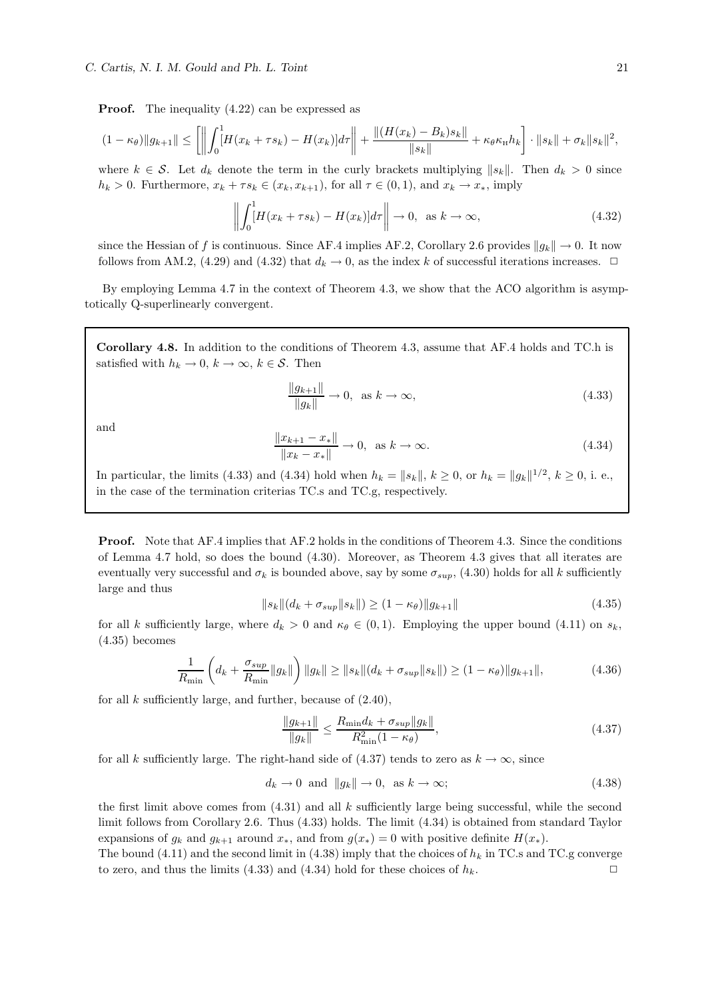**Proof.** The inequality  $(4.22)$  can be expressed as

$$
(1 - \kappa_{\theta})\|g_{k+1}\| \le \left[ \left\| \int_0^1 [H(x_k + \tau s_k) - H(x_k)] d\tau \right\| + \frac{\|(H(x_k) - B_k)s_k\|}{\|s_k\|} + \kappa_{\theta} \kappa_{\text{H}} h_k \right] \cdot \|s_k\| + \sigma_k \|s_k\|^2,
$$

where  $k \in \mathcal{S}$ . Let  $d_k$  denote the term in the curly brackets multiplying  $||s_k||$ . Then  $d_k > 0$  since  $h_k > 0$ . Furthermore,  $x_k + \tau s_k \in (x_k, x_{k+1})$ , for all  $\tau \in (0,1)$ , and  $x_k \to x_*$ , imply

$$
\left\| \int_0^1 [H(x_k + \tau s_k) - H(x_k)] d\tau \right\| \to 0, \text{ as } k \to \infty,
$$
\n(4.32)

since the Hessian of f is continuous. Since AF.4 implies AF.2, Corollary 2.6 provides  $||g_k|| \to 0$ . It now follows from AM.2, (4.29) and (4.32) that  $d_k \to 0$ , as the index k of successful iterations increases.  $\Box$ 

By employing Lemma 4.7 in the context of Theorem 4.3, we show that the ACO algorithm is asymptotically Q-superlinearly convergent.

Corollary 4.8. In addition to the conditions of Theorem 4.3, assume that AF.4 holds and TC.h is satisfied with  $h_k \to 0$ ,  $k \to \infty$ ,  $k \in S$ . Then

$$
\frac{\|g_{k+1}\|}{\|g_k\|} \to 0, \text{ as } k \to \infty,
$$
\n(4.33)

and

$$
\frac{\|x_{k+1} - x_{*}\|}{\|x_{k} - x_{*}\|} \to 0, \text{ as } k \to \infty.
$$
 (4.34)

In particular, the limits (4.33) and (4.34) hold when  $h_k = ||s_k||, k \ge 0$ , or  $h_k = ||g_k||^{1/2}, k \ge 0$ , i. e., in the case of the termination criterias TC.s and TC.g, respectively.

Proof. Note that AF.4 implies that AF.2 holds in the conditions of Theorem 4.3. Since the conditions of Lemma 4.7 hold, so does the bound (4.30). Moreover, as Theorem 4.3 gives that all iterates are eventually very successful and  $\sigma_k$  is bounded above, say by some  $\sigma_{sup}$ , (4.30) holds for all k sufficiently large and thus

$$
||s_k||(d_k + \sigma_{sup}||s_k||) \ge (1 - \kappa_\theta) ||g_{k+1}|| \tag{4.35}
$$

for all k sufficiently large, where  $d_k > 0$  and  $\kappa_{\theta} \in (0, 1)$ . Employing the upper bound  $(4.11)$  on  $s_k$ , (4.35) becomes

$$
\frac{1}{R_{\min}} \left( d_k + \frac{\sigma_{sup}}{R_{\min}} \|g_k\| \right) \|g_k\| \ge \|s_k\| (d_k + \sigma_{sup} \|s_k\|) \ge (1 - \kappa_\theta) \|g_{k+1}\|,
$$
\n(4.36)

for all  $k$  sufficiently large, and further, because of  $(2.40)$ ,

$$
\frac{\|g_{k+1}\|}{\|g_k\|} \le \frac{R_{\min} d_k + \sigma_{sup} \|g_k\|}{R_{\min}^2 (1 - \kappa_\theta)},
$$
\n(4.37)

for all k sufficiently large. The right-hand side of (4.37) tends to zero as  $k \to \infty$ , since

$$
d_k \to 0 \text{ and } ||g_k|| \to 0, \text{ as } k \to \infty;
$$
 (4.38)

the first limit above comes from  $(4.31)$  and all k sufficiently large being successful, while the second limit follows from Corollary 2.6. Thus (4.33) holds. The limit (4.34) is obtained from standard Taylor expansions of  $g_k$  and  $g_{k+1}$  around  $x_*$ , and from  $g(x_*) = 0$  with positive definite  $H(x_*)$ .

The bound (4.11) and the second limit in (4.38) imply that the choices of  $h_k$  in TC.s and TC.g converge to zero, and thus the limits (4.33) and (4.34) hold for these choices of  $h_k$ .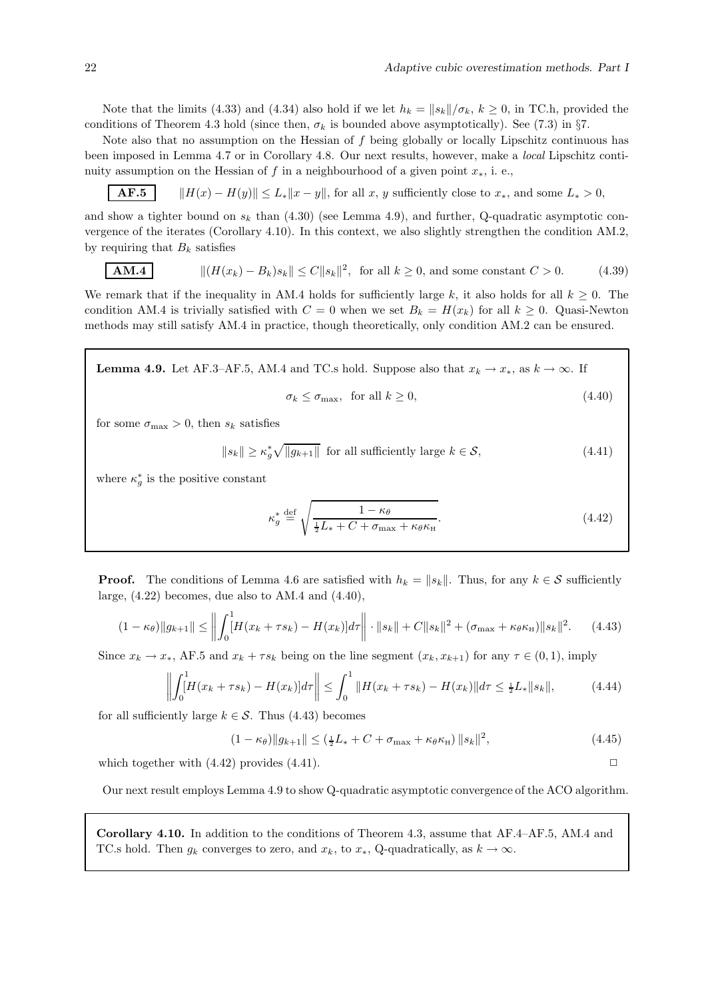Note that the limits (4.33) and (4.34) also hold if we let  $h_k = ||s_k||/\sigma_k$ ,  $k \ge 0$ , in TC.h, provided the conditions of Theorem 4.3 hold (since then,  $\sigma_k$  is bounded above asymptotically). See (7.3) in §7.

Note also that no assumption on the Hessian of  $f$  being globally or locally Lipschitz continuous has been imposed in Lemma 4.7 or in Corollary 4.8. Our next results, however, make a local Lipschitz continuity assumption on the Hessian of f in a neighbourhood of a given point  $x_*$ , i.e.,

**AF.5**  $\|H(x) - H(y)\| \leq L_* \|x - y\|$ , for all x, y sufficiently close to  $x_*$ , and some  $L_* > 0$ ,

and show a tighter bound on  $s_k$  than (4.30) (see Lemma 4.9), and further, Q-quadratic asymptotic convergence of the iterates (Corollary 4.10). In this context, we also slightly strengthen the condition AM.2, by requiring that  $B_k$  satisfies

**AM.4** 
$$
||(H(x_k) - B_k)s_k|| \le C||s_k||^2, \text{ for all } k \ge 0, \text{ and some constant } C > 0.
$$
 (4.39)

We remark that if the inequality in AM.4 holds for sufficiently large k, it also holds for all  $k \geq 0$ . The condition AM.4 is trivially satisfied with  $C = 0$  when we set  $B_k = H(x_k)$  for all  $k \geq 0$ . Quasi-Newton methods may still satisfy AM.4 in practice, though theoretically, only condition AM.2 can be ensured.

**Lemma 4.9.** Let AF.3–AF.5, AM.4 and TC.s hold. Suppose also that  $x_k \to x_*$ , as  $k \to \infty$ . If  $\sigma_k \leq \sigma_{\text{max}}$ , for all  $k \geq 0$ , (4.40)

for some  $\sigma_{\text{max}} > 0$ , then  $s_k$  satisfies

$$
||s_k|| \ge \kappa_g^* \sqrt{||g_{k+1}||} \text{ for all sufficiently large } k \in \mathcal{S}, \tag{4.41}
$$

where  $\kappa_g^*$  is the positive constant

$$
\kappa_g^* \stackrel{\text{def}}{=} \sqrt{\frac{1 - \kappa_\theta}{\frac{1}{2}L_* + C + \sigma_{\text{max}} + \kappa_\theta \kappa_{\text{H}}}}.\tag{4.42}
$$

**Proof.** The conditions of Lemma 4.6 are satisfied with  $h_k = ||s_k||$ . Thus, for any  $k \in S$  sufficiently large,  $(4.22)$  becomes, due also to AM.4 and  $(4.40)$ ,

$$
(1 - \kappa_{\theta}) \|g_{k+1}\| \le \left\| \int_0^1 [H(x_k + \tau s_k) - H(x_k)] d\tau \right\| \cdot \|s_k\| + C \|s_k\|^2 + (\sigma_{\max} + \kappa_{\theta} \kappa_{\mathrm{H}}) \|s_k\|^2. \tag{4.43}
$$

Since  $x_k \to x_*$ , AF.5 and  $x_k + \tau s_k$  being on the line segment  $(x_k, x_{k+1})$  for any  $\tau \in (0, 1)$ , imply

$$
\left\| \int_0^1 [H(x_k + \tau s_k) - H(x_k)] d\tau \right\| \le \int_0^1 \|H(x_k + \tau s_k) - H(x_k)\| d\tau \le \frac{1}{2} L_* \|s_k\|,
$$
 (4.44)

for all sufficiently large  $k \in \mathcal{S}$ . Thus (4.43) becomes

$$
(1 - \kappa_{\theta}) \|g_{k+1}\| \le (\frac{1}{2}L_* + C + \sigma_{\max} + \kappa_{\theta} \kappa_{\rm H}) \|s_k\|^2,
$$
\n(4.45)

which together with  $(4.42)$  provides  $(4.41)$ .

Our next result employs Lemma 4.9 to show Q-quadratic asymptotic convergence of the ACO algorithm.

Corollary 4.10. In addition to the conditions of Theorem 4.3, assume that AF.4–AF.5, AM.4 and TC.s hold. Then  $g_k$  converges to zero, and  $x_k$ , to  $x_*$ , Q-quadratically, as  $k \to \infty$ .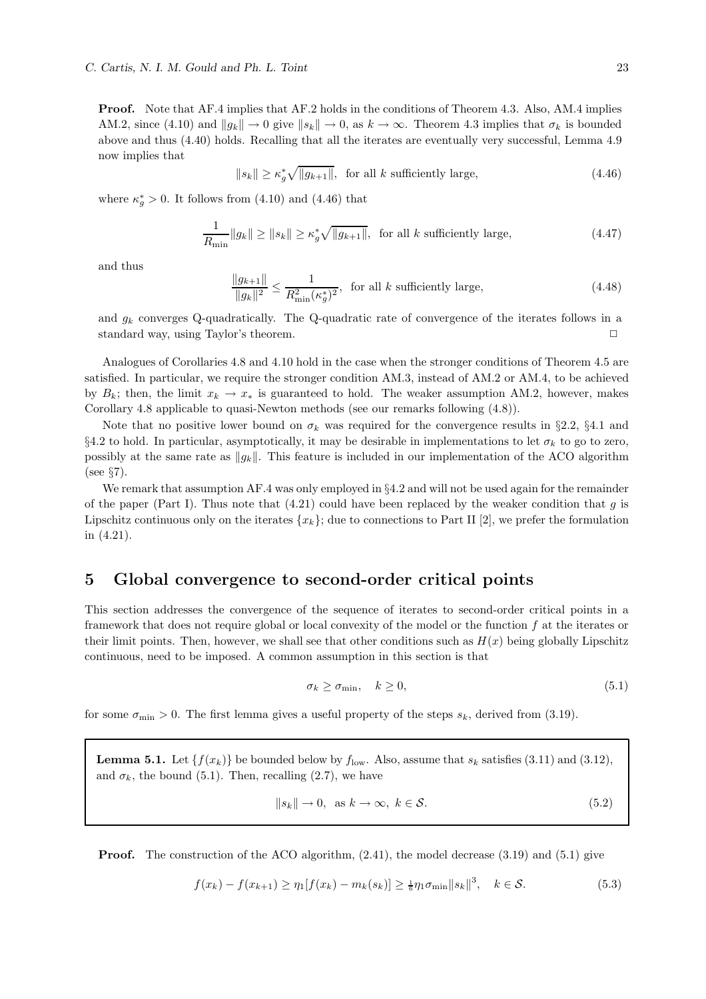Proof. Note that AF.4 implies that AF.2 holds in the conditions of Theorem 4.3. Also, AM.4 implies AM.2, since (4.10) and  $||q_k|| \to 0$  give  $||s_k|| \to 0$ , as  $k \to \infty$ . Theorem 4.3 implies that  $\sigma_k$  is bounded above and thus (4.40) holds. Recalling that all the iterates are eventually very successful, Lemma 4.9 now implies that

 $||s_k|| \ge \kappa_g^* \sqrt{||g_{k+1}||}$ , for all k sufficiently large, (4.46)

where  $\kappa_g^* > 0$ . It follows from (4.10) and (4.46) that

$$
\frac{1}{R_{\min}} \|g_k\| \ge \|s_k\| \ge \kappa_g^* \sqrt{\|g_{k+1}\|}, \text{ for all } k \text{ sufficiently large},\tag{4.47}
$$

and thus

$$
\frac{\|g_{k+1}\|}{\|g_k\|^2} \le \frac{1}{R_{\min}^2 (\kappa_g^*)^2}, \text{ for all } k \text{ sufficiently large},\tag{4.48}
$$

and  $g_k$  converges Q-quadratically. The Q-quadratic rate of convergence of the iterates follows in a standard way, using Taylor's theorem.  $\Box$ 

Analogues of Corollaries 4.8 and 4.10 hold in the case when the stronger conditions of Theorem 4.5 are satisfied. In particular, we require the stronger condition AM.3, instead of AM.2 or AM.4, to be achieved by  $B_k$ ; then, the limit  $x_k \to x_*$  is guaranteed to hold. The weaker assumption AM.2, however, makes Corollary 4.8 applicable to quasi-Newton methods (see our remarks following (4.8)).

Note that no positive lower bound on  $\sigma_k$  was required for the convergence results in §2.2, §4.1 and §4.2 to hold. In particular, asymptotically, it may be desirable in implementations to let  $\sigma_k$  to go to zero, possibly at the same rate as  $\|g_k\|$ . This feature is included in our implementation of the ACO algorithm (see §7).

We remark that assumption AF.4 was only employed in §4.2 and will not be used again for the remainder of the paper (Part I). Thus note that  $(4.21)$  could have been replaced by the weaker condition that g is Lipschitz continuous only on the iterates  ${x_k}$ ; due to connections to Part II [2], we prefer the formulation in (4.21).

## 5 Global convergence to second-order critical points

This section addresses the convergence of the sequence of iterates to second-order critical points in a framework that does not require global or local convexity of the model or the function f at the iterates or their limit points. Then, however, we shall see that other conditions such as  $H(x)$  being globally Lipschitz continuous, need to be imposed. A common assumption in this section is that

$$
\sigma_k \ge \sigma_{\min}, \quad k \ge 0,\tag{5.1}
$$

for some  $\sigma_{\min} > 0$ . The first lemma gives a useful property of the steps  $s_k$ , derived from (3.19).

**Lemma 5.1.** Let  $\{f(x_k)\}\$ be bounded below by  $f_{\text{low}}$ . Also, assume that  $s_k$  satisfies (3.11) and (3.12), and  $\sigma_k$ , the bound (5.1). Then, recalling (2.7), we have

$$
||s_k|| \to 0, \text{ as } k \to \infty, \ k \in \mathcal{S}.
$$
 (5.2)

**Proof.** The construction of the ACO algorithm,  $(2.41)$ , the model decrease  $(3.19)$  and  $(5.1)$  give

$$
f(x_k) - f(x_{k+1}) \ge \eta_1[f(x_k) - m_k(s_k)] \ge \frac{1}{6} \eta_1 \sigma_{\min} \|s_k\|^3, \quad k \in \mathcal{S}.
$$
 (5.3)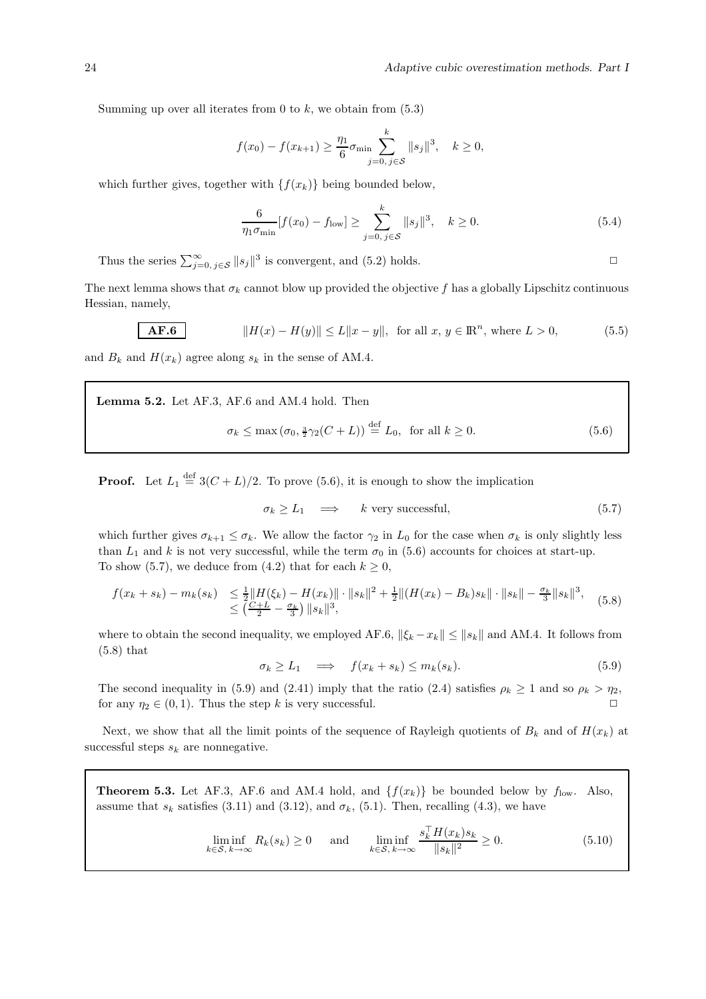Summing up over all iterates from 0 to  $k$ , we obtain from  $(5.3)$ 

$$
f(x_0) - f(x_{k+1}) \ge \frac{\eta_1}{6} \sigma_{\min} \sum_{j=0, j \in S}^k ||s_j||^3, \quad k \ge 0,
$$

which further gives, together with  $\{f(x_k)\}\$ being bounded below,

$$
\frac{6}{\eta_1 \sigma_{\min}} [f(x_0) - f_{\text{low}}] \ge \sum_{j=0, j \in S}^k ||s_j||^3, \quad k \ge 0.
$$
 (5.4)

Thus the series  $\sum_{j=0, j \in S}^{\infty} ||s_j||^3$  is convergent, and (5.2) holds.

The next lemma shows that  $\sigma_k$  cannot blow up provided the objective f has a globally Lipschitz continuous Hessian, namely,

**AF.6** 
$$
||H(x) - H(y)|| \le L||x - y||
$$
, for all  $x, y \in \mathbb{R}^n$ , where  $L > 0$ , (5.5)

and  $B_k$  and  $H(x_k)$  agree along  $s_k$  in the sense of AM.4.

Lemma 5.2. Let AF.3, AF.6 and AM.4 hold. Then

$$
\sigma_k \le \max\left(\sigma_0, \frac{3}{2}\gamma_2(C+L)\right) \stackrel{\text{def}}{=} L_0, \text{ for all } k \ge 0. \tag{5.6}
$$

**Proof.** Let  $L_1 \stackrel{\text{def}}{=} 3(C+L)/2$ . To prove (5.6), it is enough to show the implication

$$
\sigma_k \ge L_1 \quad \Longrightarrow \quad k \text{ very successful}, \tag{5.7}
$$

which further gives  $\sigma_{k+1} \leq \sigma_k$ . We allow the factor  $\gamma_2$  in  $L_0$  for the case when  $\sigma_k$  is only slightly less than  $L_1$  and k is not very successful, while the term  $\sigma_0$  in (5.6) accounts for choices at start-up. To show (5.7), we deduce from (4.2) that for each  $k \geq 0$ ,

$$
f(x_k + s_k) - m_k(s_k) \le \frac{1}{2} \|H(\xi_k) - H(x_k)\| \cdot \|s_k\|^2 + \frac{1}{2} \|(H(x_k) - B_k)s_k\| \cdot \|s_k\| - \frac{\sigma_k}{3} \|s_k\|^3, \tag{5.8}
$$
  

$$
\le \left(\frac{C+L}{2} - \frac{\sigma_k}{3}\right) \|s_k\|^3,
$$

where to obtain the second inequality, we employed AF.6,  $\|\xi_k - x_k\| \leq \|s_k\|$  and AM.4. It follows from (5.8) that

$$
\sigma_k \ge L_1 \quad \Longrightarrow \quad f(x_k + s_k) \le m_k(s_k). \tag{5.9}
$$

The second inequality in (5.9) and (2.41) imply that the ratio (2.4) satisfies  $\rho_k \ge 1$  and so  $\rho_k > \eta_2$ , for any  $\eta_2 \in (0,1)$ . Thus the step k is very successful.

Next, we show that all the limit points of the sequence of Rayleigh quotients of  $B_k$  and of  $H(x_k)$  at successful steps  $s_k$  are nonnegative.

**Theorem 5.3.** Let AF.3, AF.6 and AM.4 hold, and  $\{f(x_k)\}\)$  be bounded below by  $f_{\text{low}}$ . Also, assume that  $s_k$  satisfies (3.11) and (3.12), and  $\sigma_k$ , (5.1). Then, recalling (4.3), we have

$$
\liminf_{k \in S, k \to \infty} R_k(s_k) \ge 0 \quad \text{and} \quad \liminf_{k \in S, k \to \infty} \frac{s_k^{\top} H(x_k) s_k}{\|s_k\|^2} \ge 0. \tag{5.10}
$$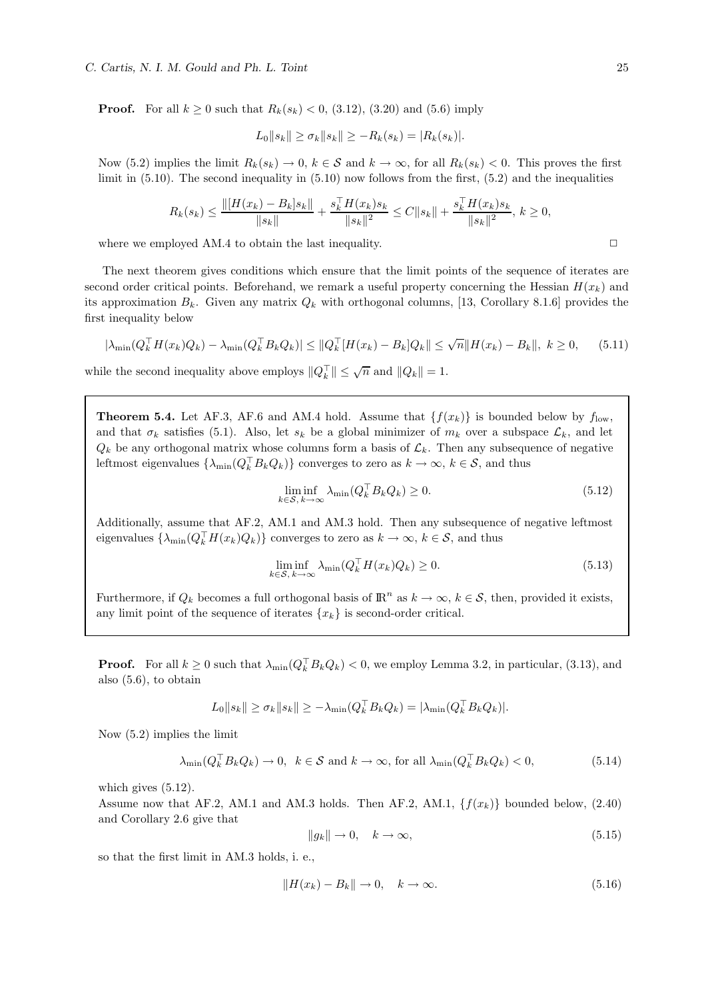**Proof.** For all  $k \ge 0$  such that  $R_k(s_k) < 0$ , (3.12), (3.20) and (5.6) imply

$$
L_0||s_k|| \ge \sigma_k ||s_k|| \ge -R_k(s_k) = |R_k(s_k)|.
$$

Now (5.2) implies the limit  $R_k(s_k) \to 0, k \in \mathcal{S}$  and  $k \to \infty$ , for all  $R_k(s_k) < 0$ . This proves the first limit in (5.10). The second inequality in (5.10) now follows from the first, (5.2) and the inequalities

$$
R_k(s_k) \le \frac{\|[H(x_k) - B_k]s_k\|}{\|s_k\|} + \frac{s_k^{\top}H(x_k)s_k}{\|s_k\|^2} \le C\|s_k\| + \frac{s_k^{\top}H(x_k)s_k}{\|s_k\|^2}, k \ge 0,
$$

where we employed AM.4 to obtain the last inequality.  $\Box$ 

The next theorem gives conditions which ensure that the limit points of the sequence of iterates are second order critical points. Beforehand, we remark a useful property concerning the Hessian  $H(x_k)$  and its approximation  $B_k$ . Given any matrix  $Q_k$  with orthogonal columns, [13, Corollary 8.1.6] provides the first inequality below

$$
|\lambda_{\min}(Q_k^{\top} H(x_k) Q_k) - \lambda_{\min}(Q_k^{\top} B_k Q_k)| \leq \|Q_k^{\top} [H(x_k) - B_k] Q_k\| \leq \sqrt{n} \|H(x_k) - B_k\|, \ k \geq 0,
$$
 (5.11)

while the second inequality above employs  $||Q_k^{\top}|| \leq \sqrt{n}$  and  $||Q_k|| = 1$ .

**Theorem 5.4.** Let AF.3, AF.6 and AM.4 hold. Assume that  $\{f(x_k)\}\$ is bounded below by  $f_{\text{low}}$ , and that  $\sigma_k$  satisfies (5.1). Also, let  $s_k$  be a global minimizer of  $m_k$  over a subspace  $\mathcal{L}_k$ , and let  $Q_k$  be any orthogonal matrix whose columns form a basis of  $\mathcal{L}_k$ . Then any subsequence of negative leftmost eigenvalues  $\{\lambda_{\min}(Q_k^{\top} B_k Q_k)\}\)$  converges to zero as  $k \to \infty$ ,  $k \in S$ , and thus

$$
\liminf_{k \in S, k \to \infty} \lambda_{\min}(Q_k^{\top} B_k Q_k) \ge 0.
$$
\n(5.12)

Additionally, assume that AF.2, AM.1 and AM.3 hold. Then any subsequence of negative leftmost eigenvalues  $\{\lambda_{\min}(Q_k^{\top}H(x_k)Q_k)\}\)$  converges to zero as  $k \to \infty$ ,  $k \in S$ , and thus

$$
\liminf_{k \in S, k \to \infty} \lambda_{\min}(Q_k^{\top} H(x_k) Q_k) \ge 0.
$$
\n(5.13)

Furthermore, if  $Q_k$  becomes a full orthogonal basis of  $\mathbb{R}^n$  as  $k \to \infty$ ,  $k \in \mathcal{S}$ , then, provided it exists, any limit point of the sequence of iterates  $\{x_k\}$  is second-order critical.

**Proof.** For all  $k \ge 0$  such that  $\lambda_{\min}(Q_k^{\top} B_k Q_k) < 0$ , we employ Lemma 3.2, in particular, (3.13), and also (5.6), to obtain

$$
L_0||s_k|| \ge \sigma_k ||s_k|| \ge -\lambda_{\min}(Q_k^{\top} B_k Q_k) = |\lambda_{\min}(Q_k^{\top} B_k Q_k)|.
$$

Now (5.2) implies the limit

$$
\lambda_{\min}(Q_k^{\top} B_k Q_k) \to 0, \ \ k \in \mathcal{S} \text{ and } k \to \infty, \text{ for all } \lambda_{\min}(Q_k^{\top} B_k Q_k) < 0,\tag{5.14}
$$

which gives (5.12).

Assume now that AF.2, AM.1 and AM.3 holds. Then AF.2, AM.1,  $\{f(x_k)\}\$ bounded below, (2.40) and Corollary 2.6 give that

$$
||g_k|| \to 0, \quad k \to \infty,
$$
\n(5.15)

so that the first limit in AM.3 holds, i. e.,

$$
||H(x_k) - B_k|| \to 0, \quad k \to \infty.
$$
\n
$$
(5.16)
$$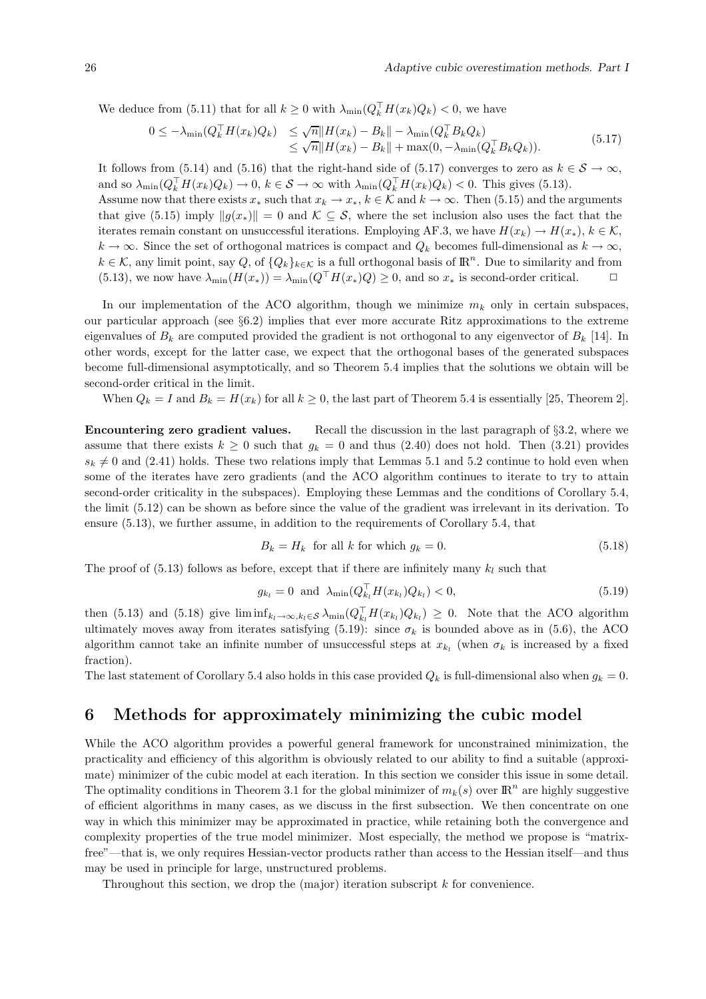We deduce from (5.11) that for all  $k \geq 0$  with  $\lambda_{\min}(Q_k^{\dagger} H(x_k)Q_k) < 0$ , we have

$$
0 \leq -\lambda_{\min}(Q_k^{\top} H(x_k) Q_k) \leq \sqrt{n} \|H(x_k) - B_k\| - \lambda_{\min}(Q_k^{\top} B_k Q_k)
$$
  
\n
$$
\leq \sqrt{n} \|H(x_k) - B_k\| + \max(0, -\lambda_{\min}(Q_k^{\top} B_k Q_k)).
$$
\n(5.17)

It follows from (5.14) and (5.16) that the right-hand side of (5.17) converges to zero as  $k \in S \to \infty$ , and so  $\lambda_{\min}(Q_k^{\top} H(x_k)Q_k) \to 0, k \in \mathcal{S} \to \infty$  with  $\lambda_{\min}(Q_k^{\top} H(x_k)Q_k) < 0$ . This gives (5.13). Assume now that there exists  $x_*$  such that  $x_k \to x_*$ ,  $k \in \mathcal{K}$  and  $k \to \infty$ . Then (5.15) and the arguments that give (5.15) imply  $||q(x_*)|| = 0$  and  $\mathcal{K} \subset \mathcal{S}$ , where the set inclusion also uses the fact that the iterates remain constant on unsuccessful iterations. Employing AF.3, we have  $H(x_k) \to H(x_*)$ ,  $k \in \mathcal{K}$ ,  $k \to \infty$ . Since the set of orthogonal matrices is compact and  $Q_k$  becomes full-dimensional as  $k \to \infty$ ,  $k \in \mathcal{K}$ , any limit point, say Q, of  $\{Q_k\}_{k \in \mathcal{K}}$  is a full orthogonal basis of  $\mathbb{R}^n$ . Due to similarity and from (5.13), we now have  $\lambda_{\min}(H(x_*)) = \lambda_{\min}(Q^\top H(x_*)Q) \geq 0$ , and so  $x_*$  is second-order critical.  $\Box$ 

In our implementation of the ACO algorithm, though we minimize  $m_k$  only in certain subspaces, our particular approach (see §6.2) implies that ever more accurate Ritz approximations to the extreme eigenvalues of  $B_k$  are computed provided the gradient is not orthogonal to any eigenvector of  $B_k$  [14]. In other words, except for the latter case, we expect that the orthogonal bases of the generated subspaces become full-dimensional asymptotically, and so Theorem 5.4 implies that the solutions we obtain will be second-order critical in the limit.

When  $Q_k = I$  and  $B_k = H(x_k)$  for all  $k \geq 0$ , the last part of Theorem 5.4 is essentially [25, Theorem 2].

Encountering zero gradient values. Recall the discussion in the last paragraph of §3.2, where we assume that there exists  $k \geq 0$  such that  $g_k = 0$  and thus (2.40) does not hold. Then (3.21) provides  $s_k \neq 0$  and (2.41) holds. These two relations imply that Lemmas 5.1 and 5.2 continue to hold even when some of the iterates have zero gradients (and the ACO algorithm continues to iterate to try to attain second-order criticality in the subspaces). Employing these Lemmas and the conditions of Corollary 5.4, the limit (5.12) can be shown as before since the value of the gradient was irrelevant in its derivation. To ensure (5.13), we further assume, in addition to the requirements of Corollary 5.4, that

$$
B_k = H_k \text{ for all } k \text{ for which } g_k = 0. \tag{5.18}
$$

The proof of (5.13) follows as before, except that if there are infinitely many  $k_l$  such that

$$
g_{k_l} = 0 \text{ and } \lambda_{\min}(Q_{k_l}^{\perp} H(x_{k_l}) Q_{k_l}) < 0,\tag{5.19}
$$

then (5.13) and (5.18) give  $\liminf_{k_l \to \infty, k_l \in S} \lambda_{\min}(Q_{k_l}^{\perp} H(x_{k_l})Q_{k_l}) \geq 0$ . Note that the ACO algorithm ultimately moves away from iterates satisfying (5.19): since  $\sigma_k$  is bounded above as in (5.6), the ACO algorithm cannot take an infinite number of unsuccessful steps at  $x_{k_l}$  (when  $\sigma_k$  is increased by a fixed fraction).

The last statement of Corollary 5.4 also holds in this case provided  $Q_k$  is full-dimensional also when  $g_k = 0$ .

## 6 Methods for approximately minimizing the cubic model

While the ACO algorithm provides a powerful general framework for unconstrained minimization, the practicality and efficiency of this algorithm is obviously related to our ability to find a suitable (approximate) minimizer of the cubic model at each iteration. In this section we consider this issue in some detail. The optimality conditions in Theorem 3.1 for the global minimizer of  $m_k(s)$  over  $\mathbb{R}^n$  are highly suggestive of efficient algorithms in many cases, as we discuss in the first subsection. We then concentrate on one way in which this minimizer may be approximated in practice, while retaining both the convergence and complexity properties of the true model minimizer. Most especially, the method we propose is "matrixfree"—that is, we only requires Hessian-vector products rather than access to the Hessian itself—and thus may be used in principle for large, unstructured problems.

Throughout this section, we drop the (major) iteration subscript k for convenience.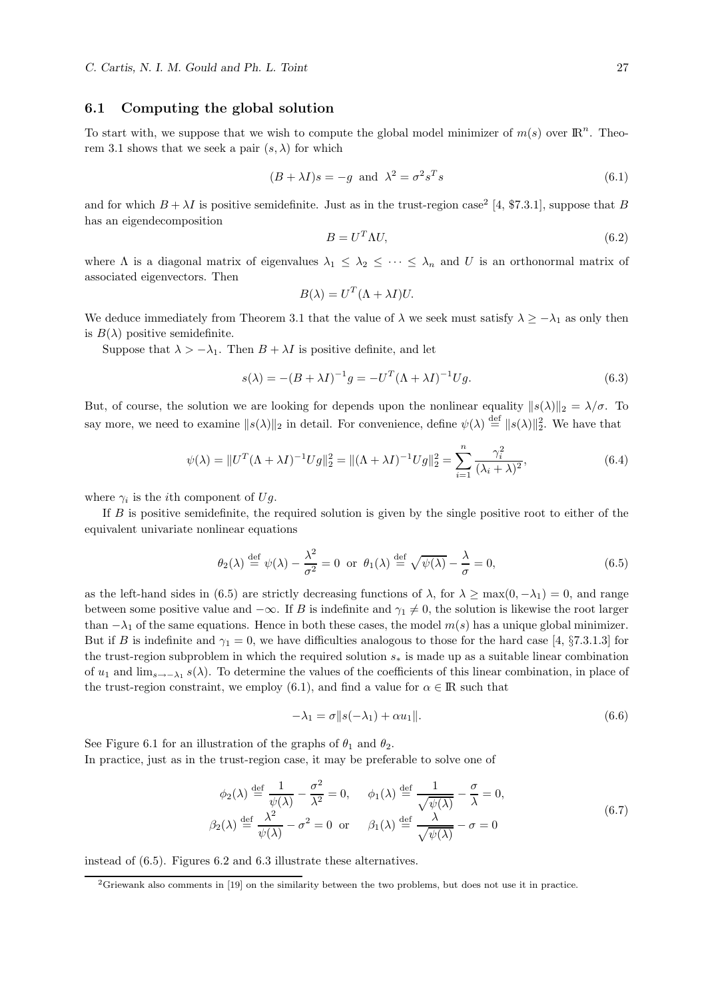### 6.1 Computing the global solution

To start with, we suppose that we wish to compute the global model minimizer of  $m(s)$  over  $\mathbb{R}^n$ . Theorem 3.1 shows that we seek a pair  $(s, \lambda)$  for which

$$
(B + \lambda I)s = -g \text{ and } \lambda^2 = \sigma^2 s^T s \tag{6.1}
$$

and for which  $B + \lambda I$  is positive semidefinite. Just as in the trust-region case<sup>2</sup> [4, \$7.3.1], suppose that B has an eigendecomposition

$$
B = U^T \Lambda U,\tag{6.2}
$$

where  $\Lambda$  is a diagonal matrix of eigenvalues  $\lambda_1 \leq \lambda_2 \leq \cdots \leq \lambda_n$  and U is an orthonormal matrix of associated eigenvectors. Then

$$
B(\lambda) = U^T (\Lambda + \lambda I) U.
$$

We deduce immediately from Theorem 3.1 that the value of  $\lambda$  we seek must satisfy  $\lambda \geq -\lambda_1$  as only then is  $B(\lambda)$  positive semidefinite.

Suppose that  $\lambda > -\lambda_1$ . Then  $B + \lambda I$  is positive definite, and let

$$
s(\lambda) = -(B + \lambda I)^{-1}g = -U^{T}(\Lambda + \lambda I)^{-1}Ug.
$$
\n
$$
(6.3)
$$

But, of course, the solution we are looking for depends upon the nonlinear equality  $||s(\lambda)||_2 = \lambda/\sigma$ . To say more, we need to examine  $||s(\lambda)||_2$  in detail. For convenience, define  $\psi(\lambda) \stackrel{\text{def}}{=} ||s(\lambda)||_2^2$ . We have that

$$
\psi(\lambda) = \|U^T(\Lambda + \lambda I)^{-1}Ug\|_2^2 = \|(\Lambda + \lambda I)^{-1}Ug\|_2^2 = \sum_{i=1}^n \frac{\gamma_i^2}{(\lambda_i + \lambda)^2},\tag{6.4}
$$

where  $\gamma_i$  is the *i*<sup>th</sup> component of Ug.

If B is positive semidefinite, the required solution is given by the single positive root to either of the equivalent univariate nonlinear equations

$$
\theta_2(\lambda) \stackrel{\text{def}}{=} \psi(\lambda) - \frac{\lambda^2}{\sigma^2} = 0 \text{ or } \theta_1(\lambda) \stackrel{\text{def}}{=} \sqrt{\psi(\lambda)} - \frac{\lambda}{\sigma} = 0,
$$
\n(6.5)

as the left-hand sides in (6.5) are strictly decreasing functions of  $\lambda$ , for  $\lambda \ge \max(0, -\lambda_1) = 0$ , and range between some positive value and  $-\infty$ . If B is indefinite and  $\gamma_1 \neq 0$ , the solution is likewise the root larger than  $-\lambda_1$  of the same equations. Hence in both these cases, the model  $m(s)$  has a unique global minimizer. But if B is indefinite and  $\gamma_1 = 0$ , we have difficulties analogous to those for the hard case [4, §7.3.1.3] for the trust-region subproblem in which the required solution  $s_*$  is made up as a suitable linear combination of  $u_1$  and  $\lim_{s\to-\lambda_1}s(\lambda)$ . To determine the values of the coefficients of this linear combination, in place of the trust-region constraint, we employ (6.1), and find a value for  $\alpha \in \mathbb{R}$  such that

$$
-\lambda_1 = \sigma ||s(-\lambda_1) + \alpha u_1||. \tag{6.6}
$$

See Figure 6.1 for an illustration of the graphs of  $\theta_1$  and  $\theta_2$ . In practice, just as in the trust-region case, it may be preferable to solve one of

$$
\phi_2(\lambda) \stackrel{\text{def}}{=} \frac{1}{\psi(\lambda)} - \frac{\sigma^2}{\lambda^2} = 0, \quad \phi_1(\lambda) \stackrel{\text{def}}{=} \frac{1}{\sqrt{\psi(\lambda)}} - \frac{\sigma}{\lambda} = 0,
$$
  

$$
\beta_2(\lambda) \stackrel{\text{def}}{=} \frac{\lambda^2}{\psi(\lambda)} - \sigma^2 = 0 \text{ or } \beta_1(\lambda) \stackrel{\text{def}}{=} \frac{\lambda}{\sqrt{\psi(\lambda)}} - \sigma = 0
$$
 (6.7)

instead of (6.5). Figures 6.2 and 6.3 illustrate these alternatives.

<sup>&</sup>lt;sup>2</sup>Griewank also comments in [19] on the similarity between the two problems, but does not use it in practice.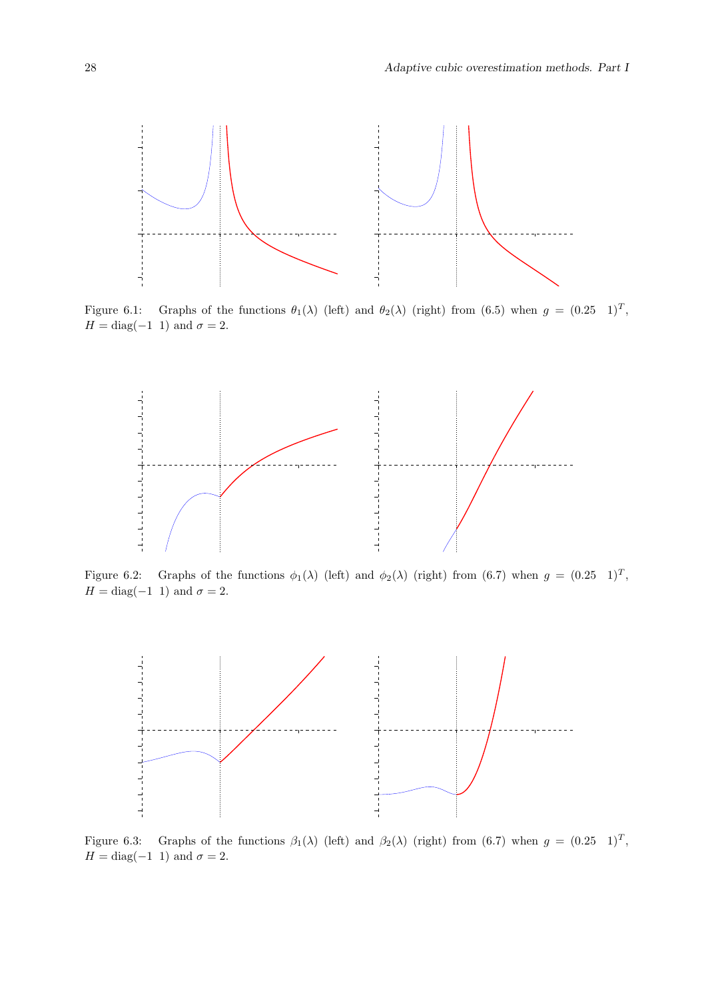

Figure 6.1: Graphs of the functions  $\theta_1(\lambda)$  (left) and  $\theta_2(\lambda)$  (right) from (6.5) when  $g = (0.25 \text{ } 1)^T$ ,  $H = \text{diag}(-1 \; 1)$  and  $\sigma = 2$ .



Figure 6.2: Graphs of the functions  $\phi_1(\lambda)$  (left) and  $\phi_2(\lambda)$  (right) from (6.7) when  $g = (0.25 \text{ } 1)^T$ ,  $H = \text{diag}(-1 \; 1)$  and  $\sigma = 2$ .



Figure 6.3: Graphs of the functions  $\beta_1(\lambda)$  (left) and  $\beta_2(\lambda)$  (right) from (6.7) when  $g = (0.25 \text{ } 1)^T$ ,  $H = \text{diag}(-1 \; 1)$  and  $\sigma = 2$ .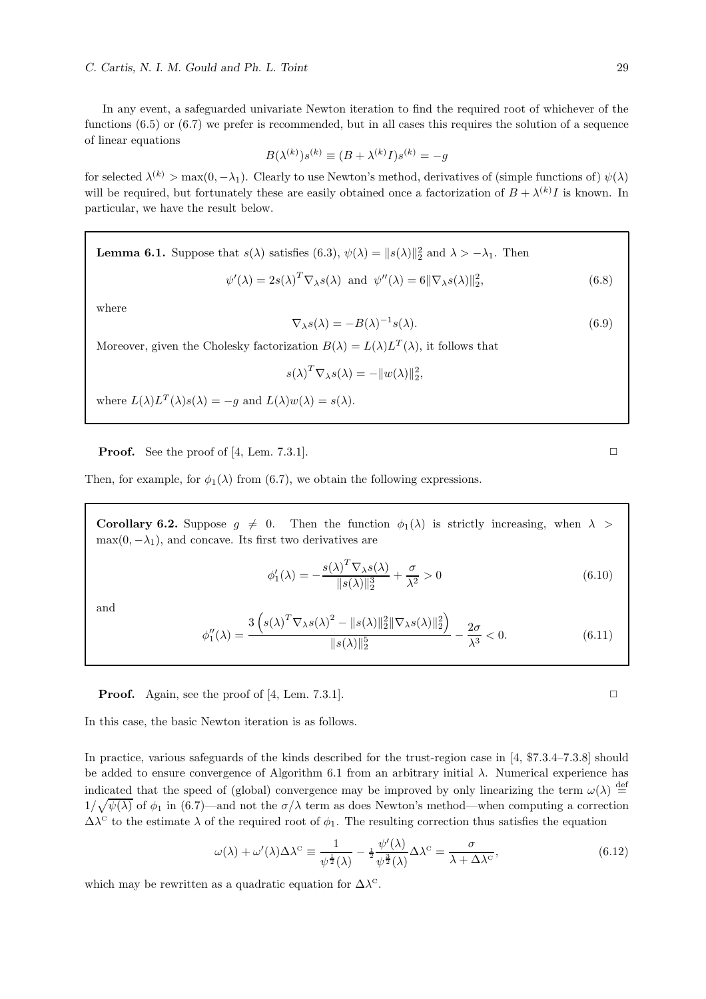In any event, a safeguarded univariate Newton iteration to find the required root of whichever of the functions  $(6.5)$  or  $(6.7)$  we prefer is recommended, but in all cases this requires the solution of a sequence of linear equations

$$
B(\lambda^{(k)})s^{(k)} \equiv (B + \lambda^{(k)}I)s^{(k)} = -g
$$

for selected  $\lambda^{(k)} > \max(0, -\lambda_1)$ . Clearly to use Newton's method, derivatives of (simple functions of)  $\psi(\lambda)$ will be required, but fortunately these are easily obtained once a factorization of  $B + \lambda^{(k)}I$  is known. In particular, we have the result below.

**Lemma 6.1.** Suppose that  $s(\lambda)$  satisfies (6.3),  $\psi(\lambda) = ||s(\lambda)||_2^2$  and  $\lambda > -\lambda_1$ . Then

$$
\psi'(\lambda) = 2s(\lambda)^T \nabla_{\lambda} s(\lambda) \text{ and } \psi''(\lambda) = 6 \|\nabla_{\lambda} s(\lambda)\|_2^2,
$$
\n(6.8)

where

$$
\nabla_{\lambda} s(\lambda) = -B(\lambda)^{-1} s(\lambda). \tag{6.9}
$$

Moreover, given the Cholesky factorization  $B(\lambda) = L(\lambda)L^{T}(\lambda)$ , it follows that

$$
s(\lambda)^T \nabla_{\lambda} s(\lambda) = -||w(\lambda)||_2^2,
$$

where  $L(\lambda)L^{T}(\lambda)s(\lambda) = -g$  and  $L(\lambda)w(\lambda) = s(\lambda)$ .

**Proof.** See the proof of [4, Lem. 7.3.1].  $\Box$ 

Then, for example, for  $\phi_1(\lambda)$  from (6.7), we obtain the following expressions.

Corollary 6.2. Suppose  $g \neq 0$ . Then the function  $\phi_1(\lambda)$  is strictly increasing, when  $\lambda >$  $\max(0, -\lambda_1)$ , and concave. Its first two derivatives are

$$
\phi_1'(\lambda) = -\frac{s(\lambda)^T \nabla_\lambda s(\lambda)}{\|s(\lambda)\|_2^3} + \frac{\sigma}{\lambda^2} > 0
$$
\n(6.10)

and

$$
\phi_1''(\lambda) = \frac{3\left(s(\lambda)^T \nabla_\lambda s(\lambda)^2 - \|s(\lambda)\|_2^2 \|\nabla_\lambda s(\lambda)\|_2^2\right)}{\|s(\lambda)\|_2^5} - \frac{2\sigma}{\lambda^3} < 0. \tag{6.11}
$$

**Proof.** Again, see the proof of [4, Lem. 7.3.1].  $\Box$ 

In this case, the basic Newton iteration is as follows.

In practice, various safeguards of the kinds described for the trust-region case in [4, \$7.3.4–7.3.8] should be added to ensure convergence of Algorithm 6.1 from an arbitrary initial  $\lambda$ . Numerical experience has indicated that the speed of (global) convergence may be improved by only linearizing the term  $\omega(\lambda) \stackrel{\text{def}}{=}$  $1/\sqrt{\psi(\lambda)}$  of  $\phi_1$  in (6.7)—and not the  $\sigma/\lambda$  term as does Newton's method—when computing a correction  $\Delta\lambda^c$  to the estimate  $\lambda$  of the required root of  $\phi_1$ . The resulting correction thus satisfies the equation

$$
\omega(\lambda) + \omega'(\lambda)\Delta\lambda^{\text{c}} \equiv \frac{1}{\psi^{\frac{1}{2}}(\lambda)} - \frac{1}{2}\frac{\psi'(\lambda)}{\psi^{\frac{3}{2}}(\lambda)}\Delta\lambda^{\text{c}} = \frac{\sigma}{\lambda + \Delta\lambda^{\text{c}}},\tag{6.12}
$$

which may be rewritten as a quadratic equation for  $\Delta\lambda^{\circ}$ .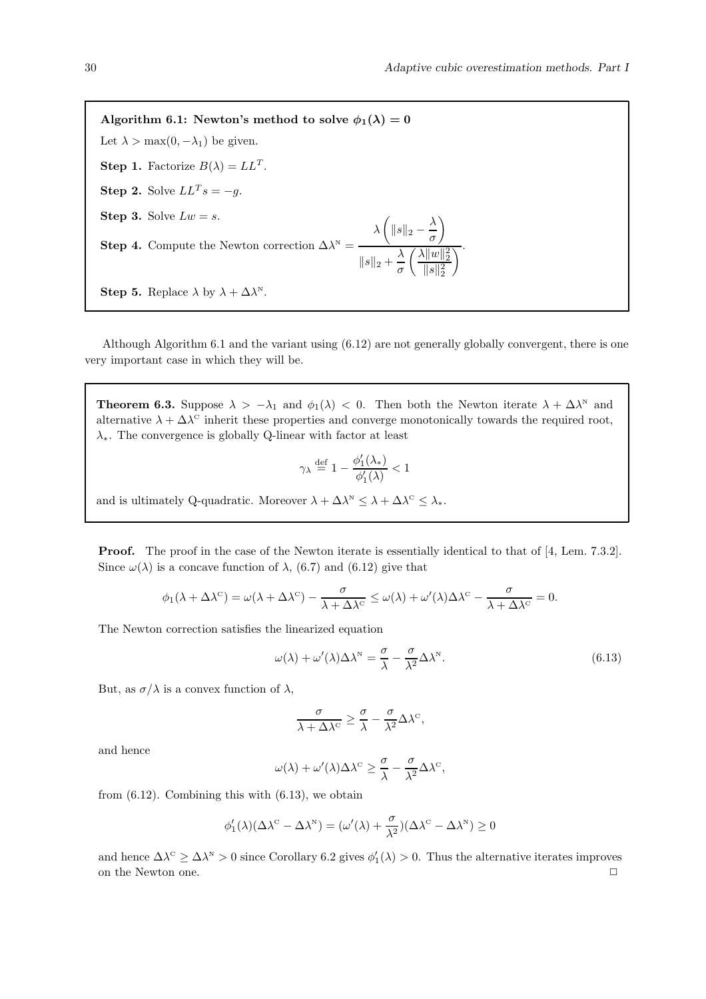Algorithm 6.1: Newton's method to solve  $\phi_1(\lambda) = 0$ Let  $\lambda > \max(0, -\lambda_1)$  be given. **Step 1.** Factorize  $B(\lambda) = LL^T$ . **Step 2.** Solve  $LL^T s = -g$ . Step 3. Solve  $Lw = s$ . **Step 4.** Compute the Newton correction  $\Delta \lambda^N =$  $\lambda \left( \Vert s \Vert_2 - \frac{\lambda}{\sigma} \right)$ σ  $\setminus$  $||s||_2 + \frac{\lambda}{\sigma}$ σ  $\int \frac{\lambda ||w||_2^2}{2}$  $||s||_2^2$  $\overline{\overline{\phantom{a}}}\hspace{0.1cm}.$ **Step 5.** Replace  $\lambda$  by  $\lambda + \Delta \lambda^N$ .

Although Algorithm 6.1 and the variant using (6.12) are not generally globally convergent, there is one very important case in which they will be.

**Theorem 6.3.** Suppose  $\lambda > -\lambda_1$  and  $\phi_1(\lambda) < 0$ . Then both the Newton iterate  $\lambda + \Delta \lambda^N$  and alternative  $\lambda + \Delta \lambda^c$  inherit these properties and converge monotonically towards the required root,  $\lambda_{*}$ . The convergence is globally Q-linear with factor at least

$$
\gamma_{\lambda} \stackrel{\text{def}}{=} 1 - \frac{\phi_1'(\lambda_*)}{\phi_1'(\lambda)} < 1
$$

and is ultimately Q-quadratic. Moreover  $\lambda + \Delta \lambda^N \leq \lambda + \Delta \lambda^C \leq \lambda_*$ .

**Proof.** The proof in the case of the Newton iterate is essentially identical to that of [4, Lem. 7.3.2]. Since  $\omega(\lambda)$  is a concave function of  $\lambda$ , (6.7) and (6.12) give that

$$
\phi_1(\lambda + \Delta \lambda^c) = \omega(\lambda + \Delta \lambda^c) - \frac{\sigma}{\lambda + \Delta \lambda^c} \leq \omega(\lambda) + \omega'(\lambda)\Delta \lambda^c - \frac{\sigma}{\lambda + \Delta \lambda^c} = 0.
$$

The Newton correction satisfies the linearized equation

$$
\omega(\lambda) + \omega'(\lambda)\Delta\lambda^N = \frac{\sigma}{\lambda} - \frac{\sigma}{\lambda^2}\Delta\lambda^N.
$$
\n(6.13)

But, as  $\sigma/\lambda$  is a convex function of  $\lambda$ ,

$$
\frac{\sigma}{\lambda+\Delta \lambda^{\rm C}} \geq \frac{\sigma}{\lambda} - \frac{\sigma}{\lambda^2} \Delta \lambda^{\rm C},
$$

and hence

$$
\omega(\lambda) + \omega'(\lambda)\Delta\lambda^{c} \ge \frac{\sigma}{\lambda} - \frac{\sigma}{\lambda^{2}}\Delta\lambda^{c},
$$

from  $(6.12)$ . Combining this with  $(6.13)$ , we obtain

$$
\phi_1'(\lambda)(\Delta \lambda^{\scriptscriptstyle{\mathrm{C}}} - \Delta \lambda^{\scriptscriptstyle{\mathrm{N}}}) = (\omega'(\lambda) + \frac{\sigma}{\lambda^2})(\Delta \lambda^{\scriptscriptstyle{\mathrm{C}}} - \Delta \lambda^{\scriptscriptstyle{\mathrm{N}}}) \geq 0
$$

and hence  $\Delta\lambda^c \geq \Delta\lambda^N > 0$  since Corollary 6.2 gives  $\phi'_1(\lambda) > 0$ . Thus the alternative iterates improves on the Newton one.  $\Box$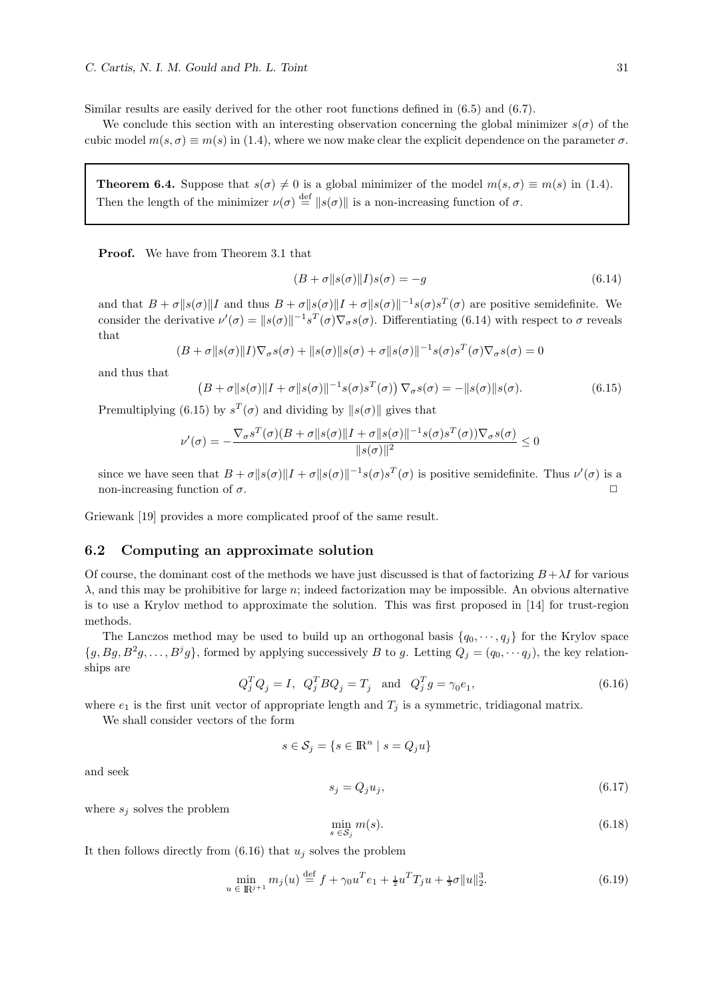Similar results are easily derived for the other root functions defined in (6.5) and (6.7).

We conclude this section with an interesting observation concerning the global minimizer  $s(\sigma)$  of the cubic model  $m(s, \sigma) \equiv m(s)$  in (1.4), where we now make clear the explicit dependence on the parameter  $\sigma$ .

**Theorem 6.4.** Suppose that  $s(\sigma) \neq 0$  is a global minimizer of the model  $m(s, \sigma) \equiv m(s)$  in (1.4). Then the length of the minimizer  $\nu(\sigma) \stackrel{\text{def}}{=} ||s(\sigma)||$  is a non-increasing function of  $\sigma$ .

Proof. We have from Theorem 3.1 that

$$
(B + \sigma || s(\sigma) || I) s(\sigma) = -g \tag{6.14}
$$

and that  $B + \sigma ||s(\sigma)||I$  and thus  $B + \sigma ||s(\sigma)||I + \sigma ||s(\sigma)||^{-1}s(\sigma)s^{T}(\sigma)$  are positive semidefinite. We consider the derivative  $\nu'(\sigma) = ||s(\sigma)||^{-1} s^T(\sigma) \nabla_{\sigma} s(\sigma)$ . Differentiating (6.14) with respect to  $\sigma$  reveals that

$$
(B + \sigma ||s(\sigma)||I)\nabla_{\sigma}s(\sigma) + ||s(\sigma)||s(\sigma) + \sigma ||s(\sigma)||^{-1}s(\sigma)s^{T}(\sigma)\nabla_{\sigma}s(\sigma) = 0
$$

and thus that

 $(B + \sigma \|s(\sigma)\|I + \sigma \|s(\sigma)\|^{-1}s(\sigma)s^{T}(\sigma)) \nabla_{\sigma}s(\sigma) = -\|s(\sigma)\|s(\sigma).$  (6.15)

Premultiplying (6.15) by  $s^T(\sigma)$  and dividing by  $||s(\sigma)||$  gives that

$$
\nu'(\sigma) = -\frac{\nabla_{\sigma} s^T(\sigma)(B + \sigma ||s(\sigma)||I + \sigma ||s(\sigma)||^{-1} s(\sigma) s^T(\sigma)) \nabla_{\sigma} s(\sigma)}{||s(\sigma)||^2} \le 0
$$

since we have seen that  $B + \sigma ||s(\sigma)||I + \sigma ||s(\sigma)||^{-1}s(\sigma)s^{T}(\sigma)$  is positive semidefinite. Thus  $\nu'(\sigma)$  is a non-increasing function of  $\sigma$ .

Griewank [19] provides a more complicated proof of the same result.

## 6.2 Computing an approximate solution

Of course, the dominant cost of the methods we have just discussed is that of factorizing  $B + \lambda I$  for various  $\lambda$ , and this may be prohibitive for large n; indeed factorization may be impossible. An obvious alternative is to use a Krylov method to approximate the solution. This was first proposed in [14] for trust-region methods.

The Lanczos method may be used to build up an orthogonal basis  $\{q_0, \dots, q_i\}$  for the Krylov space  $\{g, Bg, B^2g, \ldots, B^jg\}$ , formed by applying successively B to g. Letting  $Q_j = (q_0, \cdots q_j)$ , the key relationships are

$$
Q_j^T Q_j = I, \quad Q_j^T B Q_j = T_j \quad \text{and} \quad Q_j^T g = \gamma_0 e_1,\tag{6.16}
$$

where  $e_1$  is the first unit vector of appropriate length and  $T_j$  is a symmetric, tridiagonal matrix.

We shall consider vectors of the form

$$
s \in \mathcal{S}_j = \{ s \in \mathbb{R}^n \mid s = Q_j u \}
$$

and seek

$$
s_j = Q_j u_j,\tag{6.17}
$$

where  $s_i$  solves the problem

$$
\min_{s \in \mathcal{S}_j} m(s). \tag{6.18}
$$

It then follows directly from  $(6.16)$  that  $u_j$  solves the problem

$$
\min_{u \in \mathbb{R}^{j+1}} m_j(u) \stackrel{\text{def}}{=} f + \gamma_0 u^T e_1 + \frac{1}{2} u^T T_j u + \frac{1}{3} \sigma \|u\|_2^3. \tag{6.19}
$$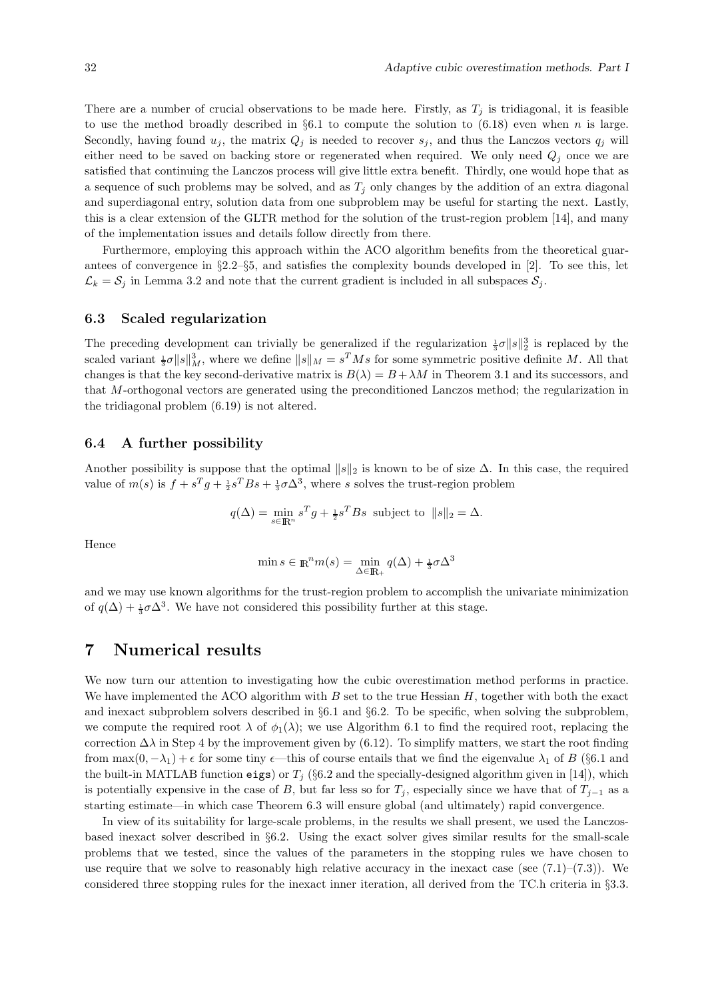There are a number of crucial observations to be made here. Firstly, as  $T_j$  is tridiagonal, it is feasible to use the method broadly described in  $\S 6.1$  to compute the solution to  $(6.18)$  even when n is large. Secondly, having found  $u_j$ , the matrix  $Q_j$  is needed to recover  $s_j$ , and thus the Lanczos vectors  $q_j$  will either need to be saved on backing store or regenerated when required. We only need  $Q_i$  once we are satisfied that continuing the Lanczos process will give little extra benefit. Thirdly, one would hope that as a sequence of such problems may be solved, and as  $T_j$  only changes by the addition of an extra diagonal and superdiagonal entry, solution data from one subproblem may be useful for starting the next. Lastly, this is a clear extension of the GLTR method for the solution of the trust-region problem [14], and many of the implementation issues and details follow directly from there.

Furthermore, employing this approach within the ACO algorithm benefits from the theoretical guarantees of convergence in  $\S2.2-\S5$ , and satisfies the complexity bounds developed in [2]. To see this, let  $\mathcal{L}_k = \mathcal{S}_j$  in Lemma 3.2 and note that the current gradient is included in all subspaces  $\mathcal{S}_j$ .

#### 6.3 Scaled regularization

The preceding development can trivially be generalized if the regularization  $\frac{1}{3}\sigma \|s\|_2^3$  is replaced by the scaled variant  $\frac{1}{3}\sigma \|s\|_M^3$ , where we define  $\|s\|_M = s^T M s$  for some symmetric positive definite M. All that changes is that the key second-derivative matrix is  $B(\lambda) = B + \lambda M$  in Theorem 3.1 and its successors, and that M-orthogonal vectors are generated using the preconditioned Lanczos method; the regularization in the tridiagonal problem (6.19) is not altered.

## 6.4 A further possibility

Another possibility is suppose that the optimal  $||s||_2$  is known to be of size  $\Delta$ . In this case, the required value of  $m(s)$  is  $f + s^T g + \frac{1}{2} s^T B s + \frac{1}{3} \sigma \Delta^3$ , where s solves the trust-region problem

$$
q(\Delta) = \min_{s \in \mathbb{R}^n} s^T g + \frac{1}{2} s^T B s
$$
 subject to  $||s||_2 = \Delta$ .

Hence

$$
\min s \in \mathbb{R}^n m(s) = \min_{\Delta \in \mathbb{R}_+} q(\Delta) + \frac{1}{3}\sigma \Delta^3
$$

and we may use known algorithms for the trust-region problem to accomplish the univariate minimization of  $q(\Delta) + \frac{1}{3}\sigma\Delta^3$ . We have not considered this possibility further at this stage.

## 7 Numerical results

We now turn our attention to investigating how the cubic overestimation method performs in practice. We have implemented the ACO algorithm with  $B$  set to the true Hessian  $H$ , together with both the exact and inexact subproblem solvers described in §6.1 and §6.2. To be specific, when solving the subproblem, we compute the required root  $\lambda$  of  $\phi_1(\lambda)$ ; we use Algorithm 6.1 to find the required root, replacing the correction  $\Delta\lambda$  in Step 4 by the improvement given by (6.12). To simplify matters, we start the root finding from  $\max(0, -\lambda_1) + \epsilon$  for some tiny  $\epsilon$ —this of course entails that we find the eigenvalue  $\lambda_1$  of B (§6.1 and the built-in MATLAB function eigs) or  $T_i$  (§6.2 and the specially-designed algorithm given in [14]), which is potentially expensive in the case of B, but far less so for  $T_j$ , especially since we have that of  $T_{j-1}$  as a starting estimate—in which case Theorem 6.3 will ensure global (and ultimately) rapid convergence.

In view of its suitability for large-scale problems, in the results we shall present, we used the Lanczosbased inexact solver described in §6.2. Using the exact solver gives similar results for the small-scale problems that we tested, since the values of the parameters in the stopping rules we have chosen to use require that we solve to reasonably high relative accuracy in the inexact case (see  $(7.1)$ – $(7.3)$ ). We considered three stopping rules for the inexact inner iteration, all derived from the TC.h criteria in §3.3.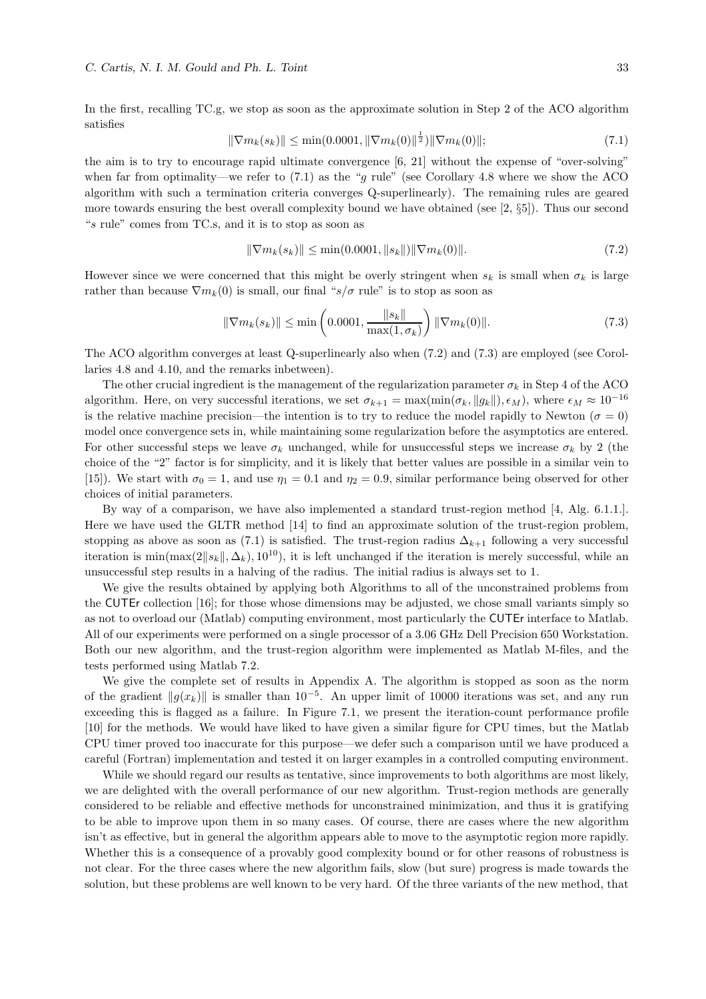In the first, recalling TC.g, we stop as soon as the approximate solution in Step 2 of the ACO algorithm satisfies

$$
\|\nabla m_k(s_k)\| \le \min(0.0001, \|\nabla m_k(0)\|^{\frac{1}{2}}) \|\nabla m_k(0)\|; \tag{7.1}
$$

the aim is to try to encourage rapid ultimate convergence [6, 21] without the expense of "over-solving" when far from optimality—we refer to  $(7.1)$  as the "g rule" (see Corollary 4.8 where we show the ACO algorithm with such a termination criteria converges Q-superlinearly). The remaining rules are geared more towards ensuring the best overall complexity bound we have obtained (see [2, §5]). Thus our second "s rule" comes from TC.s, and it is to stop as soon as

$$
\|\nabla m_k(s_k)\| \le \min(0.0001, \|s_k\|) \|\nabla m_k(0)\|.
$$
\n(7.2)

However since we were concerned that this might be overly stringent when  $s_k$  is small when  $\sigma_k$  is large rather than because  $\nabla m_k(0)$  is small, our final "s/ $\sigma$  rule" is to stop as soon as

$$
\|\nabla m_k(s_k)\| \le \min\left(0.0001, \frac{\|s_k\|}{\max(1, \sigma_k)}\right) \|\nabla m_k(0)\|.
$$
 (7.3)

The ACO algorithm converges at least Q-superlinearly also when (7.2) and (7.3) are employed (see Corollaries 4.8 and 4.10, and the remarks inbetween).

The other crucial ingredient is the management of the regularization parameter  $\sigma_k$  in Step 4 of the ACO algorithm. Here, on very successful iterations, we set  $\sigma_{k+1} = \max(\min(\sigma_k, ||g_k||), \epsilon_M)$ , where  $\epsilon_M \approx 10^{-16}$ is the relative machine precision—the intention is to try to reduce the model rapidly to Newton ( $\sigma = 0$ ) model once convergence sets in, while maintaining some regularization before the asymptotics are entered. For other successful steps we leave  $\sigma_k$  unchanged, while for unsuccessful steps we increase  $\sigma_k$  by 2 (the choice of the "2" factor is for simplicity, and it is likely that better values are possible in a similar vein to [15]). We start with  $\sigma_0 = 1$ , and use  $\eta_1 = 0.1$  and  $\eta_2 = 0.9$ , similar performance being observed for other choices of initial parameters.

By way of a comparison, we have also implemented a standard trust-region method [4, Alg. 6.1.1.]. Here we have used the GLTR method [14] to find an approximate solution of the trust-region problem, stopping as above as soon as (7.1) is satisfied. The trust-region radius  $\Delta_{k+1}$  following a very successful iteration is min $(\max(2||s_k||, \Delta_k), 10^{10})$ , it is left unchanged if the iteration is merely successful, while an unsuccessful step results in a halving of the radius. The initial radius is always set to 1.

We give the results obtained by applying both Algorithms to all of the unconstrained problems from the CUTEr collection [16]; for those whose dimensions may be adjusted, we chose small variants simply so as not to overload our (Matlab) computing environment, most particularly the CUTEr interface to Matlab. All of our experiments were performed on a single processor of a 3.06 GHz Dell Precision 650 Workstation. Both our new algorithm, and the trust-region algorithm were implemented as Matlab M-files, and the tests performed using Matlab 7.2.

We give the complete set of results in Appendix A. The algorithm is stopped as soon as the norm of the gradient  $||g(x_k)||$  is smaller than 10<sup>-5</sup>. An upper limit of 10000 iterations was set, and any run exceeding this is flagged as a failure. In Figure 7.1, we present the iteration-count performance profile [10] for the methods. We would have liked to have given a similar figure for CPU times, but the Matlab CPU timer proved too inaccurate for this purpose—we defer such a comparison until we have produced a careful (Fortran) implementation and tested it on larger examples in a controlled computing environment.

While we should regard our results as tentative, since improvements to both algorithms are most likely, we are delighted with the overall performance of our new algorithm. Trust-region methods are generally considered to be reliable and effective methods for unconstrained minimization, and thus it is gratifying to be able to improve upon them in so many cases. Of course, there are cases where the new algorithm isn't as effective, but in general the algorithm appears able to move to the asymptotic region more rapidly. Whether this is a consequence of a provably good complexity bound or for other reasons of robustness is not clear. For the three cases where the new algorithm fails, slow (but sure) progress is made towards the solution, but these problems are well known to be very hard. Of the three variants of the new method, that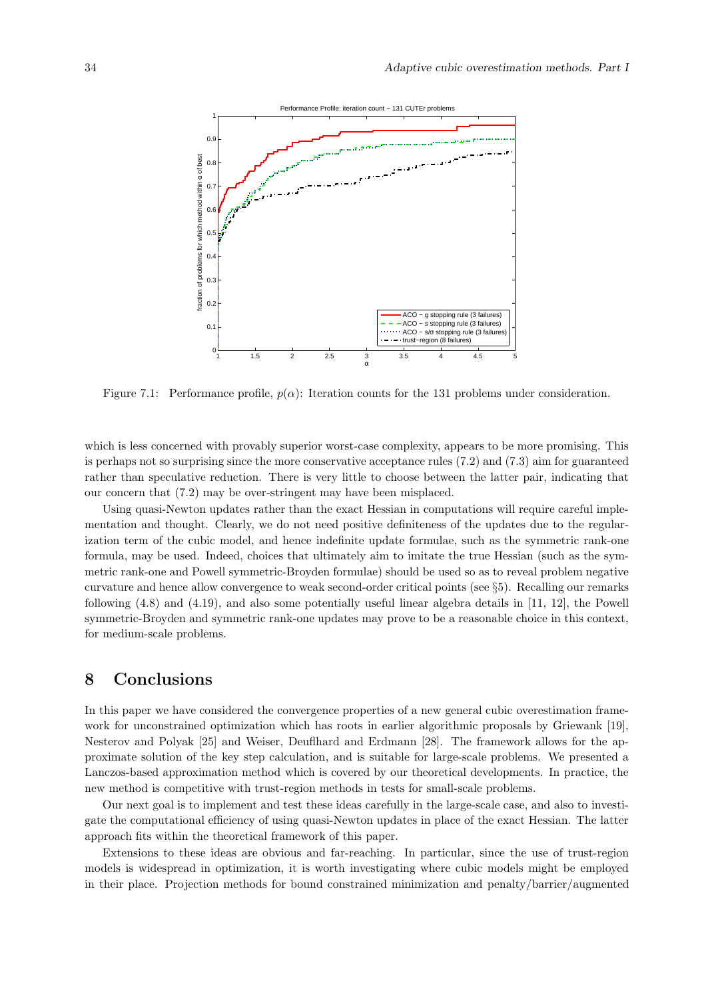

Figure 7.1: Performance profile,  $p(\alpha)$ : Iteration counts for the 131 problems under consideration.

which is less concerned with provably superior worst-case complexity, appears to be more promising. This is perhaps not so surprising since the more conservative acceptance rules (7.2) and (7.3) aim for guaranteed rather than speculative reduction. There is very little to choose between the latter pair, indicating that our concern that (7.2) may be over-stringent may have been misplaced.

Using quasi-Newton updates rather than the exact Hessian in computations will require careful implementation and thought. Clearly, we do not need positive definiteness of the updates due to the regularization term of the cubic model, and hence indefinite update formulae, such as the symmetric rank-one formula, may be used. Indeed, choices that ultimately aim to imitate the true Hessian (such as the symmetric rank-one and Powell symmetric-Broyden formulae) should be used so as to reveal problem negative curvature and hence allow convergence to weak second-order critical points (see §5). Recalling our remarks following (4.8) and (4.19), and also some potentially useful linear algebra details in [11, 12], the Powell symmetric-Broyden and symmetric rank-one updates may prove to be a reasonable choice in this context, for medium-scale problems.

## 8 Conclusions

In this paper we have considered the convergence properties of a new general cubic overestimation framework for unconstrained optimization which has roots in earlier algorithmic proposals by Griewank [19], Nesterov and Polyak [25] and Weiser, Deuflhard and Erdmann [28]. The framework allows for the approximate solution of the key step calculation, and is suitable for large-scale problems. We presented a Lanczos-based approximation method which is covered by our theoretical developments. In practice, the new method is competitive with trust-region methods in tests for small-scale problems.

Our next goal is to implement and test these ideas carefully in the large-scale case, and also to investigate the computational efficiency of using quasi-Newton updates in place of the exact Hessian. The latter approach fits within the theoretical framework of this paper.

Extensions to these ideas are obvious and far-reaching. In particular, since the use of trust-region models is widespread in optimization, it is worth investigating where cubic models might be employed in their place. Projection methods for bound constrained minimization and penalty/barrier/augmented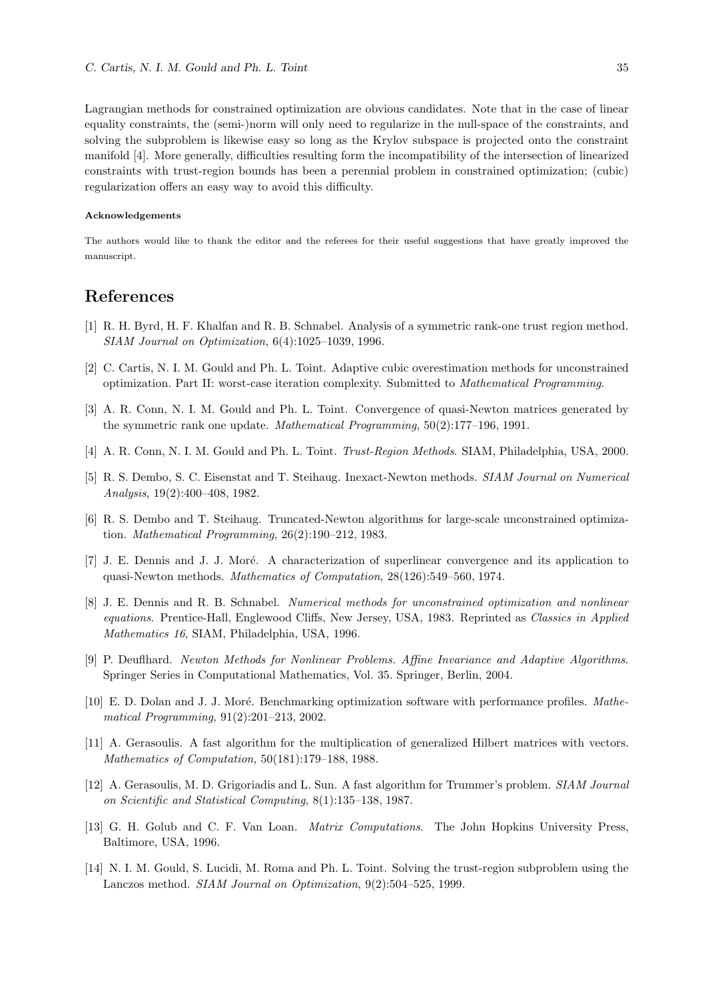Lagrangian methods for constrained optimization are obvious candidates. Note that in the case of linear equality constraints, the (semi-)norm will only need to regularize in the null-space of the constraints, and solving the subproblem is likewise easy so long as the Krylov subspace is projected onto the constraint manifold [4]. More generally, difficulties resulting form the incompatibility of the intersection of linearized constraints with trust-region bounds has been a perennial problem in constrained optimization; (cubic) regularization offers an easy way to avoid this difficulty.

#### Acknowledgements

The authors would like to thank the editor and the referees for their useful suggestions that have greatly improved the manuscript.

## References

- [1] R. H. Byrd, H. F. Khalfan and R. B. Schnabel. Analysis of a symmetric rank-one trust region method. SIAM Journal on Optimization, 6(4):1025–1039, 1996.
- [2] C. Cartis, N. I. M. Gould and Ph. L. Toint. Adaptive cubic overestimation methods for unconstrained optimization. Part II: worst-case iteration complexity. Submitted to Mathematical Programming.
- [3] A. R. Conn, N. I. M. Gould and Ph. L. Toint. Convergence of quasi-Newton matrices generated by the symmetric rank one update. Mathematical Programming, 50(2):177–196, 1991.
- [4] A. R. Conn, N. I. M. Gould and Ph. L. Toint. Trust-Region Methods. SIAM, Philadelphia, USA, 2000.
- [5] R. S. Dembo, S. C. Eisenstat and T. Steihaug. Inexact-Newton methods. SIAM Journal on Numerical Analysis, 19(2):400–408, 1982.
- [6] R. S. Dembo and T. Steihaug. Truncated-Newton algorithms for large-scale unconstrained optimization. Mathematical Programming, 26(2):190–212, 1983.
- [7] J. E. Dennis and J. J. Moré. A characterization of superlinear convergence and its application to quasi-Newton methods. Mathematics of Computation, 28(126):549–560, 1974.
- [8] J. E. Dennis and R. B. Schnabel. Numerical methods for unconstrained optimization and nonlinear equations. Prentice-Hall, Englewood Cliffs, New Jersey, USA, 1983. Reprinted as Classics in Applied Mathematics 16, SIAM, Philadelphia, USA, 1996.
- [9] P. Deuflhard. Newton Methods for Nonlinear Problems. Affine Invariance and Adaptive Algorithms. Springer Series in Computational Mathematics, Vol. 35. Springer, Berlin, 2004.
- [10] E. D. Dolan and J. J. Moré. Benchmarking optimization software with performance profiles. Mathematical Programming, 91(2):201–213, 2002.
- [11] A. Gerasoulis. A fast algorithm for the multiplication of generalized Hilbert matrices with vectors. Mathematics of Computation, 50(181):179–188, 1988.
- [12] A. Gerasoulis, M. D. Grigoriadis and L. Sun. A fast algorithm for Trummer's problem. SIAM Journal on Scientific and Statistical Computing, 8(1):135–138, 1987.
- [13] G. H. Golub and C. F. Van Loan. Matrix Computations. The John Hopkins University Press, Baltimore, USA, 1996.
- [14] N. I. M. Gould, S. Lucidi, M. Roma and Ph. L. Toint. Solving the trust-region subproblem using the Lanczos method. SIAM Journal on Optimization, 9(2):504–525, 1999.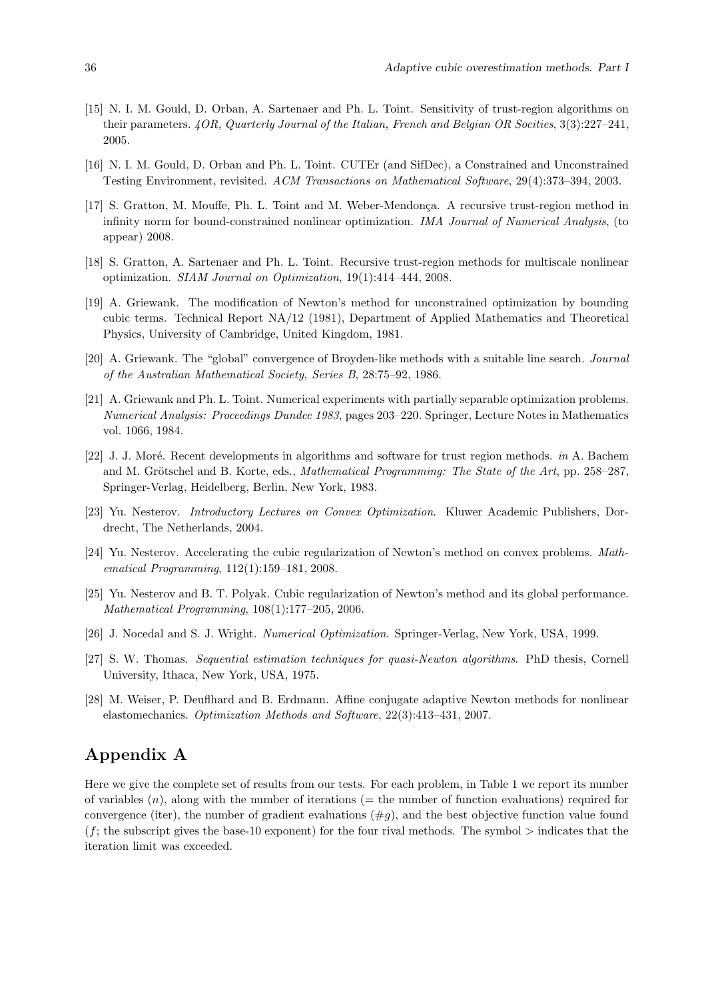- [15] N. I. M. Gould, D. Orban, A. Sartenaer and Ph. L. Toint. Sensitivity of trust-region algorithms on their parameters. 4OR, Quarterly Journal of the Italian, French and Belgian OR Socities, 3(3):227–241, 2005.
- [16] N. I. M. Gould, D. Orban and Ph. L. Toint. CUTEr (and SifDec), a Constrained and Unconstrained Testing Environment, revisited. ACM Transactions on Mathematical Software, 29(4):373–394, 2003.
- [17] S. Gratton, M. Mouffe, Ph. L. Toint and M. Weber-Mendonca. A recursive trust-region method in infinity norm for bound-constrained nonlinear optimization. IMA Journal of Numerical Analysis, (to appear) 2008.
- [18] S. Gratton, A. Sartenaer and Ph. L. Toint. Recursive trust-region methods for multiscale nonlinear optimization. SIAM Journal on Optimization, 19(1):414–444, 2008.
- [19] A. Griewank. The modification of Newton's method for unconstrained optimization by bounding cubic terms. Technical Report NA/12 (1981), Department of Applied Mathematics and Theoretical Physics, University of Cambridge, United Kingdom, 1981.
- [20] A. Griewank. The "global" convergence of Broyden-like methods with a suitable line search. Journal of the Australian Mathematical Society, Series B, 28:75–92, 1986.
- [21] A. Griewank and Ph. L. Toint. Numerical experiments with partially separable optimization problems. Numerical Analysis: Proceedings Dundee 1983, pages 203–220. Springer, Lecture Notes in Mathematics vol. 1066, 1984.
- [22] J. J. Moré. Recent developments in algorithms and software for trust region methods. in A. Bachem and M. Grötschel and B. Korte, eds., *Mathematical Programming: The State of the Art*, pp. 258–287, Springer-Verlag, Heidelberg, Berlin, New York, 1983.
- [23] Yu. Nesterov. Introductory Lectures on Convex Optimization. Kluwer Academic Publishers, Dordrecht, The Netherlands, 2004.
- [24] Yu. Nesterov. Accelerating the cubic regularization of Newton's method on convex problems. Mathematical Programming, 112(1):159–181, 2008.
- [25] Yu. Nesterov and B. T. Polyak. Cubic regularization of Newton's method and its global performance. Mathematical Programming, 108(1):177–205, 2006.
- [26] J. Nocedal and S. J. Wright. Numerical Optimization. Springer-Verlag, New York, USA, 1999.
- [27] S. W. Thomas. Sequential estimation techniques for quasi-Newton algorithms. PhD thesis, Cornell University, Ithaca, New York, USA, 1975.
- [28] M. Weiser, P. Deuflhard and B. Erdmann. Affine conjugate adaptive Newton methods for nonlinear elastomechanics. Optimization Methods and Software, 22(3):413–431, 2007.

# Appendix A

Here we give the complete set of results from our tests. For each problem, in Table 1 we report its number of variables  $(n)$ , along with the number of iterations (= the number of function evaluations) required for convergence (iter), the number of gradient evaluations  $(\#q)$ , and the best objective function value found  $(f;$  the subscript gives the base-10 exponent) for the four rival methods. The symbol  $\geq$  indicates that the iteration limit was exceeded.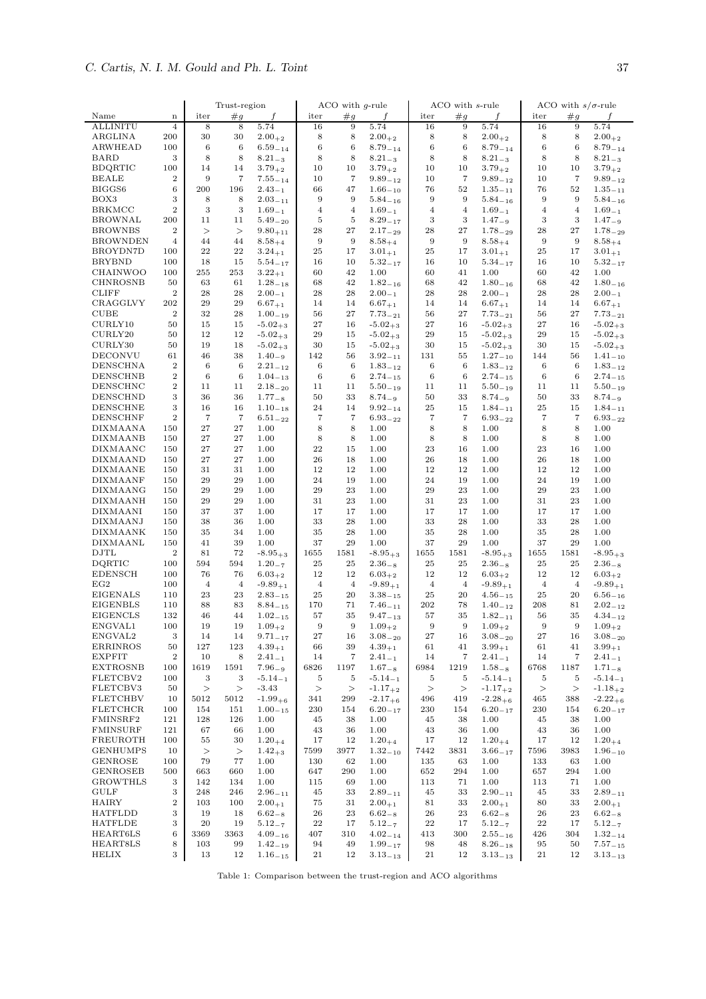|                                    |                       | Trust-region         |                          |                                       | ACO with $q$ -rule      |                      |                             |                      | ACO with s-rule                  |                              | ACO with $s/\sigma$ -rule |                                  |                                       |
|------------------------------------|-----------------------|----------------------|--------------------------|---------------------------------------|-------------------------|----------------------|-----------------------------|----------------------|----------------------------------|------------------------------|---------------------------|----------------------------------|---------------------------------------|
| Name                               | $\mathbf n$           | iter                 | #g                       | f                                     | iter                    | #g                   | $\boldsymbol{f}$            | iter                 | #g                               |                              | iter                      | #g                               |                                       |
| <b>ALLINITU</b>                    | $\,4\,$               | 8                    | 8                        | 5.74                                  | 16                      | 9                    | 5.74                        | 16                   | 9                                | 5.74                         | 16                        | 9                                | 5.74                                  |
| ARGLINA                            | 200                   | 30                   | 30                       | $2.00_{+2}$                           | 8                       | 8                    | $2.00_{+2}$                 | 8                    | 8                                | $2.00_{+2}$                  | 8                         | 8                                | $2.00_{+2}$                           |
| <b>ARWHEAD</b>                     | 100                   | $\,6$                | 6                        | $6.59 - 14$                           | $\,6$                   | $\,6$                | $8.79 - 14$                 | $\,6$                | $\boldsymbol{6}$                 | $8.79 - 14$                  | $\,6$                     | 6                                | $8.79 - 14$                           |
| <b>BARD</b>                        | 3                     | 8                    | 8                        | $8.21_{-3}$                           | $\,$ 8 $\,$             | $\,$ 8 $\,$          | $8.21_{-3}$                 | 8                    | $\,$ 8 $\,$                      | $8.21_{-3}$                  | 8                         | 8                                | $8.21_{-3}$                           |
| <b>BDQRTIC</b>                     | 100                   | 14                   | 14                       | $3.79_{+2}$                           | 10                      | 10                   | $3.79_{+2}$                 | 10                   | 10                               | $3.79_{+2}$                  | 10                        | 10                               | $3.79_{+2}$                           |
| <b>BEALE</b>                       | $\,2$                 | $\boldsymbol{9}$     | $\overline{\phantom{a}}$ | $7.55_{-14}$                          | 10                      | $\overline{7}$       | $9.89 - 12$                 | 10                   | $\overline{7}$                   | $9.89_{-12}$                 | 10                        | $\overline{7}$                   | $9.89_{-12}$                          |
| BIGGS6                             | 6                     | 200                  | 196                      | $2.43_{-1}$                           | 66                      | 47                   | $1.66_{-10}$                | 76                   | 52                               | $1.35_{-11}$                 | 76                        | 52                               | $1.35 - 11$                           |
| BOX3<br><b>BRKMCC</b>              | 3<br>$\boldsymbol{2}$ | 8<br>$\,3$           | 8<br>$\,3$               | $2.03 - 11$                           | $\,9$<br>$\overline{4}$ | 9<br>$\overline{4}$  | $5.84 - 16$<br>$1.69_{-1}$  | 9<br>$\overline{4}$  | $\overline{9}$<br>$\overline{4}$ | $5.84 - 16$                  | $\,9$<br>$\,4$            | $\overline{9}$<br>$\overline{4}$ | $5.84 - 16$                           |
| <b>BROWNAL</b>                     | 200                   | 11                   | 11                       | $1.69_{\rm -1}$<br>$5.49 - 20$        | $\bf 5$                 | 5                    | $8.29 - 17$                 | $\,3$                | $\sqrt{3}$                       | $1.69_{-1}$<br>$1.47 - 9$    | 3                         | $\,3$                            | $1.69_{-1}$<br>$1.47 - 9$             |
| <b>BROWNBS</b>                     | $\,2$                 | >                    | >                        | $9.80_{+11}$                          | 28                      | $\sqrt{27}$          | $2.17_{-29}$                | 28                   | $27\,$                           | $1.78 - 29$                  | 28                        | 27                               | $1.78 - 29$                           |
| <b>BROWNDEN</b>                    | $\overline{4}$        | 44                   | 44                       | $8.58_{+4}$                           | $\,9$                   | 9                    | $8.58_{+4}$                 | 9                    | $\overline{9}$                   | $8.58_{+4}$                  | $\,9$                     | $\overline{9}$                   | $8.58_{+4}$                           |
| BROYDN7D                           | 100                   | 22                   | 22                       | $3.24_{+1}$                           | 25                      | 17                   | $3.01_{+1}$                 | 25                   | 17                               | $3.01_{+1}$                  | 25                        | 17                               | $3.01_{+1}$                           |
| <b>BRYBND</b>                      | 100                   | 18                   | 15                       | $5.54_{-17}$                          | 16                      | 10                   | $5.32_{-17}$                | 16                   | 10                               | $5.34_{-17}$                 | 16                        | 10                               | $5.32_{-17}$                          |
| CHAINWOO                           | 100                   | 255                  | 253                      | $3.22_{+1}$                           | 60                      | 42                   | 1.00                        | 60                   | 41                               | 1.00                         | 60                        | 42                               | 1.00                                  |
| <b>CHNROSNB</b>                    | 50                    | 63                   | 61                       | $1.28 - 18$                           | 68                      | 42                   | $1.82 - 16$                 | 68                   | 42                               | $1.80 - 16$                  | 68                        | 42                               | $1.80 - 16$                           |
| <b>CLIFF</b>                       | $\,2$                 | 28                   | 28                       | $2.00_{-1}$                           | 28                      | 28                   | $2.00_{-1}$                 | 28                   | 28                               | $2.00_{-1}$                  | 28                        | 28                               | $2.00_{-1}$                           |
| CRAGGLVY                           | 202                   | 29                   | 29                       | $6.67_{+1}$                           | 14                      | 14                   | $6.67_{+1}$                 | 14                   | 14                               | $6.67_{+1}$                  | 14                        | 14                               | $6.67_{+1}$                           |
| <b>CUBE</b>                        | $\,2$                 | 32                   | 28                       | $1.00 - 19$                           | 56                      | $\bf 27$             | $7.73 - 21$                 | 56                   | 27                               | $7.73_{-21}$                 | 56                        | 27                               | $7.73_{-21}$                          |
| CURLY10                            | 50                    | 15                   | 15                       | $-5.02_{+3}$                          | 27                      | 16                   | $-5.02_{+3}$                | 27                   | 16                               | $-5.02_{+3}$                 | 27                        | 16                               | $-5.02_{+3}$                          |
| CURLY20                            | 50                    | 12                   | 12                       | $-5.02_{+3}$                          | 29                      | 15                   | $-5.02_{+3}$                | 29                   | 15                               | $-5.02_{+3}$                 | 29                        | 15                               | $-5.02_{+3}$                          |
| CURLY30                            | 50                    | 19                   | 18                       | $-5.02_{+3}$                          | 30                      | 15                   | $-5.02_{+3}$                | 30                   | 15                               | $-5.02_{+3}$                 | 30                        | 15                               | $-5.02_{+3}$                          |
| DECONVU                            | 61                    | 46                   | 38                       | $1.40 - 9$                            | 142                     | 56                   | $3.92 - 11$                 | 131                  | 55                               | $1.27 - 10$                  | 144                       | 56                               | $1.41 - 10$                           |
| <b>DENSCHNA</b>                    | $\,2$                 | 6                    | 6                        | $2.21_{-12}$                          | $\,6$                   | 6                    | $1.83 - 12$                 | 6                    | 6                                | $1.83_{-12}$                 | 6                         | 6                                | $1.83 - 12$                           |
| <b>DENSCHNB</b>                    | $\,2$                 | 6                    | 6                        | $1.04_{-13}$                          | $\,6$                   | 6                    | $2.74_{-15}$                | 6                    | 6                                | $2.74_{-15}$                 | $\,6$                     | 6                                | $2.74_{-15}$                          |
| DENSCHNC                           | $\,2$                 | 11                   | 11                       | $2.18 - 20$                           | 11                      | 11                   | $5.50 - 19$                 | 11                   | 11                               | $5.50 - 19$                  | 11                        | 11                               | $5.50 - 19$                           |
| <b>DENSCHND</b>                    | 3                     | 36<br>16             | 36<br>16                 | $1.77_{-8}$                           | 50                      | 33<br>14             | $8.74_{-9}$                 | 50<br>$\bf 25$       | 33<br>15                         | $8.74_{-9}$                  | 50                        | 33<br>15                         | $8.74_{-9}$                           |
| <b>DENSCHNE</b><br><b>DENSCHNF</b> | 3<br>$\boldsymbol{2}$ | $\overline{7}$       | $\overline{7}$           | $1.10 - 18$<br>$6.51_{-22}$           | 24<br>$\overline{7}$    | $\overline{7}$       | $9.92 - 14$<br>$6.93 - 22$  | $\overline{7}$       | $\overline{7}$                   | $1.84 - 11$<br>$6.93 - 22$   | 25<br>$\overline{7}$      | $\overline{7}$                   | $1.84 - 11$<br>$6.93 - 22$            |
| <b>DIXMAANA</b>                    | 150                   | 27                   | 27                       | 1.00                                  | $\,$ 8 $\,$             | $\,$ 8 $\,$          | 1.00                        | $\,8\,$              | $\,$ 8 $\,$                      | 1.00                         | $\,$ 8 $\,$               | 8                                | 1.00                                  |
| <b>DIXMAANB</b>                    | 150                   | 27                   | 27                       | 1.00                                  | $\,$ 8 $\,$             | $\,$ 8 $\,$          | 1.00                        | 8                    | 8                                | 1.00                         | $\,$ 8 $\,$               | $\,$ 8 $\,$                      | 1.00                                  |
| <b>DIXMAANC</b>                    | 150                   | 27                   | 27                       | 1.00                                  | 22                      | 15                   | 1.00                        | 23                   | 16                               | 1.00                         | 23                        | 16                               | 1.00                                  |
| <b>DIXMAAND</b>                    | 150                   | 27                   | 27                       | 1.00                                  | 26                      | 18                   | 1.00                        | 26                   | 18                               | 1.00                         | 26                        | 18                               | 1.00                                  |
| <b>DIXMAANE</b>                    | 150                   | 31                   | 31                       | 1.00                                  | 12                      | 12                   | 1.00                        | 12                   | 12                               | 1.00                         | 12                        | 12                               | 1.00                                  |
| <b>DIXMAANF</b>                    | 150                   | 29                   | 29                       | 1.00                                  | 24                      | 19                   | 1.00                        | 24                   | 19                               | 1.00                         | 24                        | 19                               | 1.00                                  |
| <b>DIXMAANG</b>                    | 150                   | 29                   | 29                       | 1.00                                  | 29                      | 23                   | 1.00                        | 29                   | 23                               | 1.00                         | 29                        | 23                               | 1.00                                  |
| <b>DIXMAANH</b>                    | 150                   | 29                   | 29                       | 1.00                                  | 31                      | $\bf 23$             | 1.00                        | 31                   | 23                               | 1.00                         | 31                        | 23                               | 1.00                                  |
| <b>DIXMAANI</b>                    | 150                   | 37                   | 37                       | 1.00                                  | 17                      | 17                   | 1.00                        | 17                   | 17                               | 1.00                         | 17                        | 17                               | 1.00                                  |
| <b>DIXMAANJ</b>                    | 150                   | 38                   | 36                       | 1.00                                  | 33                      | ${\bf 28}$           | 1.00                        | 33                   | 28                               | 1.00                         | 33                        | 28                               | 1.00                                  |
| <b>DIXMAANK</b>                    | 150                   | 35                   | 34                       | 1.00                                  | 35                      | 28                   | 1.00                        | 35                   | 28                               | 1.00                         | 35                        | 28                               | 1.00                                  |
| DIXMAANL                           | 150                   | 41                   | 39                       | 1.00                                  | 37                      | 29                   | 1.00                        | 37                   | 29                               | 1.00                         | 37                        | 29                               | 1.00                                  |
| <b>DJTL</b>                        | $\,2$                 | 81                   | 72                       | $-8.95_{+3}$                          | 1655                    | 1581                 | $-8.95_{+3}$                | 1655                 | 1581                             | $-8.95_{+3}$                 | 1655                      | 1581                             | $-8.95_{+3}$                          |
| DQRTIC                             | 100                   | 594                  | 594                      | $1.20 - 7$                            | $\bf 25$                | 25                   | $2.36_{-8}$                 | 25                   | 25                               | $2.36_{-8}$                  | 25                        | 25                               | $2.36_{-8}$                           |
| <b>EDENSCH</b><br>EG2              | 100<br>100            | 76<br>$\overline{4}$ | 76<br>$\overline{4}$     | $6.03_{+2}$                           | 12<br>$\overline{4}$    | 12<br>$\overline{4}$ | $6.03_{+2}$                 | 12<br>$\overline{4}$ | 12<br>$\overline{4}$             | $6.03_{+2}$                  | 12<br>$\overline{4}$      | 12<br>$\overline{4}$             | $6.03_{+2}$                           |
| <b>EIGENALS</b>                    | 110                   | 23                   | 23                       | $-9.89_{+1}$<br>$2.83_{\mathrm{-15}}$ | 25                      | 20                   | $-9.89_{+1}$<br>$3.38 - 15$ | 25                   | 20                               | $-9.89_{+1}$<br>$4.56_{-15}$ | 25                        | 20                               | $-9.89_{+1}$<br>$6.56_{\mathrm{-16}}$ |
| <b>EIGENBLS</b>                    | 110                   | 88                   | 83                       | $8.84 - 15$                           | 170                     | 71                   | $7.46 - 11$                 | 202                  | 78                               | $1.40 - 12$                  | 208                       | 81                               | $2.02 - 12$                           |
| <b>EIGENCLS</b>                    | 132                   | 46                   | 44                       | $1.02_{\,-\,15}$                      | 57                      | 35                   | $9.47_{-13}$                | 57                   | 35                               | $1.82_{-11}$                 | 56                        | 35                               | $4.34 - 12$                           |
| ENGVAL1                            | 100                   | 19                   | 19                       | $1.09_{+2}$                           | 9                       | $\overline{9}$       | $1.09_{+2}$                 | 9                    | 9                                | $1.09_{+2}$                  | 9                         | 9                                | $1.09_{+2}$                           |
| ENGVAL2                            | 3                     | 14                   | 14                       | $9.71_{-17}$                          | 27                      | 16                   | $3.08 - 20$                 | 27                   | 16                               | $3.08 - 20$                  | 27                        | 16                               | $3.08 - 20$                           |
| ERRINROS                           | 50                    | 127                  | 123                      | $4.39_{+1}$                           | 66                      | 39                   | $4.39_{+1}$                 | 61                   | 41                               | $3.99_{+1}$                  | 61                        | 41                               | $3.99_{+1}$                           |
| <b>EXPFIT</b>                      | $\,2$                 | 10                   | 8                        | $2.41 - 1$                            | 14                      | 7                    | $2.41 - 1$                  | 14                   | 7                                | $2.41 - 1$                   | 14                        | 7                                | $2.41 - 1$                            |
| <b>EXTROSNB</b>                    | 100                   | 1619                 | 1591                     | $7.96_{-9}$                           | 6826                    | 1197                 | $1.67_{-8}$                 | 6984                 | 1219                             | $1.58_{-8}$                  | 6768                      | 1187                             | $1.71_{-8}$                           |
| FLETCBV2                           | 100                   | 3                    | 3                        | $-5.14_{-1}$                          | 5                       | 5                    | $-5.14_{-1}$                | 5                    | 5                                | $-5.14_{-1}$                 | 5                         | 5                                | $-5.14_{-1}$                          |
| FLETCBV3                           | 50                    | $\,>$                | >                        | $-3.43$                               | >                       | >                    | $-1.17_{+2}$                | >                    | >                                | $-1.17_{+2}$                 | $\,>$                     | >                                | $-1.18_{+2}$                          |
| <b>FLETCHBV</b>                    | 10                    | 5012                 | 5012                     | $-1.99_{+6}$                          | 341                     | 299                  | $-2.17_{+6}$                | 496                  | 419                              | $-2.28_{+6}$                 | 465                       | 388                              | $-2.22_{+6}$                          |
| <b>FLETCHCR</b>                    | 100                   | 154                  | 151                      | $1.00 - 15$                           | 230                     | 154                  | $6.20 - 17$                 | 230                  | 154                              | $6.20 - 17$                  | 230                       | 154                              | $6.20 - 17$                           |
| FMINSRF2                           | 121                   | 128                  | 126                      | 1.00                                  | 45                      | 38                   | 1.00                        | 45                   | 38                               | 1.00                         | 45                        | 38                               | 1.00                                  |
| FMINSURF                           | 121                   | 67                   | 66                       | 1.00                                  | 43                      | 36                   | 1.00                        | 43                   | 36                               | 1.00                         | 43                        | 36                               | 1.00                                  |
| FREUROTH                           | 100                   | 55                   | 30                       | $1.20_{+4}$                           | 17<br>7599              | 12                   | $1.20_{+4}$                 | 17                   | 12                               | $1.20_{+4}$                  | 17<br>7596                | 12                               | $1.20_{+4}$                           |
| <b>GENHUMPS</b><br><b>GENROSE</b>  | 10<br>100             | $\,>$<br>79          | ><br>77                  | $1.42_{+3}$<br>1.00                   | 130                     | 3977<br>62           | $1.32_{-10}$<br>1.00        | 7442<br>135          | 3831<br>63                       | $3.66_{-17}$<br>1.00         | 133                       | 3983<br>63                       | $1.96_{-10}$<br>1.00                  |
| GENROSEB                           | 500                   | 663                  | 660                      | 1.00                                  | 647                     | 290                  | 1.00                        | 652                  | 294                              | 1.00                         | 657                       | 294                              | 1.00                                  |
| GROWTHLS                           | 3                     | 142                  | 134                      | 1.00                                  | 115                     | 69                   | 1.00                        | 113                  | 71                               | 1.00                         | 113                       | 71                               | 1.00                                  |
| <b>GULF</b>                        | 3                     | 248                  | 246                      | $2.96 - 11$                           | 45                      | 33                   | $2.89 - 11$                 | 45                   | 33                               | $2.90 - 11$                  | 45                        | 33                               | $2.89 - 11$                           |
| HAIRY                              | $\,2$                 | 103                  | 100                      | $2.00_{+1}$                           | 75                      | 31                   | $2.00_{+1}$                 | 81                   | 33                               | $2.00_{+1}$                  | 80                        | 33                               | $2.00_{+1}$                           |
| HATFLDD                            | 3                     | 19                   | 18                       | $6.62_{-8}$                           | 26                      | 23                   | $6.62_{-8}$                 | 26                   | 23                               | $6.62_{-8}$                  | 26                        | 23                               | $6.62_{-8}$                           |
| <b>HATFLDE</b>                     | 3                     | 20                   | 19                       | $5.12 - 7$                            | ${\bf 22}$              | 17                   | $5.12 - 7$                  | $\bf{^{22}}$         | 17                               | $5.12 - 7$                   | 22                        | 17                               | $5.12 - 7$                            |
| HEART6LS                           | 6                     | 3369                 | 3363                     | $4.09_{-16}$                          | 407                     | 310                  | $4.02_{-14}$                | 413                  | 300                              | $2.55 - 16$                  | 426                       | 304                              | $1.32_{-14}$                          |
| HEART8LS                           | 8                     | 103                  | 99                       | $1.42 - 19$                           | 94                      | 49                   | $1.99 - 17$                 | 98                   | 48                               | $8.26 - 18$                  | 95                        | 50                               | $7.57 - 15$                           |
| HELIX                              | 3                     | 13                   | 12                       | $1.16_{-15}$                          | 21                      | 12                   | $3.13_{-13}$                | 21                   | 12                               | $3.13_{-13}$                 | 21                        | 12                               | $3.13_{-13}$                          |

Table 1: Comparison between the trust-region and ACO algorithms